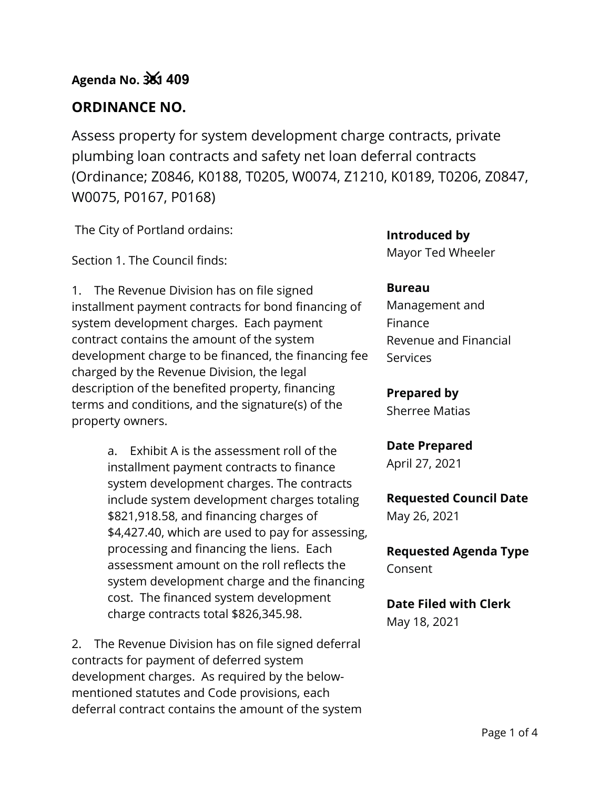# **ORDINANCE NO.**

Assess property for system development charge contracts, private plumbing loan contracts and safety net loan deferral contracts (Ordinance; Z0846, K0188, T0205, W0074, Z1210, K0189, T0206, Z0847, W0075, P0167, P0168)

The City of Portland ordains:

Section 1. The Council finds:

1. The Revenue Division has on file signed installment payment contracts for bond financing of system development charges. Each payment contract contains the amount of the system development charge to be financed, the financing fee charged by the Revenue Division, the legal description of the benefited property, financing terms and conditions, and the signature(s) of the property owners.

> a. Exhibit A is the assessment roll of the installment payment contracts to finance system development charges. The contracts include system development charges totaling \$821,918.58, and financing charges of \$4,427.40, which are used to pay for assessing, processing and financing the liens. Each assessment amount on the roll reflects the system development charge and the financing cost. The financed system development charge contracts total \$826,345.98.

2. The Revenue Division has on file signed deferral contracts for payment of deferred system development charges. As required by the belowmentioned statutes and Code provisions, each deferral contract contains the amount of the system **Introduced by**

Mayor Ted Wheeler

#### **Bureau**

Management and Finance Revenue and Financial **Services** 

**Prepared by** Sherree Matias

**Date Prepared** April 27, 2021

**Requested Council Date** May 26, 2021

**Requested Agenda Type** Consent

**Date Filed with Clerk** May 18, 2021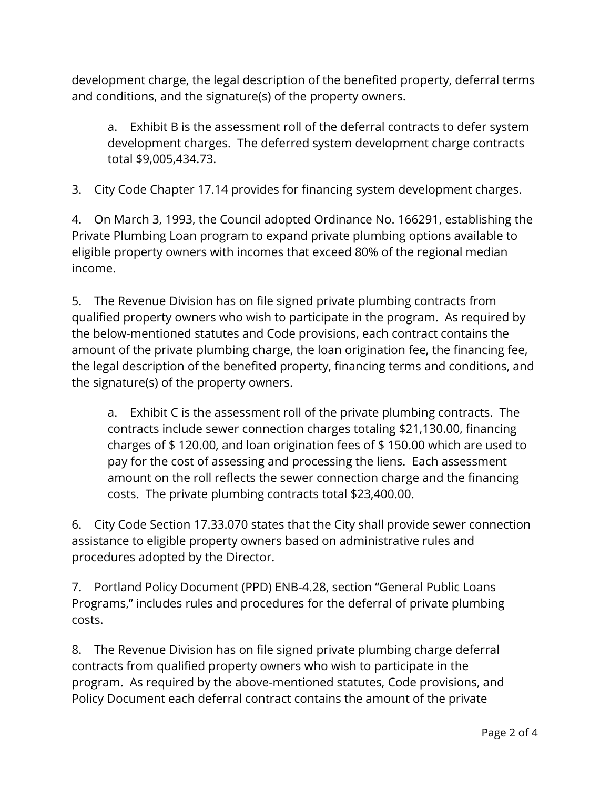development charge, the legal description of the benefited property, deferral terms and conditions, and the signature(s) of the property owners.

a. Exhibit B is the assessment roll of the deferral contracts to defer system development charges. The deferred system development charge contracts total \$9,005,434.73.

3. City Code Chapter 17.14 provides for financing system development charges.

4. On March 3, 1993, the Council adopted Ordinance No. 166291, establishing the Private Plumbing Loan program to expand private plumbing options available to eligible property owners with incomes that exceed 80% of the regional median income.

5. The Revenue Division has on file signed private plumbing contracts from qualified property owners who wish to participate in the program. As required by the below-mentioned statutes and Code provisions, each contract contains the amount of the private plumbing charge, the loan origination fee, the financing fee, the legal description of the benefited property, financing terms and conditions, and the signature(s) of the property owners.

a. Exhibit C is the assessment roll of the private plumbing contracts. The contracts include sewer connection charges totaling \$21,130.00, financing charges of \$ 120.00, and loan origination fees of \$ 150.00 which are used to pay for the cost of assessing and processing the liens. Each assessment amount on the roll reflects the sewer connection charge and the financing costs. The private plumbing contracts total \$23,400.00.

6. City Code Section 17.33.070 states that the City shall provide sewer connection assistance to eligible property owners based on administrative rules and procedures adopted by the Director.

7. Portland Policy Document (PPD) ENB-4.28, section "General Public Loans Programs," includes rules and procedures for the deferral of private plumbing costs.

8. The Revenue Division has on file signed private plumbing charge deferral contracts from qualified property owners who wish to participate in the program. As required by the above-mentioned statutes, Code provisions, and Policy Document each deferral contract contains the amount of the private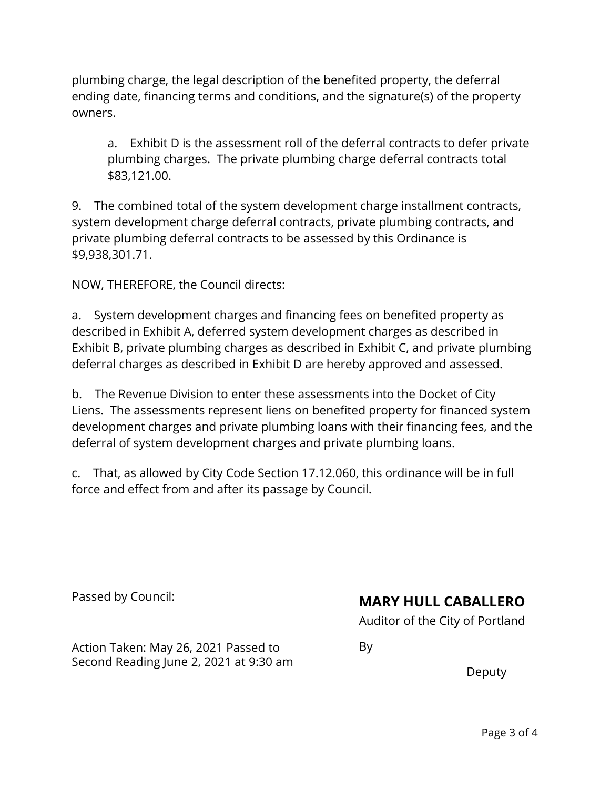plumbing charge, the legal description of the benefited property, the deferral ending date, financing terms and conditions, and the signature(s) of the property owners.

a. Exhibit D is the assessment roll of the deferral contracts to defer private plumbing charges. The private plumbing charge deferral contracts total \$83,121.00.

9. The combined total of the system development charge installment contracts, system development charge deferral contracts, private plumbing contracts, and private plumbing deferral contracts to be assessed by this Ordinance is \$9,938,301.71.

NOW, THEREFORE, the Council directs:

a. System development charges and financing fees on benefited property as described in Exhibit A, deferred system development charges as described in Exhibit B, private plumbing charges as described in Exhibit C, and private plumbing deferral charges as described in Exhibit D are hereby approved and assessed.

b. The Revenue Division to enter these assessments into the Docket of City Liens. The assessments represent liens on benefited property for financed system development charges and private plumbing loans with their financing fees, and the deferral of system development charges and private plumbing loans.

c. That, as allowed by City Code Section 17.12.060, this ordinance will be in full force and effect from and after its passage by Council.

Passed by Council:

# **MARY HULL CABALLERO**

Auditor of the City of Portland

By

Action Taken: May 26, 2021 Passed to Second Reading June 2, 2021 at 9:30 am

Deputy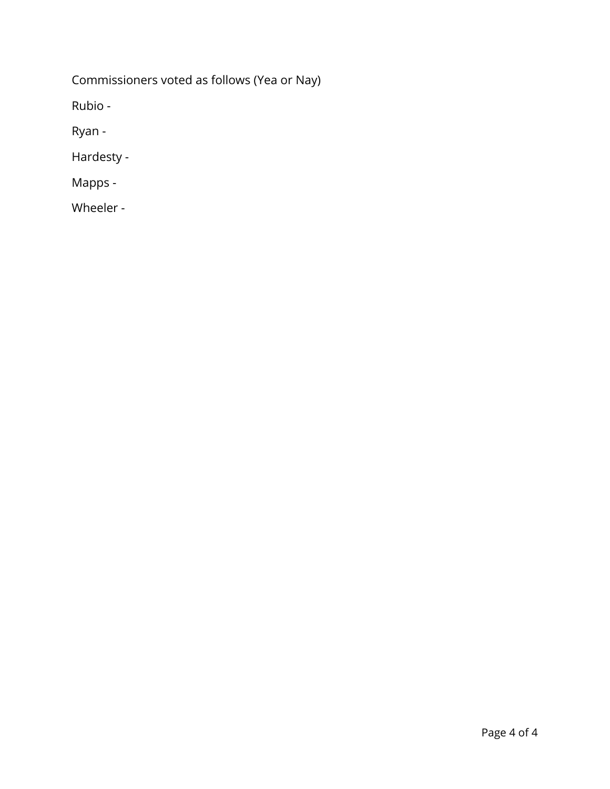Commissioners voted as follows (Yea or Nay)

Rubio -

Ryan -

Hardesty -

Mapps -

Wheeler -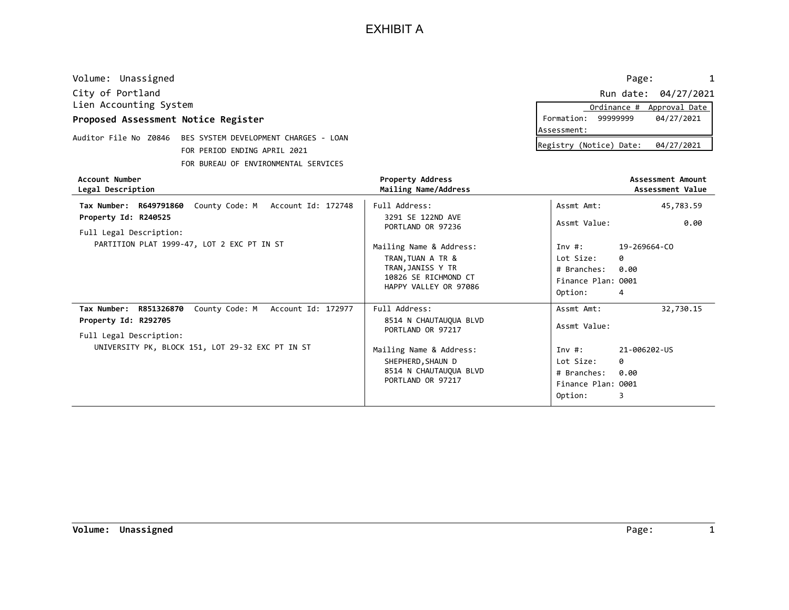| Account Number<br>Legal Description |                                                             | <b>Property Address</b><br>Mailing Name/Address | Assessment Amount<br>Assessment Value |
|-------------------------------------|-------------------------------------------------------------|-------------------------------------------------|---------------------------------------|
|                                     | FOR BUREAU OF ENVIRONMENTAL SERVICES                        |                                                 |                                       |
|                                     | FOR PERIOD ENDING APRIL 2021                                |                                                 | Registry (Notice) Date:<br>04/27/2021 |
|                                     | Auditor File No Z0846 BES SYSTEM DEVELOPMENT CHARGES - LOAN |                                                 |                                       |
|                                     |                                                             |                                                 | Assessment:                           |
| Proposed Assessment Notice Register |                                                             |                                                 | Formation: 99999999<br>04/27/2021     |
| Lien Accounting System              |                                                             |                                                 | Ordinance #<br>Approval Date          |
| City of Portland                    |                                                             |                                                 | Run date: 04/27/2021                  |
| Volume: Unassigned                  |                                                             |                                                 | Page:                                 |

| Account Number<br>Legal Description                                                                                                                                   | Property Address<br>Mailing Name/Address                                                                                                                                      |                                                                                                       | Assessment Amount<br>Assessment Value               |
|-----------------------------------------------------------------------------------------------------------------------------------------------------------------------|-------------------------------------------------------------------------------------------------------------------------------------------------------------------------------|-------------------------------------------------------------------------------------------------------|-----------------------------------------------------|
| County Code: M Account Id: 172748<br>Tax Number: R649791860<br>Property Id: R240525<br>Full Legal Description:<br>PARTITION PLAT 1999-47, LOT 2 EXC PT IN ST          | Full Address:<br>3291 SE 122ND AVE<br>PORTLAND OR 97236<br>Mailing Name & Address:<br>TRAN, TUAN A TR &<br>TRAN, JANISS Y TR<br>10826 SE RICHMOND CT<br>HAPPY VALLEY OR 97086 | Assmt Amt:<br>Assmt Value:<br>Inv $\#$ :<br>Lot Size:<br># Branches:<br>Finance Plan: 0001<br>Option: | 45,783.59<br>0.00<br>19-269664-CO<br>0<br>0.00<br>4 |
| Tax Number: R851326870<br>County Code: M<br>Account Id: 172977<br>Property Id: R292705<br>Full Legal Description:<br>UNIVERSITY PK, BLOCK 151, LOT 29-32 EXC PT IN ST | Full Address:<br>8514 N CHAUTAUQUA BLVD<br>PORTLAND OR 97217<br>Mailing Name & Address:<br>SHEPHERD, SHAUN D<br>8514 N CHAUTAUQUA BLVD<br>PORTLAND OR 97217                   | Assmt Amt:<br>Assmt Value:<br>Inv $\#$ :<br>Lot Size:<br># Branches:<br>Finance Plan: 0001<br>Option: | 32,730.15<br>21-006202-US<br>0<br>0.00<br>3         |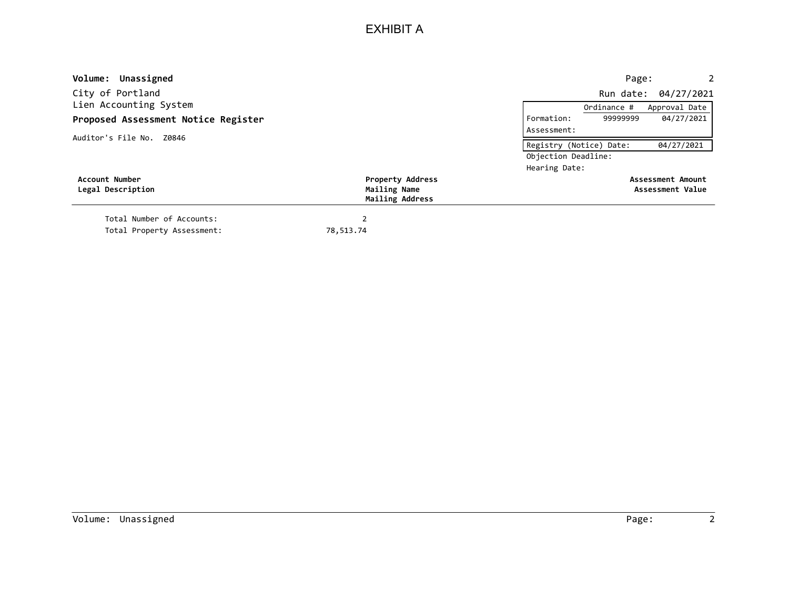| Volume: Unassigned                  |                                 | Page:<br>2                            |
|-------------------------------------|---------------------------------|---------------------------------------|
| City of Portland                    |                                 | Run date: 04/27/2021                  |
| Lien Accounting System              |                                 | Approval Date<br>Ordinance #          |
| Proposed Assessment Notice Register |                                 | 99999999<br>04/27/2021<br>Formation:  |
| Auditor's File No. Z0846            |                                 | Assessment:                           |
|                                     |                                 | Registry (Notice) Date:<br>04/27/2021 |
|                                     |                                 | Objection Deadline:                   |
|                                     |                                 | Hearing Date:                         |
| Account Number                      | <b>Property Address</b>         | <b>Assessment Amount</b>              |
| Legal Description                   | Mailing Name<br>Mailing Address | Assessment Value                      |
| Total Number of Accounts:           |                                 |                                       |
| Total Property Assessment:          | 78,513.74                       |                                       |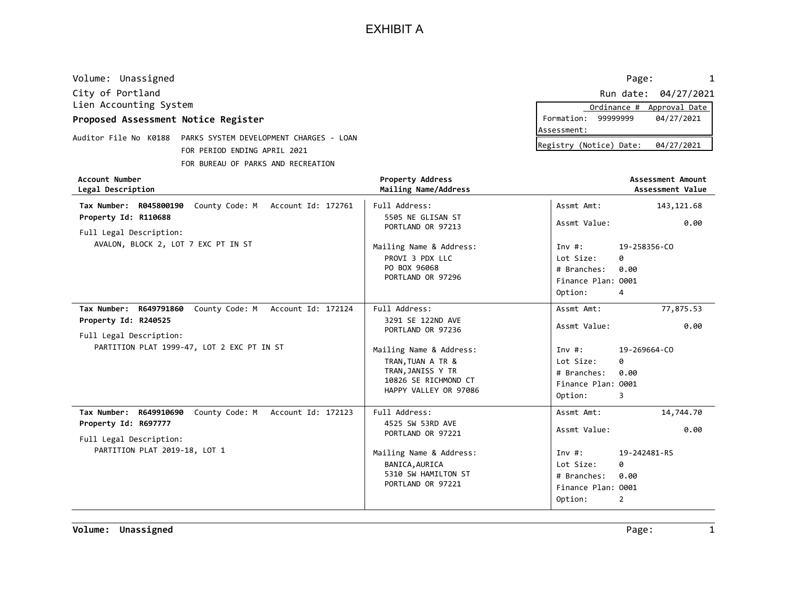| Volume: Unassigned                                               |                  | Page:                                 |
|------------------------------------------------------------------|------------------|---------------------------------------|
| City of Portland                                                 |                  | Run date: 04/27/2021                  |
| Lien Accounting System                                           |                  | Ordinance #<br>Approval Date          |
| Proposed Assessment Notice Register                              |                  | 99999999<br>04/27/2021<br>Formation:  |
|                                                                  |                  | lAssessment:                          |
| Auditor File No K0188<br>PARKS SYSTEM DEVELOPMENT CHARGES - LOAN |                  | Registry (Notice) Date:<br>04/27/2021 |
| FOR PERIOD ENDING APRIL 2021                                     |                  |                                       |
| FOR BUREAU OF PARKS AND RECREATION                               |                  |                                       |
| Account Numbon                                                   | Dnonontu Addnocc | Accoccmont Amount                     |

| <b>Account Number</b><br>Legal Description                                                                                                                   | <b>Property Address</b><br>Mailing Name/Address                                                                                                                               |                                                                                                       | Assessment Amount<br>Assessment Value                            |
|--------------------------------------------------------------------------------------------------------------------------------------------------------------|-------------------------------------------------------------------------------------------------------------------------------------------------------------------------------|-------------------------------------------------------------------------------------------------------|------------------------------------------------------------------|
| Tax Number: R045800190 County Code: M Account Id: 172761<br>Property Id: R110688<br>Full Legal Description:                                                  | Full Address:<br>5505 NE GLISAN ST<br>PORTLAND OR 97213                                                                                                                       | Assmt Amt:<br>Assmt Value:                                                                            | 143, 121.68<br>0.00                                              |
| AVALON, BLOCK 2, LOT 7 EXC PT IN ST                                                                                                                          | Mailing Name & Address:<br>PROVI 3 PDX LLC<br>PO BOX 96068<br>PORTLAND OR 97296                                                                                               | Inv#:<br>Lot Size:<br># Branches:<br>Finance Plan: 0001<br>Option:                                    | 19-258356-CO<br>ø<br>0.00<br>4                                   |
| Tax Number: R649791860<br>County Code: M Account Id: 172124<br>Property Id: R240525<br>Full Legal Description:<br>PARTITION PLAT 1999-47, LOT 2 EXC PT IN ST | Full Address:<br>3291 SE 122ND AVE<br>PORTLAND OR 97236<br>Mailing Name & Address:<br>TRAN, TUAN A TR &<br>TRAN, JANISS Y TR<br>10826 SE RICHMOND CT<br>HAPPY VALLEY OR 97086 | Assmt Amt:<br>Assmt Value:<br>Inv $\#$ :<br>Lot Size:<br># Branches:<br>Finance Plan: 0001<br>Option: | 77,875.53<br>0.00<br>19-269664-CO<br>ø<br>0.00<br>3              |
| Tax Number: R649910690<br>County Code: M Account Id: 172123<br>Property Id: R697777<br>Full Legal Description:<br>PARTITION PLAT 2019-18, LOT 1              | Full Address:<br>4525 SW 53RD AVE<br>PORTLAND OR 97221<br>Mailing Name & Address:<br>BANICA, AURICA<br>5310 SW HAMILTON ST<br>PORTLAND OR 97221                               | Assmt Amt:<br>Assmt Value:<br>Inv #:<br>Lot Size:<br># Branches:<br>Finance Plan: 0001<br>Option:     | 14,744.70<br>0.00<br>19-242481-RS<br>ø<br>0.00<br>$\overline{2}$ |

Volume: Unassigned Page: The Page: The Page: Page: 1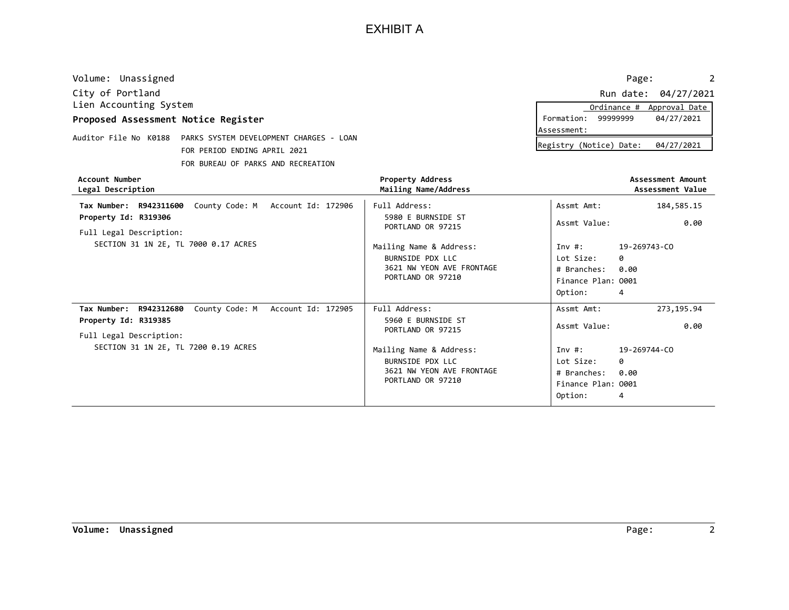| Volume: Unassigned                  |                                         |                      | Page:                                 |
|-------------------------------------|-----------------------------------------|----------------------|---------------------------------------|
| City of Portland                    |                                         |                      | Run date: 04/27/2021                  |
| Lien Accounting System              |                                         |                      | Ordinance #<br>Approval Date          |
| Proposed Assessment Notice Register |                                         |                      | 04/27/2021<br>Formation:<br>99999999  |
|                                     |                                         |                      | lAssessment:                          |
| Auditor File No K0188               | PARKS SYSTEM DEVELOPMENT CHARGES - LOAN |                      | Registry (Notice) Date:<br>04/27/2021 |
|                                     | FOR PERIOD ENDING APRIL 2021            |                      |                                       |
|                                     | FOR BUREAU OF PARKS AND RECREATION      |                      |                                       |
| Account Number                      |                                         | Property Address     | Assessment Amount                     |
| Legal Description                   |                                         | Mailing Name/Address | Assessment Value                      |
|                                     |                                         |                      |                                       |

| Legal Description                                                                                              | Mailing Name/Address                                                                          | Assessment Value                                                                                      |
|----------------------------------------------------------------------------------------------------------------|-----------------------------------------------------------------------------------------------|-------------------------------------------------------------------------------------------------------|
| County Code: M Account Id: 172906<br>Tax Number: R942311600                                                    | Full Address:                                                                                 | 184,585.15<br>Assmt Amt:                                                                              |
| Property Id: R319306<br>Full Legal Description:                                                                | 5980 E BURNSIDE ST<br>PORTLAND OR 97215                                                       | 0.00<br>Assmt Value:                                                                                  |
| SECTION 31 1N 2E, TL 7000 0.17 ACRES                                                                           | Mailing Name & Address:<br>BURNSIDE PDX LLC<br>3621 NW YEON AVE FRONTAGE<br>PORTLAND OR 97210 | 19-269743-CO<br>Inv #:<br>Lot Size:<br>0<br># Branches:<br>0.00<br>Finance Plan: 0001<br>Option:<br>4 |
| County Code: M Account Id: 172905<br>Tax Number: R942312680<br>Property Id: R319385<br>Full Legal Description: | Full Address:<br>5960 E BURNSIDE ST<br>PORTLAND OR 97215                                      | 273, 195.94<br>Assmt Amt:<br>Assmt Value:<br>0.00                                                     |
| SECTION 31 1N 2E, TL 7200 0.19 ACRES                                                                           | Mailing Name & Address:<br>BURNSIDE PDX LLC<br>3621 NW YEON AVE FRONTAGE<br>PORTLAND OR 97210 | 19-269744-CO<br>Inv #:<br>0<br>Lot Size:<br>0.00<br># Branches:<br>Finance Plan: 0001<br>Option:<br>4 |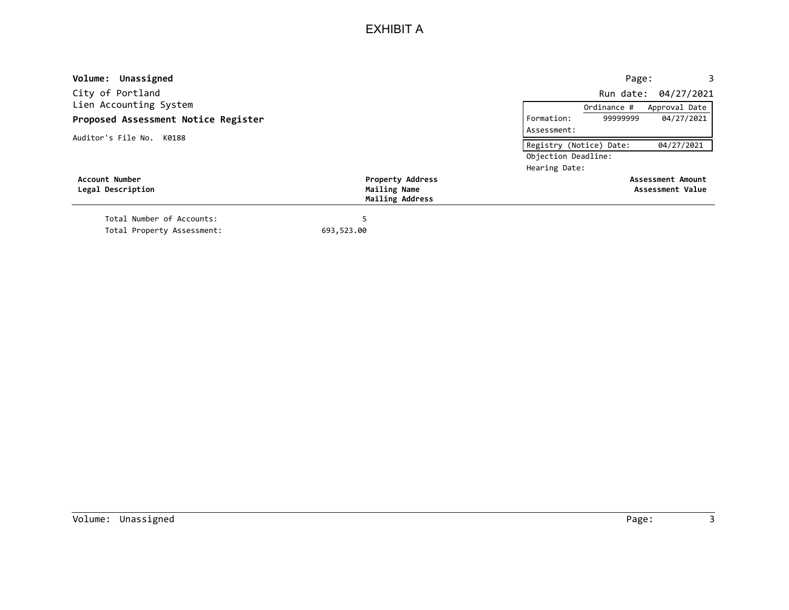| Volume: Unassigned                         |                                         |                         | Page:       | 3                                     |
|--------------------------------------------|-----------------------------------------|-------------------------|-------------|---------------------------------------|
| City of Portland                           |                                         |                         |             | Run date: 04/27/2021                  |
| Lien Accounting System                     |                                         |                         | Ordinance # | Approval Date                         |
| Proposed Assessment Notice Register        |                                         | Formation:              | 9999999     | 04/27/2021                            |
| Auditor's File No. K0188                   |                                         | Assessment:             |             |                                       |
|                                            |                                         | Registry (Notice) Date: |             | 04/27/2021                            |
|                                            |                                         | Objection Deadline:     |             |                                       |
|                                            |                                         | Hearing Date:           |             |                                       |
| <b>Account Number</b><br>Legal Description | <b>Property Address</b><br>Mailing Name |                         |             | Assessment Amount<br>Assessment Value |
|                                            | Mailing Address                         |                         |             |                                       |
| Total Number of Accounts:                  |                                         |                         |             |                                       |
| Total Property Assessment:                 | 693,523.00                              |                         |             |                                       |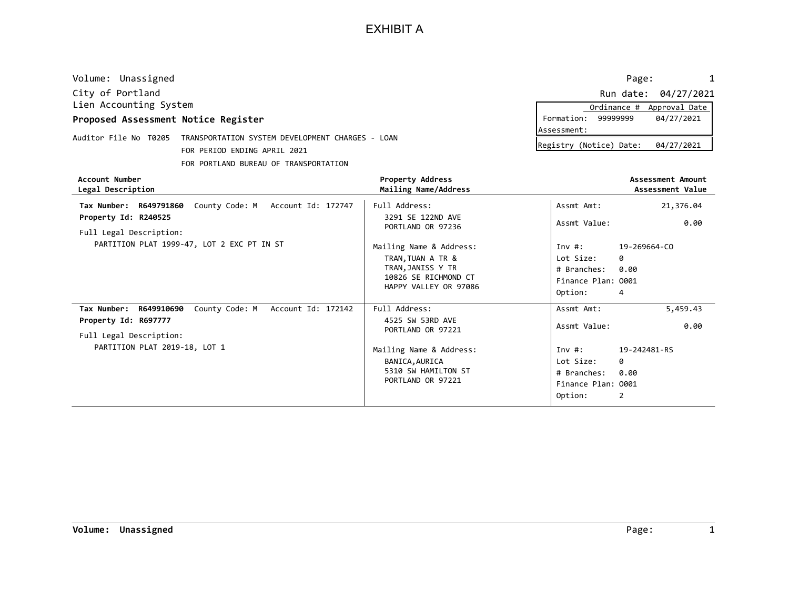| Volume: Unassigned                                                        |                                       | Page:                   | $\mathbf{1}$         |
|---------------------------------------------------------------------------|---------------------------------------|-------------------------|----------------------|
| City of Portland                                                          |                                       |                         | Run date: 04/27/2021 |
| Lien Accounting System                                                    |                                       | Ordinance #             | Approval Date        |
| Proposed Assessment Notice Register                                       |                                       | Formation:<br>99999999  | 04/27/2021           |
| Auditor File No T0205<br>TRANSPORTATION SYSTEM DEVELOPMENT CHARGES - LOAN |                                       | Assessment:             |                      |
|                                                                           |                                       | Registry (Notice) Date: | 04/27/2021           |
|                                                                           | FOR PERIOD ENDING APRIL 2021          |                         |                      |
|                                                                           | FOR PORTLAND BUREAU OF TRANSPORTATION |                         |                      |

|                                       |                     | Ordinance # Approval Date |  |  |
|---------------------------------------|---------------------|---------------------------|--|--|
|                                       | Formation: 99999999 | 04/27/2021                |  |  |
| Assessment:                           |                     |                           |  |  |
| Registry (Notice) Date:<br>04/27/2021 |                     |                           |  |  |

| Account Number<br>Legal Description                                                                                                                | Property Address<br>Mailing Name/Address                                                                                                        |                                                                                                      | Assessment Amount<br>Assessment Value                           |
|----------------------------------------------------------------------------------------------------------------------------------------------------|-------------------------------------------------------------------------------------------------------------------------------------------------|------------------------------------------------------------------------------------------------------|-----------------------------------------------------------------|
| County Code: M Account Id: 172747<br>Tax Number: R649791860                                                                                        | Full Address:                                                                                                                                   | Assmt Amt:                                                                                           | 21,376.04                                                       |
| Property Id: R240525<br>Full Legal Description:                                                                                                    | 3291 SE 122ND AVE<br>PORTLAND OR 97236                                                                                                          | Assmt Value:                                                                                         | 0.00                                                            |
| PARTITION PLAT 1999-47, LOT 2 EXC PT IN ST                                                                                                         | Mailing Name & Address:<br>TRAN, TUAN A TR &<br>TRAN,JANISS Y TR<br>10826 SE RICHMOND CT<br>HAPPY VALLEY OR 97086                               | Inv $#$ :<br>Lot Size:<br># Branches:<br>Finance Plan: 0001<br>Option:                               | 19-269664-CO<br>0<br>0.00<br>4                                  |
| County Code: M Account Id: 172142<br>R649910690<br>Tax Number:<br>Property Id: R697777<br>Full Legal Description:<br>PARTITION PLAT 2019-18, LOT 1 | Full Address:<br>4525 SW 53RD AVE<br>PORTLAND OR 97221<br>Mailing Name & Address:<br>BANICA, AURICA<br>5310 SW HAMILTON ST<br>PORTLAND OR 97221 | Assmt Amt:<br>Assmt Value:<br>Inv $#$ :<br>Lot Size:<br># Branches:<br>Finance Plan: 0001<br>Option: | 5,459.43<br>0.00<br>19-242481-RS<br>ø<br>0.00<br>$\overline{2}$ |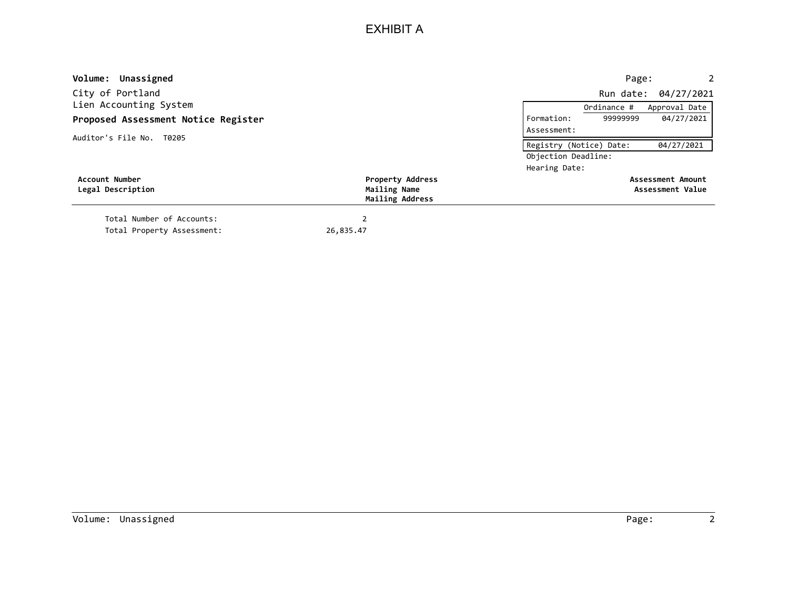| Volume: Unassigned                  |                                                            | $2^{\circ}$<br>Page:                  |
|-------------------------------------|------------------------------------------------------------|---------------------------------------|
| City of Portland                    |                                                            | Run date: 04/27/2021                  |
| Lien Accounting System              |                                                            | Approval Date<br>Ordinance #          |
| Proposed Assessment Notice Register |                                                            | 04/27/2021<br>9999999<br>Formation:   |
| Auditor's File No. T0205            |                                                            | Assessment:                           |
|                                     |                                                            | 04/27/2021<br>Registry (Notice) Date: |
|                                     |                                                            | Objection Deadline:                   |
|                                     |                                                            | Hearing Date:                         |
| Account Number<br>Legal Description | <b>Property Address</b><br>Mailing Name<br>Mailing Address | Assessment Amount<br>Assessment Value |
| Total Number of Accounts:           |                                                            |                                       |
| Total Property Assessment:          | 26,835.47                                                  |                                       |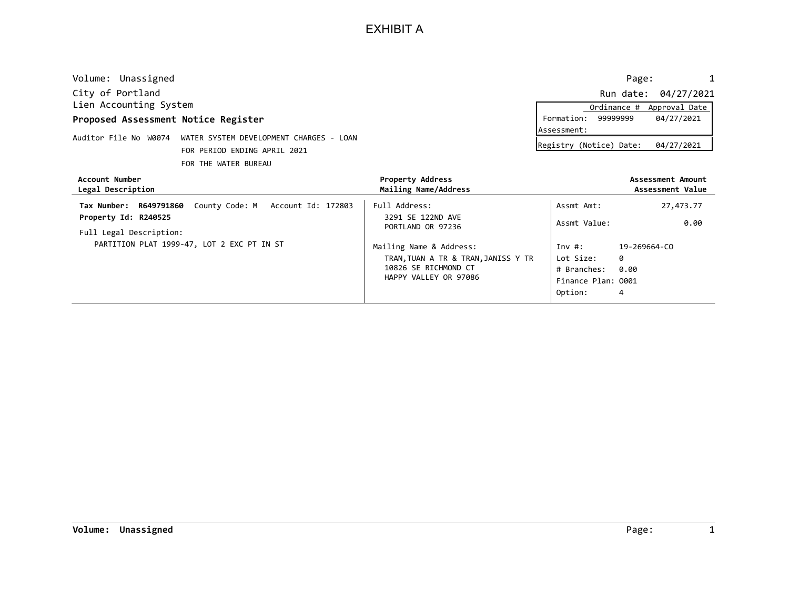| Volume: Unassigned                  |                                                               |                                                 |                          | 1<br>Page:                            |
|-------------------------------------|---------------------------------------------------------------|-------------------------------------------------|--------------------------|---------------------------------------|
| City of Portland                    |                                                               |                                                 |                          | Run date: 04/27/2021                  |
| Lien Accounting System              |                                                               |                                                 | Ordinance #              | Approval Date                         |
| Proposed Assessment Notice Register |                                                               |                                                 | 99999999<br>Formation:   | 04/27/2021                            |
|                                     |                                                               |                                                 | Assessment:              |                                       |
|                                     | Auditor File No W0074 WATER SYSTEM DEVELOPMENT CHARGES - LOAN |                                                 | Registry (Notice) Date:  | 04/27/2021                            |
|                                     | FOR PERIOD ENDING APRIL 2021                                  |                                                 |                          |                                       |
|                                     | FOR THE WATER BUREAU                                          |                                                 |                          |                                       |
| Account Number<br>Legal Description |                                                               | <b>Property Address</b><br>Mailing Name/Address |                          | Assessment Amount<br>Assessment Value |
| Tax Number: R649791860              | County Code: M Account Id: 172803                             | Full Address:                                   | Assmt Amt:               | 27,473.77                             |
| Property Id: R240525                |                                                               | 3291 SE 122ND AVE<br>PORTLAND OR 97236          | Assmt Value:             | 0.00                                  |
| Full Legal Description:             |                                                               |                                                 |                          |                                       |
|                                     | PARTITION PLAT 1999-47, LOT 2 EXC PT IN ST                    | Mailing Name & Address:                         | Inv#:                    | 19-269664-CO                          |
|                                     |                                                               | TRAN, TUAN A TR & TRAN, JANISS Y TR             | Lot Size:                | ø                                     |
|                                     |                                                               | 10826 SE RICHMOND CT                            | # Branches:              | 0.00                                  |
|                                     |                                                               | HAPPY VALLEY OR 97086                           | $E1$ nance $D1$ an: 0001 |                                       |

HAPPY VALLEY OR 97086 Finance Plan: 0001

4

Option: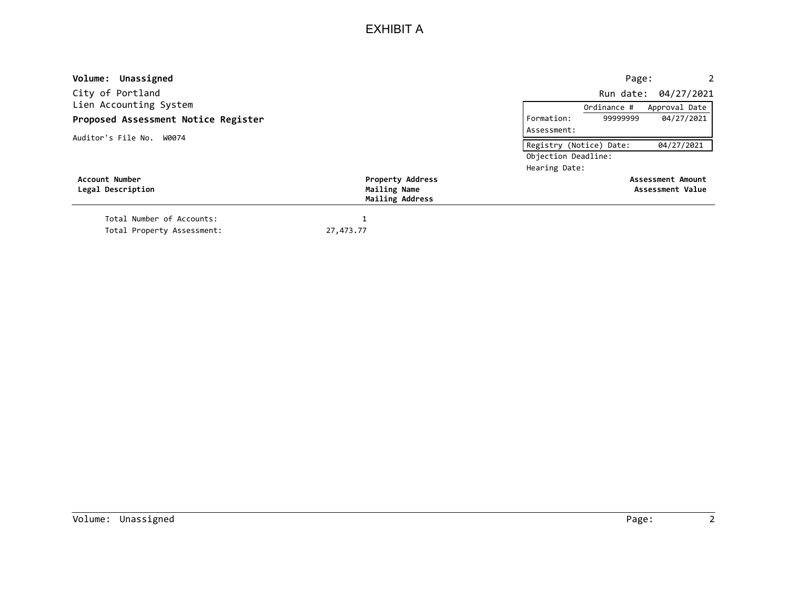| Volume: Unassigned                  |                                 | Page:<br>2                            |
|-------------------------------------|---------------------------------|---------------------------------------|
| City of Portland                    |                                 | Run date: 04/27/2021                  |
| Lien Accounting System              |                                 | Approval Date<br>Ordinance #          |
| Proposed Assessment Notice Register |                                 | 04/27/2021<br>99999999<br>Formation:  |
| Auditor's File No. W0074            |                                 | Assessment:                           |
|                                     |                                 | 04/27/2021<br>Registry (Notice) Date: |
|                                     |                                 | Objection Deadline:                   |
|                                     |                                 | Hearing Date:                         |
| Account Number                      | <b>Property Address</b>         | <b>Assessment Amount</b>              |
| Legal Description                   | Mailing Name<br>Mailing Address | Assessment Value                      |
| Total Number of Accounts:           | 1                               |                                       |
| Total Property Assessment:          | 27,473.77                       |                                       |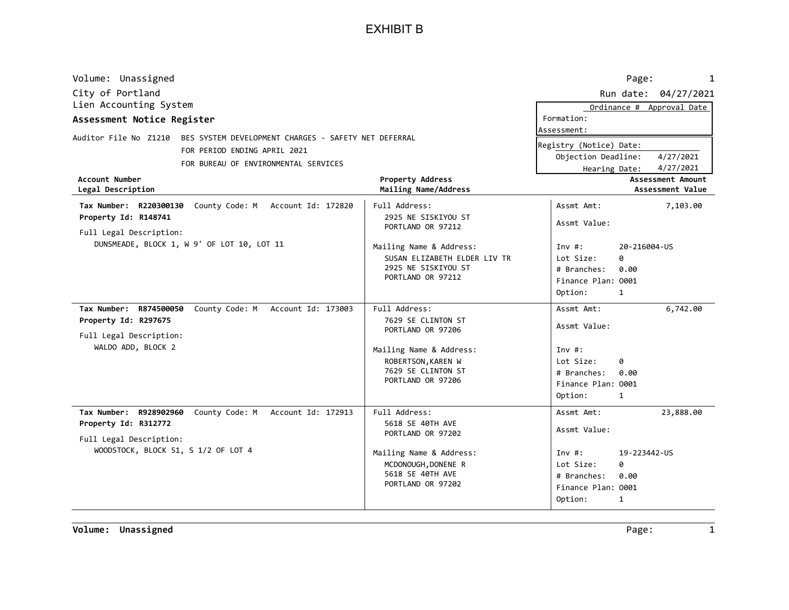|                                                                                                                                                      |                                                                                                                       | Page:<br>1                                                      |
|------------------------------------------------------------------------------------------------------------------------------------------------------|-----------------------------------------------------------------------------------------------------------------------|-----------------------------------------------------------------|
|                                                                                                                                                      |                                                                                                                       | Run date: 04/27/2021                                            |
|                                                                                                                                                      | Formation:                                                                                                            | Ordinance # Approval Date                                       |
| Auditor File No Z1210 BES SYSTEM DEVELOPMENT CHARGES - SAFETY NET DEFERRAL<br><b>Property Address</b>                                                | Registry (Notice) Date:<br>Objection Deadline:<br>Hearing Date:                                                       | 4/27/2021<br>4/27/2021<br>Assessment Amount<br>Assessment Value |
| Full Address:<br>2925 NE SISKIYOU ST<br>PORTLAND OR 97212                                                                                            | Assmt Amt:<br>Assmt Value:                                                                                            | 7,103.00                                                        |
| Mailing Name & Address:<br>SUSAN ELIZABETH ELDER LIV TR<br>2925 NE SISKIYOU ST<br>PORTLAND OR 97212                                                  | Inv $#$ :<br>Lot Size:<br>0<br># Branches:<br>Finance Plan: 0001<br>Option:<br>1                                      | 20-216004-US<br>0.00                                            |
| Full Address:<br>7629 SE CLINTON ST<br>PORTLAND OR 97206<br>Mailing Name & Address:<br>ROBERTSON, KAREN W<br>7629 SE CLINTON ST<br>PORTLAND OR 97206 | Assmt Amt:<br>Assmt Value:<br>Inv#:<br>Lot Size:<br>0<br># Branches:<br>Finance Plan: 0001<br>Option:<br>$\mathbf{1}$ | 6,742.00<br>0.00                                                |
| Full Address:<br>5618 SE 40TH AVE<br>PORTLAND OR 97202<br>Mailing Name & Address:<br>MCDONOUGH, DONENE R<br>5618 SE 40TH AVE<br>PORTLAND OR 97202    | Assmt Amt:<br>Assmt Value:<br>Inv $#$ :<br>Lot Size:<br>ø<br># Branches:<br>Finance Plan: 0001                        | 23,888.00<br>19-223442-US<br>0.00                               |
|                                                                                                                                                      | Mailing Name/Address                                                                                                  | Assessment:<br>Option:<br>$\mathbf{1}$                          |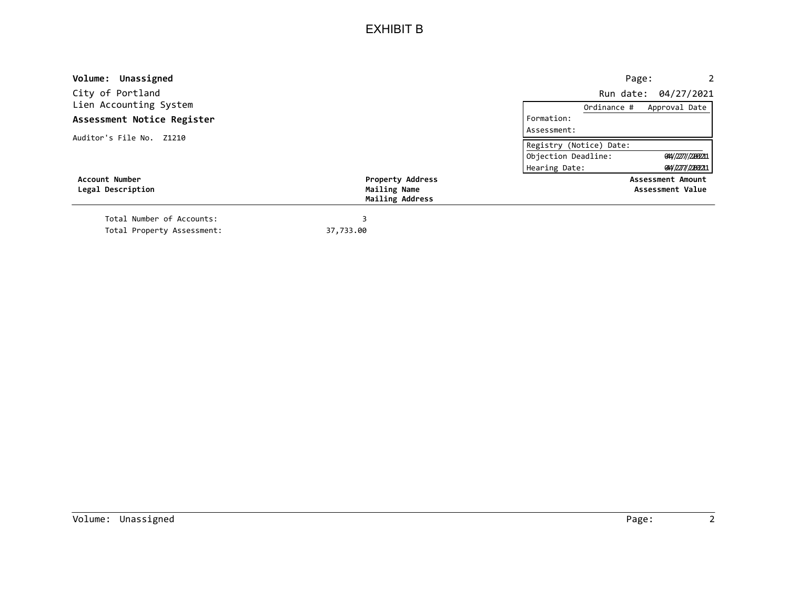| Volume: Unassigned         |                                 | Page:<br>$2^{\circ}$                      |
|----------------------------|---------------------------------|-------------------------------------------|
| City of Portland           |                                 | Run date: 04/27/2021                      |
| Lien Accounting System     |                                 | Approval Date<br>Ordinance #              |
| Assessment Notice Register |                                 | Formation:                                |
| Auditor's File No. Z1210   |                                 | Assessment:                               |
|                            |                                 | Registry (Notice) Date:                   |
|                            |                                 | Objection Deadline:<br>014//2277//2209211 |
|                            |                                 | Hearing Date:<br>014/2277/22092211        |
| <b>Account Number</b>      | <b>Property Address</b>         | Assessment Amount                         |
| Legal Description          | Mailing Name<br>Mailing Address | Assessment Value                          |
| Total Number of Accounts:  |                                 |                                           |
| Total Property Assessment: | 37,733.00                       |                                           |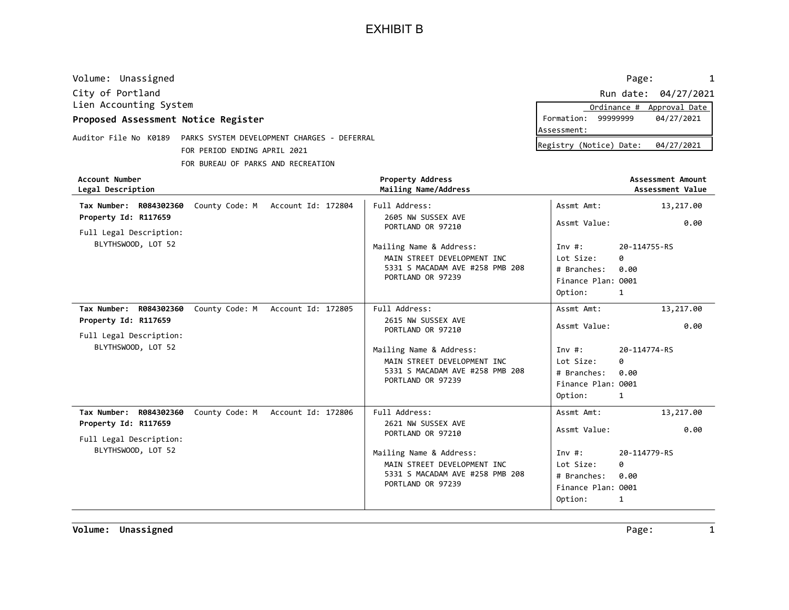| Volume: Unassigned                              |                                             |                                          | Page:                     | 1                                     |
|-------------------------------------------------|---------------------------------------------|------------------------------------------|---------------------------|---------------------------------------|
| City of Portland                                |                                             |                                          |                           | Run date: 04/27/2021                  |
| Lien Accounting System                          |                                             |                                          | Ordinance #               | Approval Date                         |
| Proposed Assessment Notice Register             |                                             |                                          | Formation:<br>99999999    | 04/27/2021                            |
| Auditor File No K0189                           | PARKS SYSTEM DEVELOPMENT CHARGES - DEFERRAL |                                          | Assessment:               |                                       |
|                                                 | FOR PERIOD ENDING APRIL 2021                |                                          | Registry (Notice) Date:   | 04/27/2021                            |
|                                                 | FOR BUREAU OF PARKS AND RECREATION          |                                          |                           |                                       |
| <b>Account Number</b><br>Legal Description      |                                             | Property Address<br>Mailing Name/Address |                           | Assessment Amount<br>Assessment Value |
| R084302360<br>Tax Number:                       | County Code: M<br>Account Id: 172804        | Full Address:                            | Assmt Amt:                | 13,217.00                             |
| Property Id: R117659<br>Full Legal Description: |                                             | 2605 NW SUSSEX AVE<br>PORTLAND OR 97210  | Assmt Value:              | 0.00                                  |
| BLYTHSWOOD, LOT 52                              |                                             | Mailing Name & Address:                  | 20-114755-RS<br>Inv $#$ : |                                       |
|                                                 |                                             | MAIN STREET DEVELOPMENT INC              | Lot Size:<br>ø            |                                       |
|                                                 |                                             | 5331 S MACADAM AVE #258 PMB 208          | # Branches:<br>0.00       |                                       |
|                                                 |                                             | PORTLAND OR 97239                        | Finance Plan: 0001        |                                       |
|                                                 |                                             |                                          | Option:<br>1              |                                       |
| Tax Number:<br>R084302360                       | County Code: M<br>Account Id: 172805        | Full Address:                            | Assmt Amt:                | 13,217.00                             |
| Property Id: R117659                            |                                             | 2615 NW SUSSEX AVE                       | Assmt Value:              | 0.00                                  |
| Full Legal Description:                         |                                             | PORTLAND OR 97210                        |                           |                                       |

| Full Legal Description: |  |
|-------------------------|--|
| BLYTHSWOOD, LOT 52      |  |

| BLYTHSWOOD, LOT 52                                          | Mailing Name & Address:<br>MAIN STREET DEVELOPMENT INC<br>5331 S MACADAM AVE #258 PMB 208<br>PORTLAND OR 97239 | Inv#:<br>Lot Size:<br># Branches: 0.00<br>Finance Plan: 0001<br>Option: | 20-114774-RS<br>0<br>1 |
|-------------------------------------------------------------|----------------------------------------------------------------------------------------------------------------|-------------------------------------------------------------------------|------------------------|
| County Code: M Account Id: 172806<br>Tax Number: R084302360 | Full Address:                                                                                                  | Assmt Amt:                                                              | 13,217.00              |
| Property Id: R117659                                        | 2621 NW SUSSEX AVE                                                                                             | Assmt Value:                                                            | 0.00                   |
| Full Legal Description:                                     | PORTLAND OR 97210                                                                                              |                                                                         |                        |
| BLYTHSWOOD, LOT 52                                          | Mailing Name & Address:                                                                                        | Inv#:                                                                   | 20-114779-RS           |
|                                                             | MAIN STREET DEVELOPMENT INC                                                                                    | Lot Size:                                                               | 0                      |
|                                                             | 5331 S MACADAM AVE #258 PMB 208                                                                                | # Branches:                                                             | 0.00                   |
|                                                             | PORTLAND OR 97239                                                                                              | Finance Plan: 0001                                                      |                        |
|                                                             |                                                                                                                | Option:                                                                 | 1                      |

|           | Ordinance # | Approval Date |
|-----------|-------------|---------------|
| ormation: | 99999999    | 04/27/2021    |
| sessment: |             |               |
|           |             |               |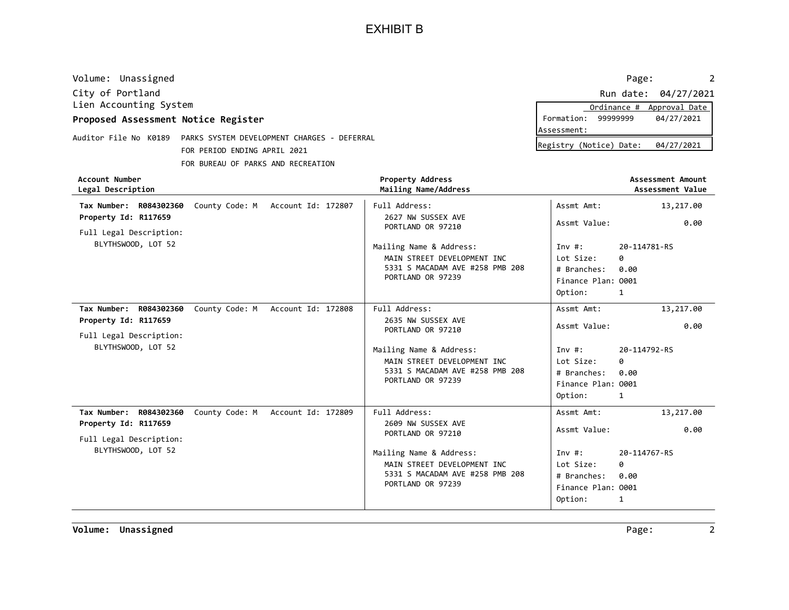| Volume: Unassigned                              |                                             |                                                        | Page:                                | 2                                     |
|-------------------------------------------------|---------------------------------------------|--------------------------------------------------------|--------------------------------------|---------------------------------------|
| City of Portland                                |                                             |                                                        | Run date:                            | 04/27/2021                            |
| Lien Accounting System                          |                                             |                                                        | Ordinance #                          | Approval Date                         |
| Proposed Assessment Notice Register             |                                             |                                                        | Formation:<br>9999999<br>Assessment: | 04/27/2021                            |
| Auditor File No K0189                           | PARKS SYSTEM DEVELOPMENT CHARGES - DEFERRAL |                                                        |                                      |                                       |
|                                                 | FOR PERIOD ENDING APRIL 2021                |                                                        | Registry (Notice) Date:              | 04/27/2021                            |
|                                                 | FOR BUREAU OF PARKS AND RECREATION          |                                                        |                                      |                                       |
| <b>Account Number</b><br>Legal Description      |                                             | <b>Property Address</b><br>Mailing Name/Address        |                                      | Assessment Amount<br>Assessment Value |
| Tax Number: R084302360                          | County Code: M<br>Account Id: 172807        | Full Address:                                          | Assmt Amt:                           | 13,217.00                             |
| Property Id: R117659                            |                                             | 2627 NW SUSSEX AVE<br>PORTLAND OR 97210                | Assmt Value:                         | 0.00                                  |
| Full Legal Description:<br>BLYTHSWOOD, LOT 52   |                                             | Mailing Name & Address:<br>MAIN STREET DEVELOPMENT INC | Inv $#$ :<br>0<br>Lot Size:          | 20-114781-RS                          |
|                                                 |                                             | 5331 S MACADAM AVE #258 PMB 208<br>PORTLAND OR 97239   | # Branches:<br>0.00                  |                                       |
|                                                 |                                             |                                                        | Finance Plan: 0001                   |                                       |
|                                                 |                                             |                                                        | Option:<br>1                         |                                       |
| R084302360<br>Tax Number:                       | Account Id: 172808<br>County Code: M        | Full Address:                                          | Assmt Amt:                           | 13,217.00                             |
| Property Id: R117659<br>Full Legal Description: |                                             | 2635 NW SUSSEX AVE<br>PORTLAND OR 97210                | Assmt Value:                         | 0.00                                  |

|  | LATT LEGAT DESCLIPTION |  |  |
|--|------------------------|--|--|
|  | BLYTHSWOOD, LOT 52     |  |  |

| BLYTHSWOOD, LOT 52                                       |  |                         | Mailing Name & Address:<br>MAIN STREET DEVELOPMENT INC<br>5331 S MACADAM AVE #258 PMB 208<br>PORTLAND OR 97239 | Inv $#$ :<br>Lot Size:<br># Branches:<br>Finance Plan: 0001<br>Option: | 20-114792-RS<br>0<br>0.00<br>1 |
|----------------------------------------------------------|--|-------------------------|----------------------------------------------------------------------------------------------------------------|------------------------------------------------------------------------|--------------------------------|
| Tax Number: R084302360 County Code: M Account Id: 172809 |  |                         | Full Address:                                                                                                  | Assmt Amt:                                                             | 13,217.00                      |
| Property Id: R117659                                     |  |                         | 2609 NW SUSSEX AVE                                                                                             | Assmt Value:                                                           | 0.00                           |
| Full Legal Description:                                  |  |                         | PORTLAND OR 97210                                                                                              |                                                                        |                                |
| BLYTHSWOOD, LOT 52                                       |  | Mailing Name & Address: | Inv $#$ :                                                                                                      | 20-114767-RS                                                           |                                |
|                                                          |  |                         | MAIN STREET DEVELOPMENT INC                                                                                    | Lot Size:                                                              | 0                              |
|                                                          |  |                         | 5331 S MACADAM AVE #258 PMB 208                                                                                | # Branches:                                                            | 0.00                           |
|                                                          |  | PORTLAND OR 97239       | Finance Plan: 0001                                                                                             |                                                                        |                                |
|                                                          |  |                         |                                                                                                                | Option:                                                                | 1                              |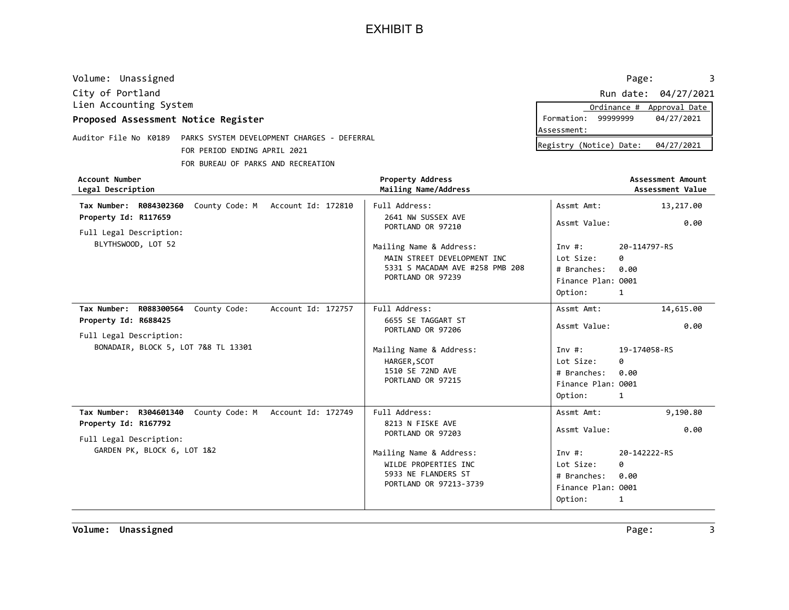| Volume: Unassigned                              |                                                                             |                                                 |                                        | Page:                                 |
|-------------------------------------------------|-----------------------------------------------------------------------------|-------------------------------------------------|----------------------------------------|---------------------------------------|
| City of Portland                                |                                                                             |                                                 |                                        | 04/27/2021<br>Run date:               |
| Lien Accounting System                          |                                                                             |                                                 | Ordinance #                            | Approval Date                         |
| Proposed Assessment Notice Register             |                                                                             |                                                 | 99999999<br>Formation:                 | 04/27/2021                            |
| Auditor File No K0189                           | PARKS SYSTEM DEVELOPMENT CHARGES - DEFERRAL<br>FOR PERIOD ENDING APRIL 2021 |                                                 | Assessment:<br>Registry (Notice) Date: | 04/27/2021                            |
|                                                 | FOR BUREAU OF PARKS AND RECREATION                                          |                                                 |                                        |                                       |
| Account Number<br>Legal Description             |                                                                             | <b>Property Address</b><br>Mailing Name/Address |                                        | Assessment Amount<br>Assessment Value |
| Tax Number: R084302360                          | County Code: M Account Id: 172810                                           | Full Address:                                   | Assmt Amt:                             | 13,217.00                             |
| Property Id: R117659<br>Full Legal Description: |                                                                             | 2641 NW SUSSEX AVE<br>PORTLAND OR 97210         | Assmt Value:                           | 0.00                                  |
| BLYTHSWOOD, LOT 52                              |                                                                             | Mailing Name & Address:                         | Inv#:                                  | 20-114797-RS                          |
|                                                 |                                                                             | MAIN STREET DEVELOPMENT INC                     | Lot Size:                              | 0                                     |
|                                                 |                                                                             | 5331 S MACADAM AVE #258 PMB 208                 | # Branches:                            | 0.00                                  |
|                                                 |                                                                             | PORTLAND OR 97239                               | Finance Plan: 0001                     |                                       |

|                                                                 | <b>FUILLAIND UN JILJJ</b>               | Finance Plan: 0001 |              |
|-----------------------------------------------------------------|-----------------------------------------|--------------------|--------------|
|                                                                 |                                         | Option:            | 1            |
| County Code:<br>Account Id: 172757<br>Tax Number:<br>R088300564 | Full Address:                           | Assmt Amt:         | 14,615.00    |
| Property Id: R688425                                            | 6655 SE TAGGART ST<br>PORTLAND OR 97206 | Assmt Value:       | 0.00         |
| Full Legal Description:                                         |                                         |                    |              |
| BONADAIR, BLOCK 5, LOT 7&8 TL 13301                             | Mailing Name & Address:                 | Inv #:             | 19-174058-RS |
|                                                                 | HARGER, SCOT                            | Lot Size:          | 0            |
|                                                                 | 1510 SE 72ND AVE                        | # Branches:        | 0.00         |
|                                                                 | PORTLAND OR 97215                       | Finance Plan: 0001 |              |
|                                                                 |                                         | Option:            | 1            |
| County Code: M Account Id: 172749<br>Tax Number:<br>R304601340  | Full Address:                           | Assmt Amt:         | 9,190.80     |
| Property Id: R167792                                            | 8213 N FISKE AVE<br>PORTLAND OR 97203   | Assmt Value:       | 0.00         |
| Full Legal Description:                                         |                                         |                    |              |
| GARDEN PK, BLOCK 6, LOT 1&2                                     | Mailing Name & Address:                 | Inv $\#$ :         | 20-142222-RS |
|                                                                 | WILDE PROPERTIES INC                    | Lot Size:          | 0            |
|                                                                 | 5933 NE FLANDERS ST                     | # Branches:        | 0.00         |
|                                                                 | PORTLAND OR 97213-3739                  | Finance Plan: 0001 |              |
|                                                                 |                                         | Option:            | 1            |
|                                                                 |                                         |                    |              |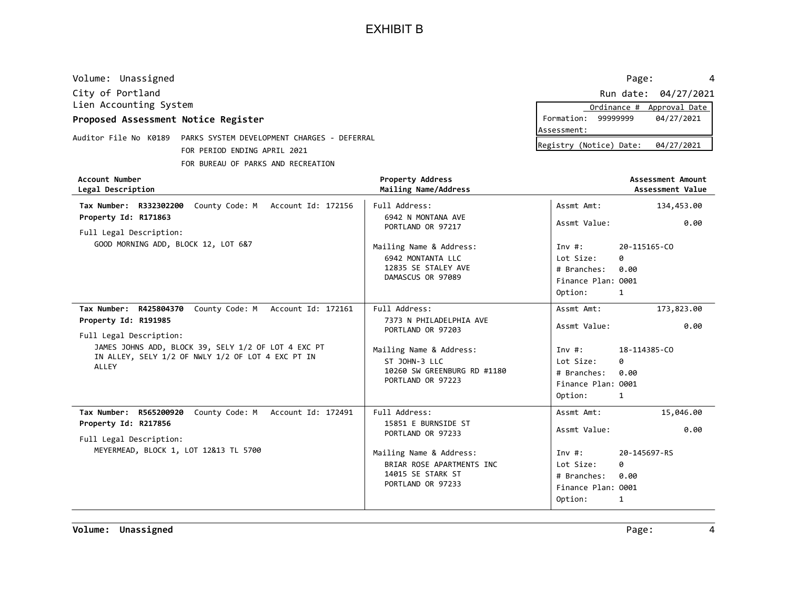| Volume: Unassigned                              |                                             |                                                 |                         | 4<br>Page:                            |
|-------------------------------------------------|---------------------------------------------|-------------------------------------------------|-------------------------|---------------------------------------|
| City of Portland                                |                                             |                                                 |                         | Run date: 04/27/2021                  |
| Lien Accounting System                          |                                             |                                                 | Ordinance #             | Approval Date                         |
| Proposed Assessment Notice Register             |                                             |                                                 | 99999999<br>Formation:  | 04/27/2021                            |
| Auditor File No K0189                           | PARKS SYSTEM DEVELOPMENT CHARGES - DEFERRAL |                                                 | Assessment:             |                                       |
|                                                 |                                             |                                                 | Registry (Notice) Date: | 04/27/2021                            |
|                                                 | FOR PERIOD ENDING APRIL 2021                |                                                 |                         |                                       |
|                                                 | FOR BUREAU OF PARKS AND RECREATION          |                                                 |                         |                                       |
| Account Number<br>Legal Description             |                                             | <b>Property Address</b><br>Mailing Name/Address |                         | Assessment Amount<br>Assessment Value |
| Tax Number: R332302200                          | County Code: M Account Id: 172156           | Full Address:                                   | Assmt Amt:              | 134,453.00                            |
| Property Id: R171863<br>Full Legal Description: |                                             | 6942 N MONTANA AVE<br>PORTLAND OR 97217         | Assmt Value:            | 0.00                                  |
| GOOD MORNING ADD, BLOCK 12, LOT 6&7             |                                             | Mailing Name & Address:                         | Inv $#$ :               | 20-115165-CO                          |
|                                                 |                                             | 6942 MONTANTA LLC                               | Lot Size:<br>ø          |                                       |
|                                                 |                                             | 12835 SE STALEY AVE                             | # Branches:<br>0.00     |                                       |
|                                                 |                                             | DAMASCUS OR 97089                               | Finance Plan: 0001      |                                       |
|                                                 |                                             |                                                 | Option:                 |                                       |
|                                                 |                                             |                                                 |                         |                                       |

| County Code: M Account Id: 172161<br>Tax Number: R425804370                                                       | Full Address:                                                                                  | Assmt Amt:                                                              | 173,823.00                     |
|-------------------------------------------------------------------------------------------------------------------|------------------------------------------------------------------------------------------------|-------------------------------------------------------------------------|--------------------------------|
| Property Id: R191985<br>Full Legal Description:                                                                   | 7373 N PHILADELPHIA AVE<br>PORTLAND OR 97203                                                   | Assmt Value:                                                            | 0.00                           |
| JAMES JOHNS ADD, BLOCK 39, SELY 1/2 OF LOT 4 EXC PT<br>IN ALLEY, SELY 1/2 OF NWLY 1/2 OF LOT 4 EXC PT IN<br>ALLEY | Mailing Name & Address:<br>ST JOHN-3 LLC<br>10260 SW GREENBURG RD #1180<br>PORTLAND OR 97223   | Inv #:<br>Lot Size:<br># Branches:<br>Finance Plan: 0001<br>Option:     | 18-114385-CO<br>0<br>0.00<br>1 |
| County Code: M Account Id: 172491<br>Tax Number: R565200920                                                       | Full Address:                                                                                  | Assmt Amt:                                                              | 15,046.00                      |
| Property Id: R217856<br>Full Legal Description:                                                                   | 15851 E BURNSIDE ST<br>PORTLAND OR 97233                                                       | Assmt Value:                                                            | 0.00                           |
| MEYERMEAD, BLOCK 1, LOT 12&13 TL 5700                                                                             | Mailing Name & Address:<br>BRIAR ROSE APARTMENTS INC<br>14015 SE STARK ST<br>PORTLAND OR 97233 | Inv $\#$ :<br>Lot Size:<br># Branches:<br>Finance Plan: 0001<br>Option: | 20-145697-RS<br>0<br>0.00<br>1 |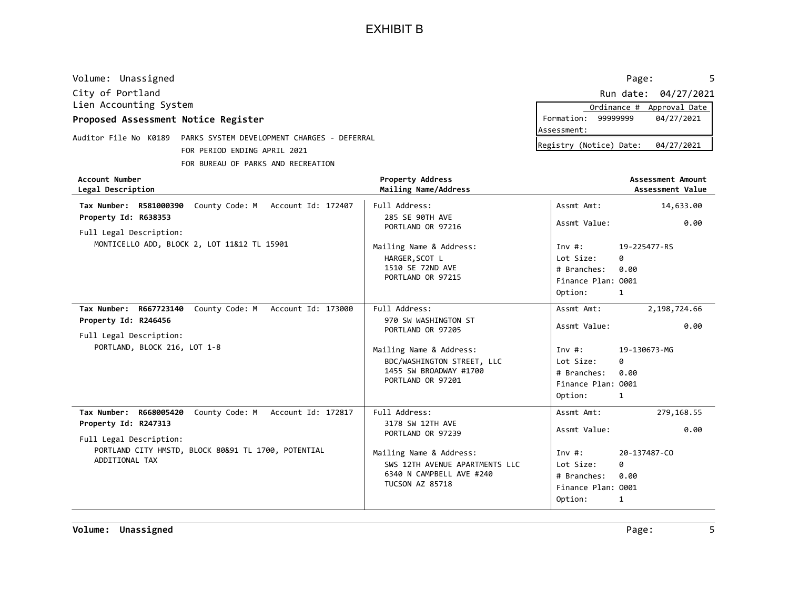| Volume: Unassigned                                                   |                                                               | Page:                                                          | 5 |
|----------------------------------------------------------------------|---------------------------------------------------------------|----------------------------------------------------------------|---|
| City of Portland                                                     |                                                               | Run date:<br>04/27/2021                                        |   |
| Lien Accounting System                                               |                                                               | Approval Date<br>Ordinance #                                   |   |
| Proposed Assessment Notice Register                                  |                                                               | 99999999<br>04/27/2021<br>Formation:                           |   |
| Auditor File No K0189<br>PARKS SYSTEM DEVELOPMENT CHARGES - DEFERRAL |                                                               | Assessment:                                                    |   |
| FOR PERIOD ENDING APRIL 2021                                         |                                                               | Registry (Notice) Date:<br>04/27/2021                          |   |
| FOR BUREAU OF PARKS AND RECREATION                                   |                                                               |                                                                |   |
| Account Number<br>Legal Description                                  | <b>Property Address</b><br>Mailing Name/Address               | Assessment Amount<br>Assessment Value                          |   |
| County Code: M<br>Tax Number: R581000390<br>Account Id: 172407       | Full Address:                                                 | 14,633.00<br>Assmt Amt:                                        |   |
| Property Id: R638353<br>Full Legal Description:                      | 285 SE 90TH AVE<br>PORTLAND OR 97216                          | Assmt Value:<br>0.00                                           |   |
| MONTICELLO ADD, BLOCK 2, LOT 11&12 TL 15901                          | Mailing Name & Address:<br>HARGER, SCOT L<br>1510 SE 72ND AVE | 19-225477-RS<br>Inv#:<br>Lot Size:<br>0<br>0.00<br># Branches: |   |
|                                                                      | PORTLAND OR 97215                                             | Finance Plan: 0001                                             |   |

|                                                                       |                                                                                                                 | Option:                                                             |                                |
|-----------------------------------------------------------------------|-----------------------------------------------------------------------------------------------------------------|---------------------------------------------------------------------|--------------------------------|
| County Code: M<br>Tax Number: R667723140<br>Account Id: 173000        | Full Address:                                                                                                   | Assmt Amt:                                                          | 2,198,724.66                   |
| Property Id: R246456<br>Full Legal Description:                       | 970 SW WASHINGTON ST<br>PORTLAND OR 97205                                                                       | Assmt Value:                                                        | 0.00                           |
| PORTLAND, BLOCK 216, LOT 1-8                                          | Mailing Name & Address:<br>BDC/WASHINGTON STREET, LLC<br>1455 SW BROADWAY #1700<br>PORTLAND OR 97201            | Inv #:<br>Lot Size:<br># Branches:<br>Finance Plan: 0001<br>Option: | 19-130673-MG<br>ø<br>0.00<br>1 |
| County Code: M<br>Tax Number: R668005420<br>Account Id: 172817        | Full Address:                                                                                                   | Assmt Amt:                                                          | 279,168.55                     |
| Property Id: R247313<br>Full Legal Description:                       | 3178 SW 12TH AVE<br>PORTLAND OR 97239                                                                           | Assmt Value:                                                        | 0.00                           |
| PORTLAND CITY HMSTD, BLOCK 80&91 TL 1700, POTENTIAL<br>ADDITIONAL TAX | Mailing Name & Address:<br>SWS 12TH AVENUE APARTMENTS LLC<br>6340 N CAMPBELL AVE #240<br><b>TUCSON AZ 85718</b> | Inv $\#$ :<br>Lot Size:<br># Branches:                              | 20-137487-CO<br>ø<br>0.00      |

TUCSON AZ 85718 <br>
Finance Plan: 0001

1

Option: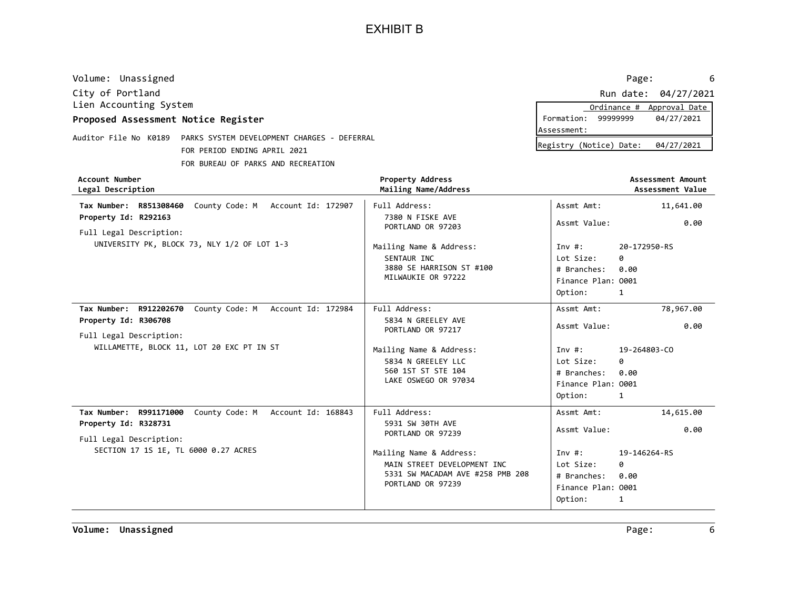| Volume: Unassigned                                                   |                                                 | Page:<br>6                            |
|----------------------------------------------------------------------|-------------------------------------------------|---------------------------------------|
| City of Portland                                                     |                                                 | Run date: 04/27/2021                  |
| Lien Accounting System                                               |                                                 | Approval Date<br>Ordinance #          |
| Proposed Assessment Notice Register                                  |                                                 | Formation:<br>99999999<br>04/27/2021  |
|                                                                      |                                                 | Assessment:                           |
| Auditor File No K0189<br>PARKS SYSTEM DEVELOPMENT CHARGES - DEFERRAL |                                                 | Registry (Notice) Date:<br>04/27/2021 |
| FOR PERIOD ENDING APRIL 2021                                         |                                                 |                                       |
| FOR BUREAU OF PARKS AND RECREATION                                   |                                                 |                                       |
| Account Number<br>Legal Description                                  | <b>Property Address</b><br>Mailing Name/Address | Assessment Amount<br>Assessment Value |
| County Code: M<br>R851308460<br>Account Id: 172907<br>Tax Number:    | Full Address:                                   | Assmt Amt:<br>11,641.00               |
| Property Id: R292163<br>Full Legal Description:                      | 7380 N FISKE AVE<br>PORTLAND OR 97203           | Assmt Value:<br>0.00                  |
| UNIVERSITY PK, BLOCK 73, NLY 1/2 OF LOT 1-3                          | Mailing Name & Address:                         | Inv $#$ :<br>20-172950-RS             |
|                                                                      | SENTAUR INC                                     | Lot Size:<br>0                        |
|                                                                      | 3880 SE HARRISON ST #100                        | 0.00<br># Branches:                   |
|                                                                      | MILWAUKIE OR 97222                              | Finance Plan: 0001                    |
|                                                                      |                                                 | Ontion                                |

|                                                          |                                         | Option:            | 1            |
|----------------------------------------------------------|-----------------------------------------|--------------------|--------------|
| Tax Number: R912202670 County Code: M Account Id: 172984 | Full Address:                           | Assmt Amt:         | 78,967.00    |
| Property Id: R306708<br>Full Legal Description:          | 5834 N GREELEY AVE<br>PORTLAND OR 97217 | Assmt Value:       | 0.00         |
| WILLAMETTE, BLOCK 11, LOT 20 EXC PT IN ST                | Mailing Name & Address:                 | Inv#:              | 19-264803-CO |
|                                                          | 5834 N GREELEY LLC                      | Lot Size:          | 0            |
|                                                          | 560 1ST ST STE 104                      | # Branches:        | 0.00         |
|                                                          | LAKE OSWEGO OR 97034                    | Finance Plan: 0001 |              |
|                                                          |                                         | Option:            | 1            |
| Tax Number: R991171000 County Code: M Account Id: 168843 | Full Address:                           | Assmt Amt:         | 14,615.00    |
| Property Id: R328731<br>Full Legal Description:          | 5931 SW 30TH AVE<br>PORTLAND OR 97239   | Assmt Value:       | 0.00         |
| SECTION 17 1S 1E, TL 6000 0.27 ACRES                     | Mailing Name & Address:                 | Inv#:              | 19-146264-RS |
|                                                          | MAIN STREET DEVELOPMENT INC             | Lot Size:          | ø            |
|                                                          | 5331 SW MACADAM AVE #258 PMB 208        | # Branches:        | 0.00         |
|                                                          | PORTLAND OR 97239                       | Finance Plan: 0001 |              |
|                                                          |                                         | Option:            | 1            |
|                                                          |                                         |                    |              |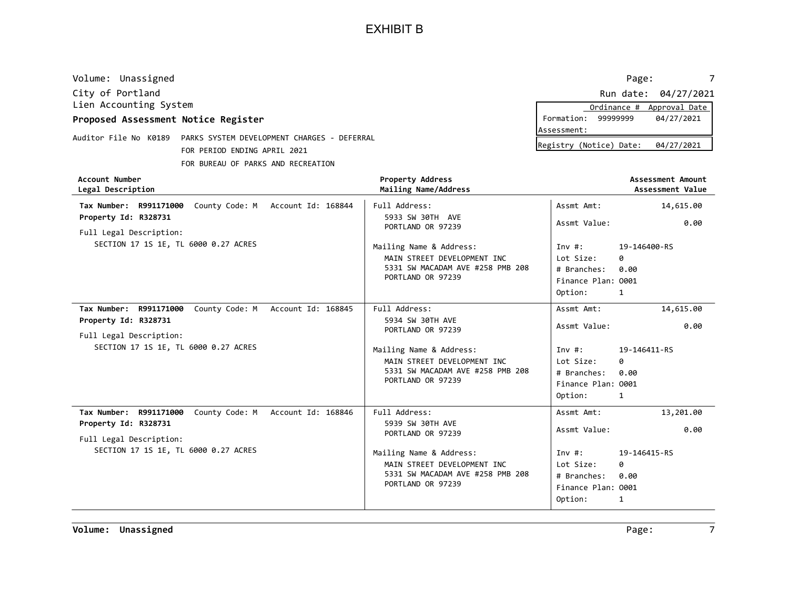| City of Portland<br>Lien Accounting System<br>Proposed Assessment Notice Register<br>Auditor File No K0189<br>PARKS SYSTEM DEVELOPMENT CHARGES - DEFERRAL<br>FOR PERIOD ENDING APRIL 2021<br>FOR BUREAU OF PARKS AND RECREATION |                                                                                                                 | Formation: 99999999<br>Assessment:<br>Registry (Notice) Date:       | Run date: 04/27/2021<br>Ordinance # Approval Date<br>04/27/2021<br>04/27/2021 |
|---------------------------------------------------------------------------------------------------------------------------------------------------------------------------------------------------------------------------------|-----------------------------------------------------------------------------------------------------------------|---------------------------------------------------------------------|-------------------------------------------------------------------------------|
| <b>Account Number</b><br>Legal Description                                                                                                                                                                                      | <b>Property Address</b><br>Mailing Name/Address                                                                 |                                                                     | <b>Assessment Amount</b><br>Assessment Value                                  |
| Tax Number: R991171000<br>County Code: M Account Id: 168844                                                                                                                                                                     | Full Address:                                                                                                   | Assmt Amt:                                                          | 14,615.00                                                                     |
| Property Id: R328731<br>Full Legal Description:                                                                                                                                                                                 | 5933 SW 30TH AVE<br>PORTLAND OR 97239                                                                           | Assmt Value:                                                        | 0.00                                                                          |
| SECTION 17 1S 1E, TL 6000 0.27 ACRES                                                                                                                                                                                            | Mailing Name & Address:<br>MAIN STREET DEVELOPMENT INC<br>5331 SW MACADAM AVE #258 PMB 208<br>PORTLAND OR 97239 | Inv #:<br>Lot Size:<br># Branches:<br>Finance Plan: 0001<br>Option: | 19-146400-RS<br>ø<br>0.00<br>1                                                |
| Tax Number: R991171000<br>County Code: M Account Id: 168845                                                                                                                                                                     | Full Address:                                                                                                   | Assmt Amt:                                                          | 14,615.00                                                                     |
| Property Id: R328731<br>Full Legal Description:                                                                                                                                                                                 | 5934 SW 30TH AVE<br>PORTLAND OR 97239                                                                           | Assmt Value:                                                        | 0.00                                                                          |
| SECTION 17 1S 1E, TL 6000 0.27 ACRES                                                                                                                                                                                            | Mailing Name & Address:<br>MAIN STREET DEVELOPMENT INC<br>5331 SW MACADAM AVE #258 PMB 208<br>PORTLAND OR 97239 | Inv #:<br>Lot Size:<br># Branches:<br>Finance Plan: 0001<br>Option: | 19-146411-RS<br>0<br>0.00<br>1                                                |

Tax Number: R991171000 County Code: M Account Id: 168846 | Full Address: 13,201.00 5939 SW 30TH AVE PORTLAND OR 97239 Property Id: R328731 SECTION 17 1S 1E, TL 6000 0.27 ACRES MAIN STREET DEVELOPMENT INC 5331 SW MACADAM AVE #258 PMB 208 PORTLAND OR 97239 **Finance Plan: 0001** 0.00 # Branches: Lot Size: Option: Inv #: Full Legal Description: Full Address: Assmt Amt: Mailing Name & Address: Assmt Value:

Volume: Unassigned Page: The Page: Page: Page: Page: Page: Page: Page: Page: Page: Page: Page: Page: Page: Page: Page: Page: Page: Page: Page: Page: Page: Page: Page: Page: Page: Page: Page: Page: Page: Page: Page: Page: P

0.00

Volume: Unassigned 7 and 2008 and 2009 and 2009 and 2009 and 2009 and 2009 and 2009 and 2009 and 2009 and 2009  $\sigma$ 

|           |          | Ordinance # Approval Date |
|-----------|----------|---------------------------|
| ormation: | 99999999 | 04/27/2021                |
| sessment: |          |                           |
|           |          |                           |

19-146415-RS

0

1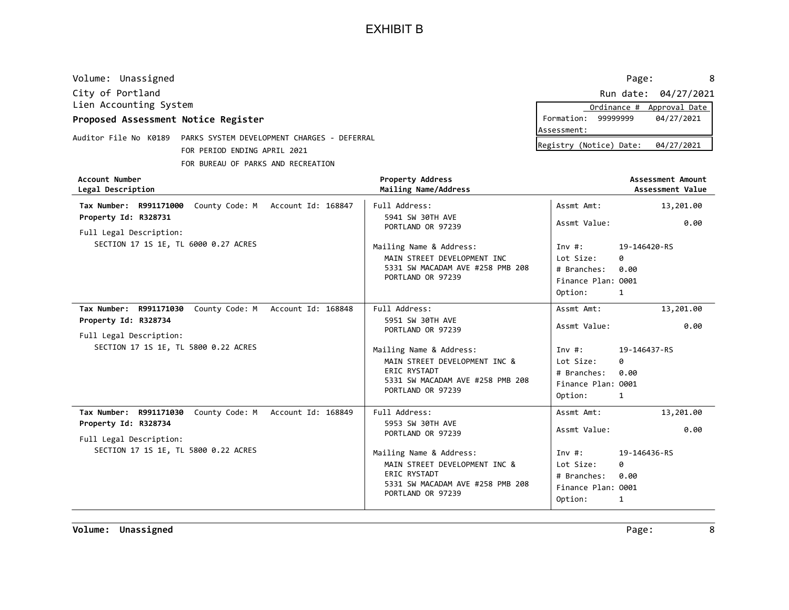| City of Portland<br>Lien Accounting System                                                                                                 |                                                                                                                                   |                                                                                          | Run date: 04/27/2021<br>Ordinance # Approval Date |
|--------------------------------------------------------------------------------------------------------------------------------------------|-----------------------------------------------------------------------------------------------------------------------------------|------------------------------------------------------------------------------------------|---------------------------------------------------|
| Proposed Assessment Notice Register                                                                                                        |                                                                                                                                   | Formation: 99999999<br>Assessment:                                                       | 04/27/2021                                        |
| Auditor File No K0189    PARKS SYSTEM DEVELOPMENT CHARGES - DEFERRAL<br>FOR PERIOD ENDING APRIL 2021<br>FOR BUREAU OF PARKS AND RECREATION |                                                                                                                                   | Registry (Notice) Date:                                                                  | 04/27/2021                                        |
| <b>Account Number</b><br>Legal Description                                                                                                 | <b>Property Address</b><br>Mailing Name/Address                                                                                   |                                                                                          | Assessment Amount<br>Assessment Value             |
| Tax Number: R991171000<br>County Code: M Account Id: 168847                                                                                | Full Address:                                                                                                                     | Assmt Amt:                                                                               | 13,201.00                                         |
| Property Id: R328731<br>Full Legal Description:                                                                                            | 5941 SW 30TH AVE<br>PORTLAND OR 97239                                                                                             | Assmt Value:                                                                             | 0.00                                              |
| SECTION 17 1S 1E, TL 6000 0.27 ACRES                                                                                                       | Mailing Name & Address:<br>MAIN STREET DEVELOPMENT INC<br>5331 SW MACADAM AVE #258 PMB 208<br>PORTLAND OR 97239                   | Inv#:<br>Lot Size:<br>0<br># Branches:<br>0.00<br>Finance Plan: 0001<br>Option:<br>1     | 19-146420-RS                                      |
| Tax Number: R991171030<br>Account Id: 168848<br>County Code: M<br>Property Id: R328734<br>Full Legal Description:                          | Full Address:<br>5951 SW 30TH AVE<br>PORTLAND OR 97239                                                                            | Assmt Amt:<br>Assmt Value:                                                               | 13,201.00<br>0.00                                 |
| SECTION 17 1S 1E, TL 5800 0.22 ACRES                                                                                                       | Mailing Name & Address:<br>MAIN STREET DEVELOPMENT INC &<br>ERIC RYSTADT<br>5331 SW MACADAM AVE #258 PMB 208<br>PORTLAND OR 97239 | Inv $#$ :<br>Lot Size:<br>0<br># Branches:<br>0.00<br>Finance Plan: 0001<br>Option:<br>1 | 19-146437-RS                                      |

Tax Number: R991171030 County Code: M Account Id: 168849 | Full Address: 13,201.00 5953 SW 30TH AVE PORTLAND OR 97239 0 Property Id: R328734 SECTION 17 1S 1E, TL 5800 0.22 ACRES MAIN STREET DEVELOPMENT INC & ERIC RYSTADT 5331 SW MACADAM AVE #258 PMB 208 PORTLAND OR 97239 Finance Plan: 0001 1 19-146436-RS 0.00 # Branches: Lot Size: Option: Inv #: Full Legal Description: Full Address: Assmt Amt: Mailing Name & Address: Assmt Value:

Volume: Unassigned Page: 8

Volume: Unassigned 8 and 2008 and 2009 and 2009 and 2009 and 2009 and 2009 and 2009 and 2009 and 2009 and 2009  $P$ 

|             |                         | Ordinance # Approval Date |
|-------------|-------------------------|---------------------------|
|             | Formation: 99999999     | 04/27/2021                |
| Assessment: |                         |                           |
|             | Posictou (Notica) Dato: | 0112712021                |

0.00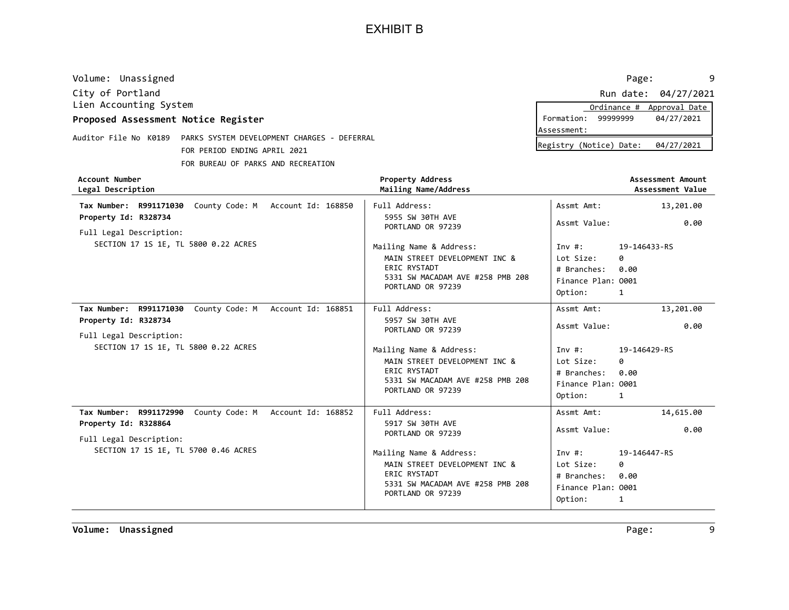| Volume: Unassigned                                                                                   |                                                       | Page:                   | 9                                     |
|------------------------------------------------------------------------------------------------------|-------------------------------------------------------|-------------------------|---------------------------------------|
| City of Portland                                                                                     |                                                       |                         | Run date: 04/27/2021                  |
| Lien Accounting System                                                                               |                                                       | Ordinance #             | Approval Date                         |
| Proposed Assessment Notice Register                                                                  |                                                       | Formation:<br>99999999  | 04/27/2021                            |
|                                                                                                      |                                                       | Assessment:             |                                       |
| Auditor File No K0189<br>PARKS SYSTEM DEVELOPMENT CHARGES - DEFERRAL<br>FOR PERIOD ENDING APRIL 2021 |                                                       | Registry (Notice) Date: | 04/27/2021                            |
| FOR BUREAU OF PARKS AND RECREATION                                                                   |                                                       |                         |                                       |
| Account Number<br>Legal Description                                                                  | <b>Property Address</b><br>Mailing Name/Address       |                         | Assessment Amount<br>Assessment Value |
| County Code: M<br>Account Id: 168850<br>Tax Number:<br>R991171030                                    | Full Address:                                         | Assmt Amt:              | 13,201.00                             |
| Property Id: R328734<br>Full Legal Description:                                                      | 5955 SW 30TH AVE<br>PORTLAND OR 97239                 | Assmt Value:            | 0.00                                  |
| SECTION 17 1S 1E, TL 5800 0.22 ACRES                                                                 | Mailing Name & Address:                               | Inv#:                   | 19-146433-RS                          |
|                                                                                                      | MAIN STREET DEVELOPMENT INC &                         | Lot Size:<br>0          |                                       |
|                                                                                                      | ERIC RYSTADT                                          | # Branches:<br>0.00     |                                       |
|                                                                                                      | 5331 SW MACADAM AVE #258 PMB 208<br>PORTLAND OR 97239 | Finance Plan: 0001      |                                       |
|                                                                                                      |                                                       | Option:<br>1            |                                       |
|                                                                                                      |                                                       |                         |                                       |

|                                                                |                                                                                                                                          | $V$ $V$ $V$ $V$ $V$ $V$ $V$ $V$ $V$                                            |                                |
|----------------------------------------------------------------|------------------------------------------------------------------------------------------------------------------------------------------|--------------------------------------------------------------------------------|--------------------------------|
| Tax Number: R991171030 County Code: M Account Id: 168851       | Full Address:                                                                                                                            | Assmt Amt:                                                                     | 13,201.00                      |
| Property Id: R328734<br>Full Legal Description:                | 5957 SW 30TH AVE<br>PORTLAND OR 97239                                                                                                    | Assmt Value:                                                                   | 0.00                           |
| SECTION 17 1S 1E, TL 5800 0.22 ACRES                           | Mailing Name & Address:<br>MAIN STREET DEVELOPMENT INC &<br><b>ERIC RYSTADT</b><br>5331 SW MACADAM AVE #258 PMB 208<br>PORTLAND OR 97239 | Inv #:<br>Lot Size:<br># Branches: 0.00<br>Finance Plan: 0001<br>Option:       | 19-146429-RS<br>0<br>1         |
| County Code: M<br>Tax Number: R991172990<br>Account Id: 168852 | Full Address:                                                                                                                            | Assmt Amt:                                                                     | 14,615.00                      |
| Property Id: R328864<br>Full Legal Description:                | 5917 SW 30TH AVE<br>PORTLAND OR 97239                                                                                                    | Assmt Value:                                                                   | 0.00                           |
| SECTION 17 1S 1E, TL 5700 0.46 ACRES                           | Mailing Name & Address:<br>MAIN STREET DEVELOPMENT INC &<br><b>ERIC RYSTADT</b><br>5331 SW MACADAM AVE #258 PMB 208<br>PORTLAND OR 97239 | Inv #: $\sqrt{2}$<br>Lot Size:<br># Branches:<br>Finance Plan: 0001<br>Option: | 19-146447-RS<br>0<br>0.00<br>1 |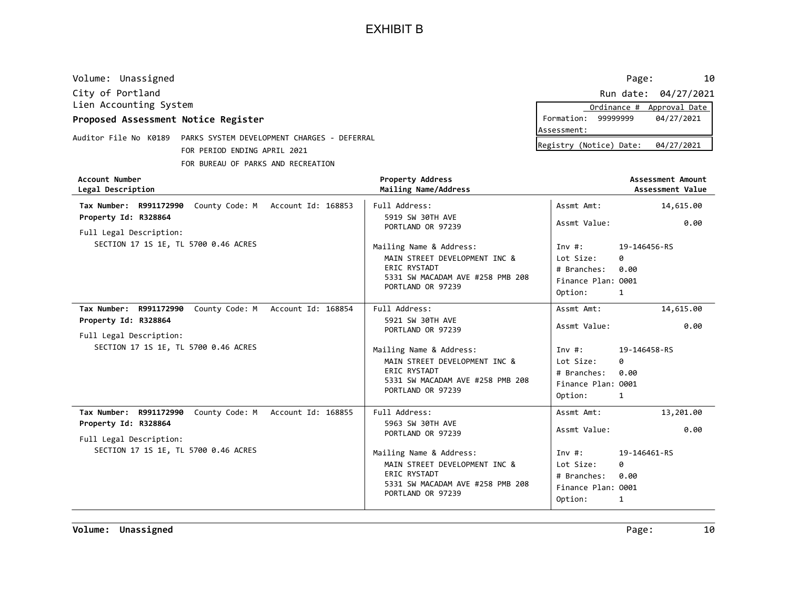| Volume: Unassigned                                                   |                                                          |                                     | 10<br>Page:                           |
|----------------------------------------------------------------------|----------------------------------------------------------|-------------------------------------|---------------------------------------|
| City of Portland                                                     |                                                          | Run date:                           | 04/27/2021                            |
| Lien Accounting System                                               |                                                          | Ordinance #                         | Approval Date                         |
| Proposed Assessment Notice Register                                  |                                                          | 99999999<br>Formation:              | 04/27/2021                            |
| Auditor File No K0189<br>PARKS SYSTEM DEVELOPMENT CHARGES - DEFERRAL |                                                          | Assessment:                         |                                       |
| FOR PERIOD ENDING APRIL 2021                                         |                                                          | Registry (Notice) Date:             | 04/27/2021                            |
| FOR BUREAU OF PARKS AND RECREATION                                   |                                                          |                                     |                                       |
| Account Number<br>Legal Description                                  | <b>Property Address</b><br>Mailing Name/Address          |                                     | Assessment Amount<br>Assessment Value |
| County Code: M<br>R991172990<br>Account Id: 168853<br>Tax Number:    | Full Address:                                            | Assmt Amt:                          | 14,615.00                             |
| Property Id: R328864<br>Full Legal Description:                      | 5919 SW 30TH AVE<br>PORTLAND OR 97239                    | Assmt Value:                        | 0.00                                  |
| SECTION 17 1S 1E, TL 5700 0.46 ACRES                                 | Mailing Name & Address:<br>MATH CTBEET BEVELOBMENT THE B | Inv #:<br>$1.1 + C2 - C3$<br>$\sim$ | 19-146456-RS                          |

|                                                                                                                                                        | MAIN STREET DEVELOPMENT INC &<br>ERIC RYSTADT<br>5331 SW MACADAM AVE #258 PMB 208<br>PORTLAND OR 97239                                                                                      | Lot Size:<br>ø<br>0.00<br># Branches:<br>Finance Plan: 0001<br>Option:<br>1                                                                              |
|--------------------------------------------------------------------------------------------------------------------------------------------------------|---------------------------------------------------------------------------------------------------------------------------------------------------------------------------------------------|----------------------------------------------------------------------------------------------------------------------------------------------------------|
| County Code: M<br>Tax Number: R991172990<br>Account Id: 168854<br>Property Id: R328864<br>Full Legal Description:                                      | Full Address:<br>5921 SW 30TH AVE<br>PORTLAND OR 97239                                                                                                                                      | Assmt Amt:<br>14,615.00<br>0.00<br>Assmt Value:                                                                                                          |
| SECTION 17 1S 1E, TL 5700 0.46 ACRES                                                                                                                   | Mailing Name & Address:<br>MAIN STREET DEVELOPMENT INC &<br>ERIC RYSTADT<br>5331 SW MACADAM AVE #258 PMB 208<br>PORTLAND OR 97239                                                           | Inv $\#$ :<br>19-146458-RS<br>Lot Size:<br>ø<br># Branches:<br>0.00<br>Finance Plan: 0001<br>Option:<br>1                                                |
| Tax Number: R991172990<br>County Code: M Account Id: 168855<br>Property Id: R328864<br>Full Legal Description:<br>SECTION 17 1S 1E, TL 5700 0.46 ACRES | Full Address:<br>5963 SW 30TH AVE<br>PORTLAND OR 97239<br>Mailing Name & Address:<br>MAIN STREET DEVELOPMENT INC &<br>ERIC RYSTADT<br>5331 SW MACADAM AVE #258 PMB 208<br>PORTLAND OR 97239 | Assmt Amt:<br>13,201.00<br>Assmt Value:<br>0.00<br>Inv #:<br>19-146461-RS<br>Lot Size:<br>0<br># Branches:<br>0.00<br>Finance Plan: 0001<br>Option:<br>1 |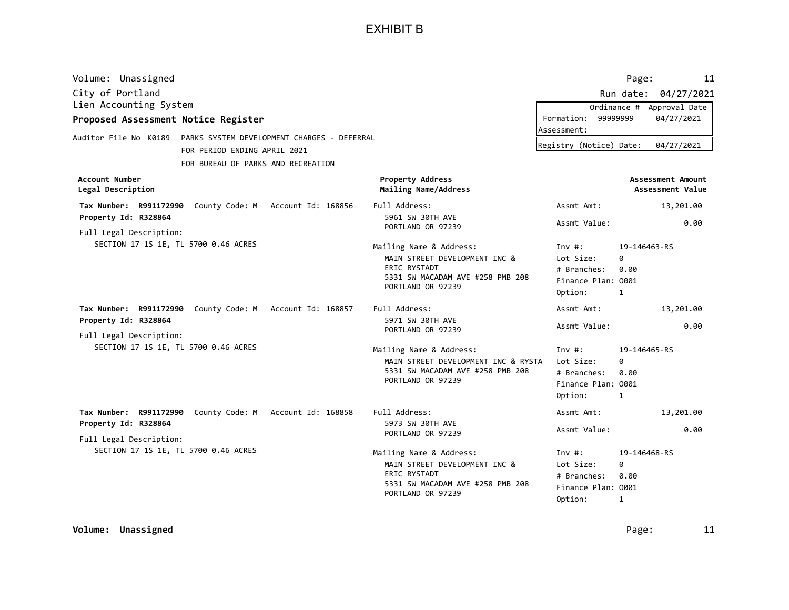| Volume: Unassigned                  |                                                                          |                                      | 11<br>Page:                           |
|-------------------------------------|--------------------------------------------------------------------------|--------------------------------------|---------------------------------------|
| City of Portland                    |                                                                          |                                      | 04/27/2021<br>Run date:               |
| Lien Accounting System              |                                                                          |                                      | Approval Date<br>Ordinance #          |
| Proposed Assessment Notice Register |                                                                          |                                      | 99999999<br>04/27/2021<br>Formation:  |
| Auditor File No K0189               | PARKS SYSTEM DEVELOPMENT CHARGES - DEFERRAL                              |                                      | Assessment:                           |
|                                     | FOR PERIOD ENDING APRIL 2021                                             |                                      | Registry (Notice) Date:<br>04/27/2021 |
|                                     |                                                                          |                                      |                                       |
|                                     | FOR BUREAU OF PARKS AND RECREATION                                       |                                      |                                       |
| Account Number                      |                                                                          | <b>Property Address</b>              | Assessment Amount                     |
| Legal Description                   |                                                                          | Mailing Name/Address                 | Assessment Value                      |
|                                     | $T_{\text{max}}$ Newhere, BOO4473000, County Code: M. Account Td: 4600E6 | $F: T \to A \to A \to A \to A \to A$ | A consult And the<br>12.201.00        |

| Tax Number: R991172990 County Code: M Account Id: 168856<br>Property Id: R328864<br>Full Legal Description:    | Full Address:<br>5961 SW 30TH AVE<br>PORTLAND OR 97239                                                                            | Assmt Amt:<br>Assmt Value:                                         | 13,201.00<br>0.00              |
|----------------------------------------------------------------------------------------------------------------|-----------------------------------------------------------------------------------------------------------------------------------|--------------------------------------------------------------------|--------------------------------|
| SECTION 17 1S 1E, TL 5700 0.46 ACRES                                                                           | Mailing Name & Address:<br>MAIN STREET DEVELOPMENT INC &<br>ERIC RYSTADT<br>5331 SW MACADAM AVE #258 PMB 208<br>PORTLAND OR 97239 | Inv#:<br>Lot Size:<br># Branches:<br>Finance Plan: 0001<br>Option: | 19-146463-RS<br>ø<br>0.00<br>1 |
| County Code: M Account Id: 168857<br>Tax Number: R991172990<br>Property Id: R328864<br>Full Legal Description: | Full Address:<br>5971 SW 30TH AVE<br>PORTLAND OR 97239                                                                            | Assmt Amt:<br>Assmt Value:                                         | 13,201.00<br>0.00              |
| SECTION 17 1S 1E, TL 5700 0.46 ACRES                                                                           | Mailing Name & Address:<br>MAIN STREET DEVELOPMENT INC & RYSTA<br>5331 SW MACADAM AVE #258 PMB 208<br>PORTLAND OR 97239           | Inv#:<br>Lot Size:<br># Branches:<br>Finance Plan: 0001<br>Option: | 19-146465-RS<br>0<br>0.00<br>1 |
| Tax Number: R991172990<br>County Code: M Account Id: 168858<br>Property Id: R328864<br>Full Legal Description: | Full Address:<br>5973 SW 30TH AVE<br>PORTLAND OR 97239                                                                            | Assmt Amt:<br>Assmt Value:                                         | 13,201.00<br>0.00              |
| SECTION 17 1S 1E, TL 5700 0.46 ACRES                                                                           | Mailing Name & Address:<br>MAIN STREET DEVELOPMENT INC &<br>ERIC RYSTADT<br>5331 SW MACADAM AVE #258 PMB 208<br>PORTLAND OR 97239 | Inv#:<br>Lot Size:<br># Branches:<br>Finance Plan: 0001<br>Option: | 19-146468-RS<br>ø<br>0.00<br>1 |

Volume: Unassigned Page: 11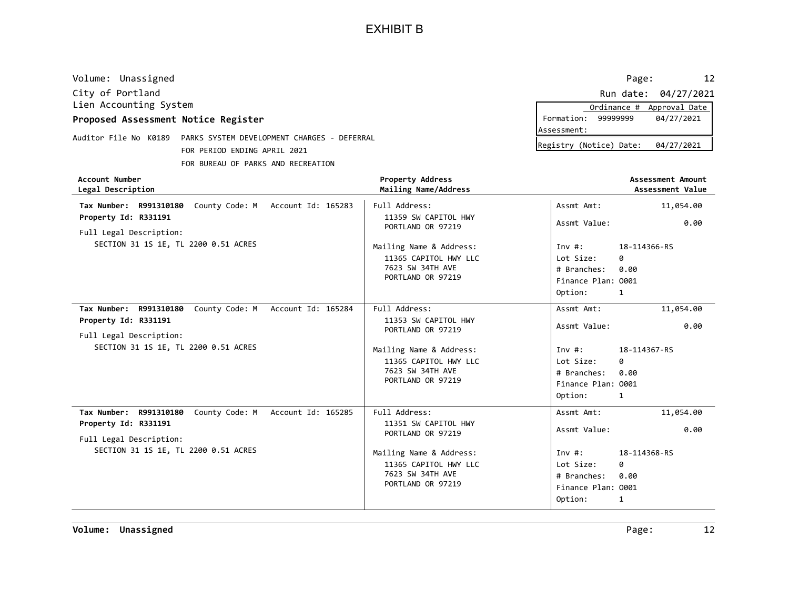| Volume: Unassigned                                                                      |                                             |                                                                                           | 12<br>Page:                                                                                              |
|-----------------------------------------------------------------------------------------|---------------------------------------------|-------------------------------------------------------------------------------------------|----------------------------------------------------------------------------------------------------------|
| City of Portland                                                                        |                                             |                                                                                           | Run date: 04/27/2021                                                                                     |
| Lien Accounting System                                                                  |                                             |                                                                                           | Approval Date<br>Ordinance #                                                                             |
| Proposed Assessment Notice Register                                                     |                                             |                                                                                           | 99999999<br>Formation:<br>04/27/2021<br>Assessment:                                                      |
| Auditor File No K0189                                                                   | PARKS SYSTEM DEVELOPMENT CHARGES - DEFERRAL |                                                                                           |                                                                                                          |
|                                                                                         | FOR PERIOD ENDING APRIL 2021                |                                                                                           | Registry (Notice) Date:<br>04/27/2021                                                                    |
|                                                                                         | FOR BUREAU OF PARKS AND RECREATION          |                                                                                           |                                                                                                          |
| Account Number<br>Legal Description                                                     |                                             | <b>Property Address</b><br>Mailing Name/Address                                           | Assessment Amount<br>Assessment Value                                                                    |
| R991310180<br>Tax Number:                                                               | County Code: M<br>Account Id: 165283        | Full Address:                                                                             | Assmt Amt:<br>11,054.00                                                                                  |
| Property Id: R331191                                                                    |                                             | 11359 SW CAPITOL HWY<br>PORTLAND OR 97219                                                 | Assmt Value:<br>0.00                                                                                     |
| Full Legal Description:<br>SECTION 31 1S 1E, TL 2200 0.51 ACRES                         |                                             | Mailing Name & Address:<br>11365 CAPITOL HWY LLC<br>7623 SW 34TH AVE<br>PORTLAND OR 97219 | 18-114366-RS<br>Inv $#$ :<br>Lot Size:<br>0<br># Branches:<br>0.00<br>Finance Plan: 0001<br>Option:<br>1 |
| Tax Number:<br>R991310180                                                               | County Code: M<br>Account Id: 165284        | Full Address:                                                                             | 11,054.00<br>Assmt Amt:                                                                                  |
| Property Id: R331191<br>$F: 3.3$ . I control $D: 2 \times 2 \times 2 \times 2 \times 2$ |                                             | 11353 SW CAPITOL HWY<br>PORTLAND OR 97219                                                 | Assmt Value:<br>0.00                                                                                     |

| Full Legal Description:<br>SECTION 31 1S 1E, TL 2200 0.51 ACRES | PORTLAND OR 97219<br>Mailing Name & Address:<br>11365 CAPITOL HWY LLC<br>7623 SW 34TH AVE<br>PORTLAND OR 97219 | Inv #:<br>Lot Size:<br># Branches: 0.00<br>Finance Plan: 0001<br>Option: | <br>18-114367-RS<br>0<br>1 |
|-----------------------------------------------------------------|----------------------------------------------------------------------------------------------------------------|--------------------------------------------------------------------------|----------------------------|
| County Code: M Account Id: 165285<br>Tax Number: R991310180     | Full Address:                                                                                                  | Assmt Amt:                                                               | 11,054.00                  |
| Property Id: R331191                                            | 11351 SW CAPITOL HWY                                                                                           | Assmt Value:                                                             | 0.00                       |
| Full Legal Description:                                         | PORTLAND OR 97219                                                                                              |                                                                          |                            |
| SECTION 31 1S 1E, TL 2200 0.51 ACRES                            | Mailing Name & Address:                                                                                        | Inv #:                                                                   | 18-114368-RS               |
|                                                                 | 11365 CAPITOL HWY LLC                                                                                          | Lot Size:                                                                | 0                          |
|                                                                 | 7623 SW 34TH AVE                                                                                               | # Branches: 0.00                                                         |                            |
|                                                                 | PORTLAND OR 97219                                                                                              | Finance Plan: 0001                                                       |                            |

1

Option:

|            |                        | Ordinance # Approval Date |
|------------|------------------------|---------------------------|
|            | Formation: 99999999    | 04/27/2021                |
| ssessment: |                        |                           |
|            | asistou (Natisa) Datar | 0.112710001               |

0.00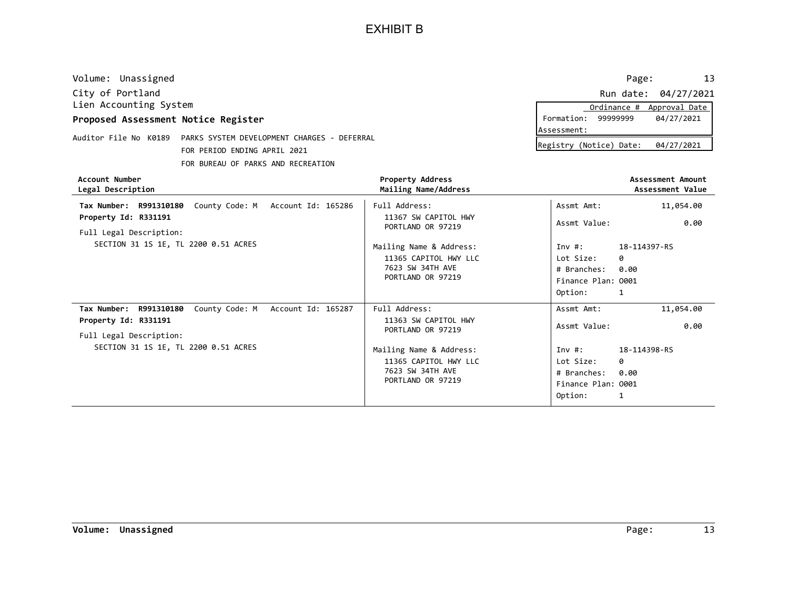| Volume: Unassigned                                                   |                                      |                                                 |                         | 13<br>Page:                           |
|----------------------------------------------------------------------|--------------------------------------|-------------------------------------------------|-------------------------|---------------------------------------|
| City of Portland                                                     |                                      |                                                 |                         | Run date: 04/27/2021                  |
| Lien Accounting System                                               |                                      |                                                 | Ordinance #             | Approval Date                         |
| Proposed Assessment Notice Register                                  |                                      |                                                 | 99999999<br>Formation:  | 04/27/2021                            |
|                                                                      |                                      |                                                 | Assessment:             |                                       |
| Auditor File No K0189<br>PARKS SYSTEM DEVELOPMENT CHARGES - DEFERRAL |                                      |                                                 | Registry (Notice) Date: | 04/27/2021                            |
|                                                                      | FOR PERIOD ENDING APRIL 2021         |                                                 |                         |                                       |
|                                                                      | FOR BUREAU OF PARKS AND RECREATION   |                                                 |                         |                                       |
| Account Number<br>Legal Description                                  |                                      | <b>Property Address</b><br>Mailing Name/Address |                         | Assessment Amount<br>Assessment Value |
| Tax Number: R991310180                                               | County Code: M Account Id: 165286    | Full Address:                                   | Assmt Amt:              | 11,054.00                             |
| Property Id: R331191                                                 |                                      | 11367 SW CAPITOL HWY                            | Assmt Value:            | 0.00                                  |
| Full Legal Description:                                              |                                      | PORTLAND OR 97219                               |                         |                                       |
|                                                                      | SECTION 31 1S 1E, TL 2200 0.51 ACRES | Mailing Name & Address:                         | Inv#:                   | 18-114397-RS                          |
|                                                                      |                                      | 11365 CAPITOL HWY LLC                           | Lot Size:<br>0          |                                       |

| ALLUUIIL NUMUEI<br>Legal Description                        | PIUDELLY AUULESS<br>Mailing Name/Address  |                     | ASSESSMENT AMVUNT<br>Assessment Value |
|-------------------------------------------------------------|-------------------------------------------|---------------------|---------------------------------------|
| Tax Number: R991310180 County Code: M Account Id: 165286    | Full Address:                             | Assmt Amt:          | 11,054.00                             |
| Property Id: R331191                                        | 11367 SW CAPITOL HWY<br>PORTLAND OR 97219 | Assmt Value:        | 0.00                                  |
| Full Legal Description:                                     |                                           |                     |                                       |
| SECTION 31 1S 1E, TL 2200 0.51 ACRES                        | Mailing Name & Address:                   | Inv #:              | 18-114397-RS                          |
|                                                             | 11365 CAPITOL HWY LLC                     | Lot Size:<br>ø      |                                       |
|                                                             | 7623 SW 34TH AVE                          | 0.00<br># Branches: |                                       |
|                                                             | PORTLAND OR 97219                         | Finance Plan: 0001  |                                       |
|                                                             |                                           | Option:<br>1        |                                       |
| County Code: M Account Id: 165287<br>Tax Number: R991310180 | Full Address:                             | Assmt Amt:          | 11,054.00                             |
| Property Id: R331191                                        | 11363 SW CAPITOL HWY<br>PORTLAND OR 97219 | Assmt Value:        | 0.00                                  |
| Full Legal Description:                                     |                                           |                     |                                       |
| SECTION 31 1S 1E, TL 2200 0.51 ACRES                        | Mailing Name & Address:                   | Inv #:              | 18-114398-RS                          |
|                                                             | 11365 CAPITOL HWY LLC                     | Lot Size:<br>ø      |                                       |
|                                                             | 7623 SW 34TH AVE                          | 0.00<br># Branches: |                                       |
|                                                             | PORTLAND OR 97219                         | Finance Plan: 0001  |                                       |
|                                                             |                                           | Option:<br>1        |                                       |
|                                                             |                                           |                     |                                       |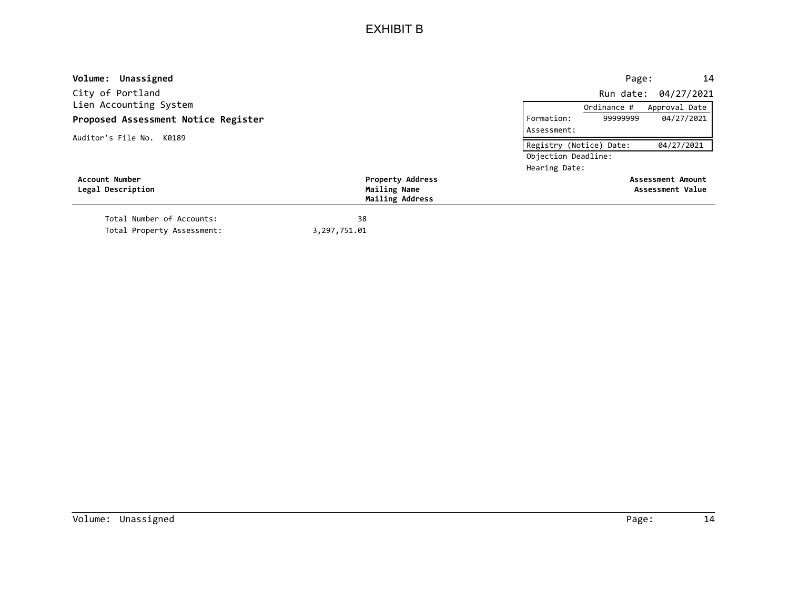| Volume: Unassigned                  |                         |                         | Page:       | 14                   |
|-------------------------------------|-------------------------|-------------------------|-------------|----------------------|
| City of Portland                    |                         |                         |             | Run date: 04/27/2021 |
| Lien Accounting System              |                         |                         | Ordinance # | Approval Date        |
| Proposed Assessment Notice Register |                         | Formation:              | 99999999    | 04/27/2021           |
| Auditor's File No. K0189            |                         | Assessment:             |             |                      |
|                                     |                         | Registry (Notice) Date: |             | 04/27/2021           |
|                                     |                         | Objection Deadline:     |             |                      |
|                                     |                         | Hearing Date:           |             |                      |
| Account Number                      | <b>Property Address</b> |                         |             | Assessment Amount    |
| Legal Description                   | Mailing Name            |                         |             | Assessment Value     |
|                                     | Mailing Address         |                         |             |                      |
| Total Number of Accounts:           | 38                      |                         |             |                      |
| Total Property Assessment:          | 3,297,751.01            |                         |             |                      |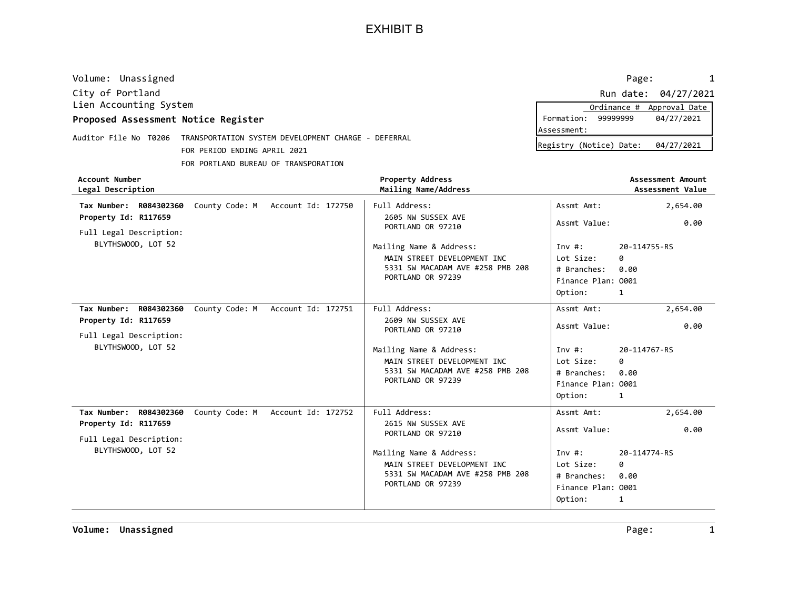| Volume: Unassigned                                                        |  |                                                        |                         | Page:<br>1                            |
|---------------------------------------------------------------------------|--|--------------------------------------------------------|-------------------------|---------------------------------------|
| City of Portland                                                          |  |                                                        |                         | Run date: 04/27/2021                  |
| Lien Accounting System                                                    |  |                                                        |                         | Approval Date<br>Ordinance #          |
| Proposed Assessment Notice Register                                       |  |                                                        | Formation:              | 99999999<br>04/27/2021                |
| Auditor File No T0206 TRANSPORTATION SYSTEM DEVELOPMENT CHARGE - DEFERRAL |  |                                                        | Assessment:             |                                       |
| FOR PERIOD ENDING APRIL 2021                                              |  |                                                        | Registry (Notice) Date: | 04/27/2021                            |
| FOR PORTLAND BUREAU OF TRANSPORATION                                      |  |                                                        |                         |                                       |
| Account Number<br>Legal Description                                       |  | <b>Property Address</b><br>Mailing Name/Address        |                         | Assessment Amount<br>Assessment Value |
| County Code: M Account Id: 172750<br>R084302360<br>Tax Number:            |  | Full Address:                                          | Assmt Amt:              | 2,654.00                              |
| Property Id: R117659<br>Full Legal Description:                           |  | 2605 NW SUSSEX AVE<br>PORTLAND OR 97210                | Assmt Value:            | 0.00                                  |
| BLYTHSWOOD, LOT 52                                                        |  | Mailing Name & Address:<br>MAIN STREET DEVELOPMENT INC | Inv $\#$ :<br>Lot Size: | 20-114755-RS<br>ø                     |

|                                                                                           | MAIN STREET DEVELOPMENT INC<br>5331 SW MACADAM AVE #258 PMB 208<br>PORTLAND OR 97239 | Lot Size:<br># Branches:<br>Finance Plan: 0001<br>Option: | 0<br>0.00<br>1 |
|-------------------------------------------------------------------------------------------|--------------------------------------------------------------------------------------|-----------------------------------------------------------|----------------|
| R084302360<br>County Code: M<br>Account Id: 172751<br>Tax Number:<br>Property Id: R117659 | Full Address:<br>2609 NW SUSSEX AVE                                                  | Assmt Amt:                                                | 2,654.00       |
| Full Legal Description:                                                                   | PORTLAND OR 97210                                                                    | Assmt Value:                                              | 0.00           |
| BLYTHSWOOD, LOT 52                                                                        | Mailing Name & Address:                                                              | Inv #:                                                    | 20-114767-RS   |
|                                                                                           | MAIN STREET DEVELOPMENT INC                                                          | Lot Size:                                                 | 0              |
|                                                                                           | 5331 SW MACADAM AVE #258 PMB 208                                                     | # Branches:                                               | 0.00           |
|                                                                                           | PORTLAND OR 97239                                                                    | Finance Plan: 0001                                        |                |
|                                                                                           |                                                                                      | Option:                                                   | 1              |
| County Code: M<br>Account Id: 172752<br>Tax Number:<br>R084302360                         | Full Address:                                                                        | Assmt Amt:                                                | 2,654.00       |
| Property Id: R117659<br>Full Legal Description:                                           | 2615 NW SUSSEX AVE<br>PORTLAND OR 97210                                              | Assmt Value:                                              | 0.00           |
| BLYTHSWOOD, LOT 52                                                                        | Mailing Name & Address:                                                              | Inv #:                                                    | 20-114774-RS   |
|                                                                                           | MAIN STREET DEVELOPMENT INC                                                          | Lot Size:                                                 | 0              |
|                                                                                           | 5331 SW MACADAM AVE #258 PMB 208                                                     | # Branches:                                               | 0.00           |
|                                                                                           | PORTLAND OR 97239                                                                    | Finance Plan: 0001                                        |                |
|                                                                                           |                                                                                      | Option:                                                   | 1              |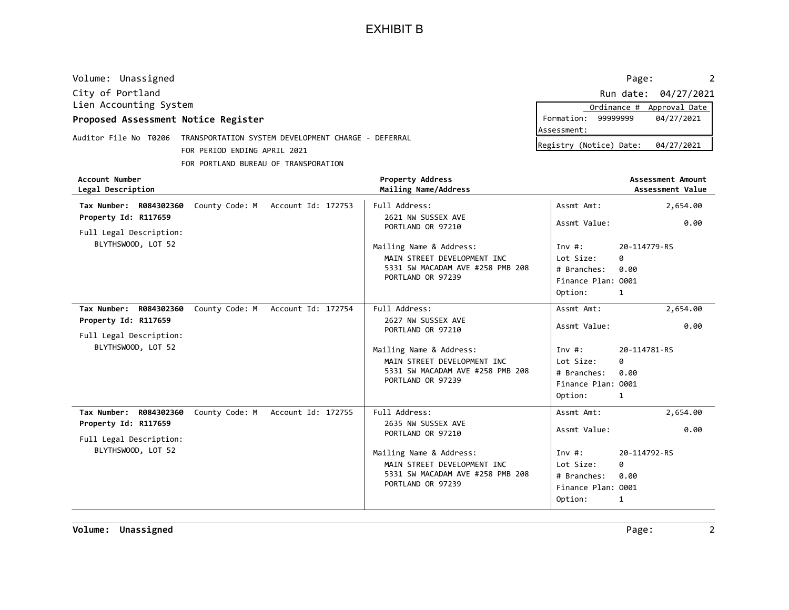| Volume: Unassigned                  |                                                     |                                                 | Page:                   |                                       |
|-------------------------------------|-----------------------------------------------------|-------------------------------------------------|-------------------------|---------------------------------------|
| City of Portland                    |                                                     |                                                 | Run date:               | 04/27/2021                            |
| Lien Accounting System              |                                                     |                                                 | Ordinance #             | Approval Date                         |
| Proposed Assessment Notice Register |                                                     |                                                 | 99999999<br>Formation:  | 04/27/2021                            |
|                                     |                                                     |                                                 | lAssessment:            |                                       |
| T0206<br>Auditor File No            | TRANSPORTATION SYSTEM DEVELOPMENT CHARGE - DEFERRAL |                                                 | Registry (Notice) Date: | 04/27/2021                            |
|                                     | FOR PERIOD ENDING APRIL 2021                        |                                                 |                         |                                       |
|                                     | FOR PORTLAND BUREAU OF TRANSPORATION                |                                                 |                         |                                       |
| Account Number<br>Legal Description |                                                     | <b>Property Address</b><br>Mailing Name/Address |                         | Assessment Amount<br>Assessment Value |
| Tax Number:<br>R084302360           | County Code: M<br>Account Id: 172753                | Full Address:                                   | Assmt Amt:              | 2,654.00                              |
| Property Id: R117659                |                                                     | 2621 NW SUSSEX AVE                              | $A = m + 1/2$           | a aa                                  |

| <b>Account Number</b><br>Legal Description    |                                   | <b>Property Address</b><br>Mailing Name/Address        |                        | Assessment Amount<br>Assessment Value |
|-----------------------------------------------|-----------------------------------|--------------------------------------------------------|------------------------|---------------------------------------|
| Tax Number: R084302360                        | County Code: M Account Id: 172753 | Full Address:                                          | Assmt Amt:             | 2,654.00                              |
| Property Id: R117659                          |                                   | 2621 NW SUSSEX AVE<br>PORTLAND OR 97210                | Assmt Value:           | 0.00                                  |
| Full Legal Description:<br>BLYTHSWOOD, LOT 52 |                                   | Mailing Name & Address:<br>MAIN STREET DEVELOPMENT INC | Inv $#$ :<br>Lot Size: | 20-114779-RS<br>0                     |
|                                               |                                   | 5331 SW MACADAM AVE #258 PMB 208                       | # Branches:            | 0.00                                  |
|                                               |                                   | PORTLAND OR 97239                                      | Finance Plan: 0001     |                                       |
|                                               |                                   |                                                        | Option:                | $\mathbf{1}$                          |
| Tax Number: R084302360                        | County Code: M Account Id: 172754 | Full Address:                                          | Assmt Amt:             | 2,654.00                              |
| Property Id: R117659                          |                                   | 2627 NW SUSSEX AVE<br>PORTLAND OR 97210                | Assmt Value:           | 0.00                                  |
| Full Legal Description:                       |                                   |                                                        |                        |                                       |
| BLYTHSWOOD, LOT 52                            |                                   | Mailing Name & Address:                                | Inv#:                  | 20-114781-RS                          |
|                                               |                                   | MAIN STREET DEVELOPMENT INC                            | Lot Size:              | 0                                     |
|                                               |                                   | 5331 SW MACADAM AVE #258 PMB 208                       | # Branches:            | 0.00                                  |
|                                               |                                   | PORTLAND OR 97239                                      | Finance Plan: 0001     |                                       |
|                                               |                                   |                                                        | Option:                | 1                                     |
| Tax Number: R084302360                        | County Code: M Account Id: 172755 | Full Address:                                          | Assmt Amt:             | 2,654.00                              |
| Property Id: R117659                          |                                   | 2635 NW SUSSEX AVE<br>PORTLAND OR 97210                | Assmt Value:           | 0.00                                  |
| Full Legal Description:                       |                                   |                                                        |                        |                                       |
| BLYTHSWOOD, LOT 52                            |                                   | Mailing Name & Address:                                | Inv $#$ :              | 20-114792-RS                          |
|                                               |                                   | MAIN STREET DEVELOPMENT INC                            | Lot Size:              | 0                                     |
|                                               |                                   | 5331 SW MACADAM AVE #258 PMB 208<br>PORTLAND OR 97239  | # Branches:            | 0.00                                  |
|                                               |                                   |                                                        | Finance Plan: 0001     |                                       |
|                                               |                                   |                                                        | Option:                | 1                                     |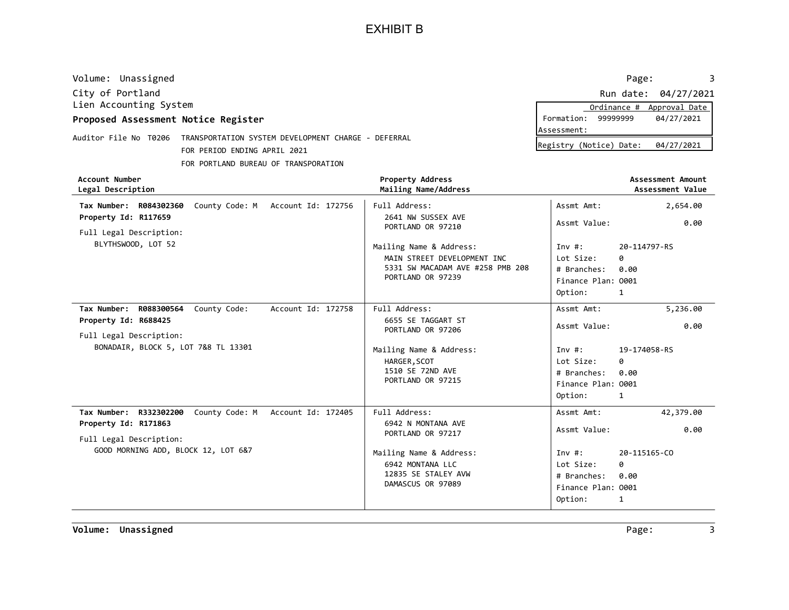| Volume: Unassigned                  |                                                                           |                                                 | Page:                                 |
|-------------------------------------|---------------------------------------------------------------------------|-------------------------------------------------|---------------------------------------|
| City of Portland                    |                                                                           |                                                 | Run date: 04/27/2021                  |
| Lien Accounting System              |                                                                           |                                                 | Ordinance #<br>Approval Date          |
| Proposed Assessment Notice Register |                                                                           |                                                 | Formation:<br>99999999<br>04/27/2021  |
|                                     | Auditor File No T0206 TRANSPORTATION SYSTEM DEVELOPMENT CHARGE - DEFERRAL |                                                 | Assessment:                           |
|                                     | FOR PERIOD ENDING APRIL 2021                                              |                                                 | Registry (Notice) Date:<br>04/27/2021 |
|                                     | FOR PORTLAND BUREAU OF TRANSPORATION                                      |                                                 |                                       |
| Account Number<br>Legal Description |                                                                           | <b>Property Address</b><br>Mailing Name/Address | Assessment Amount<br>Assessment Value |

| <b>Account Number</b><br>Legal Description                     | Property Address<br>Mailing Name/Address              |                    | <b>Assessment Amount</b><br>Assessment Value |
|----------------------------------------------------------------|-------------------------------------------------------|--------------------|----------------------------------------------|
| County Code: M Account Id: 172756<br>Tax Number: R084302360    | Full Address:                                         | Assmt Amt:         | 2,654.00                                     |
| Property Id: R117659                                           | 2641 NW SUSSEX AVE<br>PORTLAND OR 97210               | Assmt Value:       | 0.00                                         |
| Full Legal Description:                                        |                                                       |                    |                                              |
| BLYTHSWOOD, LOT 52                                             | Mailing Name & Address:                               | Inv $\#$ :         | 20-114797-RS                                 |
|                                                                | MAIN STREET DEVELOPMENT INC                           | Lot Size:          | 0                                            |
|                                                                | 5331 SW MACADAM AVE #258 PMB 208<br>PORTLAND OR 97239 | # Branches:        | 0.00                                         |
|                                                                |                                                       | Finance Plan: 0001 |                                              |
|                                                                |                                                       | Option:            | 1                                            |
| Tax Number: R088300564<br>County Code:<br>Account Id: 172758   | Full Address:                                         | Assmt Amt:         | 5,236.00                                     |
| Property Id: R688425                                           | 6655 SE TAGGART ST<br>PORTLAND OR 97206               | Assmt Value:       | 0.00                                         |
| Full Legal Description:                                        |                                                       |                    |                                              |
| BONADAIR, BLOCK 5, LOT 7&8 TL 13301                            | Mailing Name & Address:                               | Inv#:              | 19-174058-RS                                 |
|                                                                | HARGER, SCOT                                          | Lot Size:          | 0                                            |
|                                                                | 1510 SE 72ND AVE                                      | # Branches:        | 0.00                                         |
|                                                                | PORTLAND OR 97215                                     | Finance Plan: 0001 |                                              |
|                                                                |                                                       | Option:            | 1                                            |
| Tax Number: R332302200<br>County Code: M<br>Account Id: 172405 | Full Address:                                         | Assmt Amt:         | 42,379.00                                    |
| Property Id: R171863                                           | 6942 N MONTANA AVE<br>PORTLAND OR 97217               | Assmt Value:       | 0.00                                         |
| Full Legal Description:                                        |                                                       |                    |                                              |
| GOOD MORNING ADD, BLOCK 12, LOT 6&7                            | Mailing Name & Address:                               | Inv $#$ :          | 20-115165-CO                                 |
|                                                                | 6942 MONTANA LLC                                      | Lot Size:          | ø                                            |
|                                                                | 12835 SE STALEY AVW<br>DAMASCUS OR 97089              | # Branches:        | 0.00                                         |
|                                                                |                                                       | Finance Plan: 0001 |                                              |
|                                                                |                                                       | Option:            | 1                                            |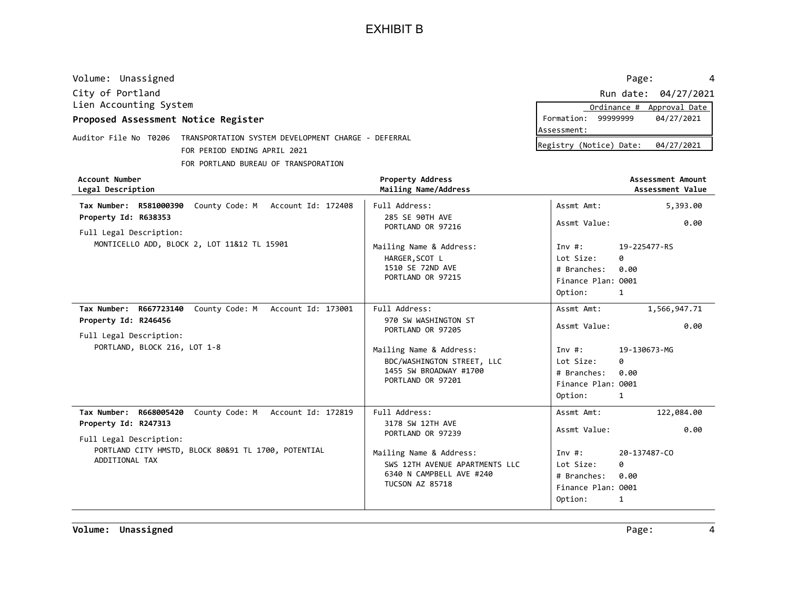| Volume: Unassigned                              |                                             |                                                 | Page:                                                                                                                                                                                                                                           | 4                                     |
|-------------------------------------------------|---------------------------------------------|-------------------------------------------------|-------------------------------------------------------------------------------------------------------------------------------------------------------------------------------------------------------------------------------------------------|---------------------------------------|
| City of Portland                                |                                             |                                                 | Run date:                                                                                                                                                                                                                                       | 04/27/2021                            |
| Lien Accounting System                          |                                             |                                                 | Ordinance #                                                                                                                                                                                                                                     | Approval Date                         |
| Proposed Assessment Notice Register             |                                             |                                                 | 99999999<br>Formation:                                                                                                                                                                                                                          | 04/27/2021                            |
|                                                 |                                             |                                                 | Assessment:                                                                                                                                                                                                                                     |                                       |
| Auditor File No T0206                           | TRANSPORTATION SYSTEM DEVELOPMENT CHARGE    | - DEFERRAL                                      | Registry (Notice) Date:                                                                                                                                                                                                                         | 04/27/2021                            |
|                                                 | FOR PERIOD ENDING APRIL 2021                |                                                 |                                                                                                                                                                                                                                                 |                                       |
|                                                 | FOR PORTLAND BUREAU OF TRANSPORATION        |                                                 |                                                                                                                                                                                                                                                 |                                       |
| Account Number<br>Legal Description             |                                             | <b>Property Address</b><br>Mailing Name/Address |                                                                                                                                                                                                                                                 | Assessment Amount<br>Assessment Value |
| Tax Number: R581000390                          | County Code: M<br>Account Id: 172408        | Full Address:                                   | Assmt Amt:                                                                                                                                                                                                                                      | 5,393.00                              |
| Property Id: R638353<br>Full Legal Description: |                                             | 285 SE 90TH AVE<br>PORTLAND OR 97216            | Assmt Value:                                                                                                                                                                                                                                    | 0.00                                  |
|                                                 | MONTICELLO ADD, BLOCK 2, LOT 11&12 TL 15901 | Mailing Name & Address:                         | Inv#:                                                                                                                                                                                                                                           | 19-225477-RS                          |
|                                                 |                                             | HARGER, SCOT L                                  | Lot Size:<br>0                                                                                                                                                                                                                                  |                                       |
|                                                 |                                             | 151 $\alpha$ SF 72ND AVE                        | $\mu$ . But the set of the set of the set of the set of the set of the set of the set of the set of the set of the set of the set of the set of the set of the set of the set of the set of the set of the set of the set of t<br>$\sim$ $\sim$ |                                       |

|                                                                                                                                                                                               | 1510 SE 72ND AVE<br>PORTLAND OR 97215                                                                                                                                     | # Branches:<br>Finance Plan: 0001<br>Option:                                                          | 0.00<br>1                                            |
|-----------------------------------------------------------------------------------------------------------------------------------------------------------------------------------------------|---------------------------------------------------------------------------------------------------------------------------------------------------------------------------|-------------------------------------------------------------------------------------------------------|------------------------------------------------------|
| County Code: M<br>Account Id: 173001<br>Tax Number:<br>R667723140<br>Property Id: R246456<br>Full Legal Description:                                                                          | Full Address:<br>970 SW WASHINGTON ST<br>PORTLAND OR 97205                                                                                                                | Assmt Amt:<br>Assmt Value:                                                                            | 1,566,947.71<br>0.00                                 |
| PORTLAND, BLOCK 216, LOT 1-8                                                                                                                                                                  | Mailing Name & Address:<br>BDC/WASHINGTON STREET, LLC<br>1455 SW BROADWAY #1700<br>PORTLAND OR 97201                                                                      | Inv $\#$ :<br>Lot Size:<br># Branches:<br>Finance Plan: 0001<br>Option:                               | 19-130673-MG<br>0<br>0.00<br>1                       |
| R668005420<br>County Code: M<br>Account Id: 172819<br>Tax Number:<br>Property Id: R247313<br>Full Legal Description:<br>PORTLAND CITY HMSTD, BLOCK 80&91 TL 1700, POTENTIAL<br>ADDITIONAL TAX | Full Address:<br>3178 SW 12TH AVE<br>PORTLAND OR 97239<br>Mailing Name & Address:<br>SWS 12TH AVENUE APARTMENTS LLC<br>6340 N CAMPBELL AVE #240<br><b>TUCSON AZ 85718</b> | Assmt Amt:<br>Assmt Value:<br>Inv $\#$ :<br>Lot Size:<br># Branches:<br>Finance Plan: 0001<br>Option: | 122,084.00<br>0.00<br>20-137487-CO<br>0<br>0.00<br>1 |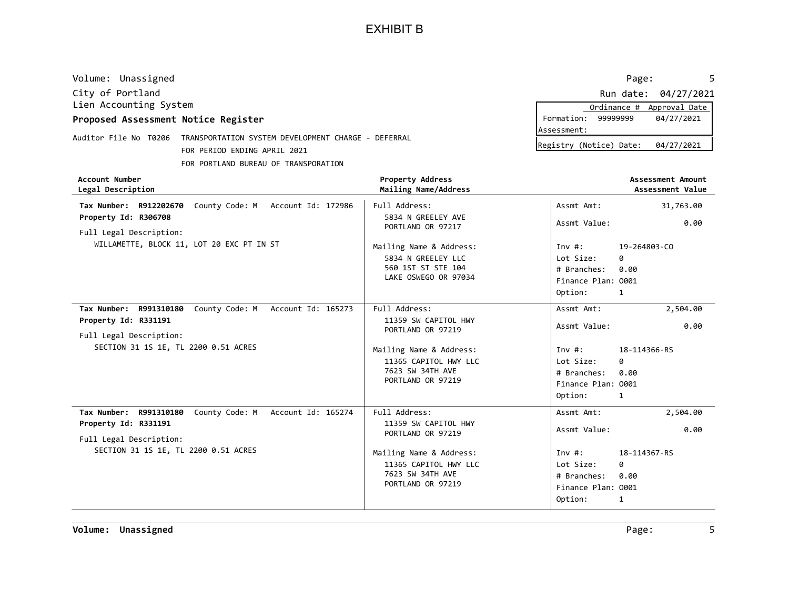| Volume: Unassigned                                                                                           |                    |                                                 | Page:                     |                                       |
|--------------------------------------------------------------------------------------------------------------|--------------------|-------------------------------------------------|---------------------------|---------------------------------------|
| City of Portland                                                                                             |                    |                                                 |                           | Run date: 04/27/2021                  |
| Lien Accounting System                                                                                       |                    |                                                 | Ordinance #               | Approval Date                         |
| Proposed Assessment Notice Register                                                                          |                    |                                                 | Formation:<br>99999999    | 04/27/2021                            |
|                                                                                                              |                    |                                                 | Assessment:               |                                       |
| Auditor File No T0206<br>TRANSPORTATION SYSTEM DEVELOPMENT CHARGE - DEFERRAL<br>FOR PERIOD ENDING APRIL 2021 |                    |                                                 | Registry (Notice) Date:   | 04/27/2021                            |
| FOR PORTLAND BUREAU OF TRANSPORATION                                                                         |                    |                                                 |                           |                                       |
| Account Number<br>Legal Description                                                                          |                    | <b>Property Address</b><br>Mailing Name/Address |                           | Assessment Amount<br>Assessment Value |
| County Code: M<br>Tax Number: R912202670                                                                     | Account Id: 172986 | Full Address:                                   | Assmt Amt:                | 31,763.00                             |
| Property Id: R306708<br>Full Legal Description:                                                              |                    | 5834 N GREELEY AVE<br>PORTLAND OR 97217         | Assmt Value:              | 0.00                                  |
| WILLAMETTE, BLOCK 11, LOT 20 EXC PT IN ST                                                                    |                    | Mailing Name & Address:                         | 19-264803-CO<br>Inv $#$ : |                                       |
|                                                                                                              |                    | 5834 N GREELEY LLC                              | Lot Size:<br>ø            |                                       |
|                                                                                                              |                    | 560 1ST ST STE 104                              | 0.00<br># Branches:       |                                       |
|                                                                                                              |                    | LAKE OSWEGO OR 97034                            | Finance Plan: 0001        |                                       |
|                                                                                                              |                    |                                                 | Option:<br>1              |                                       |

| Option:<br>1<br>County Code: M Account Id: 165273<br>Full Address:<br>2,504.00<br>Tax Number: R991310180<br>Assmt Amt:<br>Property Id: R331191<br>11359 SW CAPITOL HWY<br>0.00<br>Assmt Value:<br>PORTLAND OR 97219<br>Full Legal Description:<br>SECTION 31 1S 1E, TL 2200 0.51 ACRES<br>Mailing Name & Address:<br>18-114366-RS<br>Inv #:<br>11365 CAPITOL HWY LLC<br>Lot Size:<br>0<br>7623 SW 34TH AVE<br># Branches:<br>0.00<br>PORTLAND OR 97219<br>Finance Plan: 0001<br>Option:<br>$\overline{\mathbf{1}}$<br>County Code: M Account Id: 165274<br>Full Address:<br>Assmt Amt:<br>2,504.00<br>Tax Number: R991310180<br>11359 SW CAPITOL HWY<br>Property Id: R331191<br>Assmt Value:<br>0.00<br>PORTLAND OR 97219<br>Full Legal Description:<br>SECTION 31 1S 1E, TL 2200 0.51 ACRES<br>Mailing Name & Address:<br>Inv #:<br>18-114367-RS<br>11365 CAPITOL HWY LLC<br>Lot Size:<br>0<br>7623 SW 34TH AVE<br># Branches:<br>0.00<br>PORTLAND OR 97219<br>Finance Plan: 0001<br>Option:<br>1 |  | LAKE USWEGU UK 97034 | Finance Plan: 0001 |  |
|----------------------------------------------------------------------------------------------------------------------------------------------------------------------------------------------------------------------------------------------------------------------------------------------------------------------------------------------------------------------------------------------------------------------------------------------------------------------------------------------------------------------------------------------------------------------------------------------------------------------------------------------------------------------------------------------------------------------------------------------------------------------------------------------------------------------------------------------------------------------------------------------------------------------------------------------------------------------------------------------------|--|----------------------|--------------------|--|
|                                                                                                                                                                                                                                                                                                                                                                                                                                                                                                                                                                                                                                                                                                                                                                                                                                                                                                                                                                                                    |  |                      |                    |  |
|                                                                                                                                                                                                                                                                                                                                                                                                                                                                                                                                                                                                                                                                                                                                                                                                                                                                                                                                                                                                    |  |                      |                    |  |
|                                                                                                                                                                                                                                                                                                                                                                                                                                                                                                                                                                                                                                                                                                                                                                                                                                                                                                                                                                                                    |  |                      |                    |  |
|                                                                                                                                                                                                                                                                                                                                                                                                                                                                                                                                                                                                                                                                                                                                                                                                                                                                                                                                                                                                    |  |                      |                    |  |
|                                                                                                                                                                                                                                                                                                                                                                                                                                                                                                                                                                                                                                                                                                                                                                                                                                                                                                                                                                                                    |  |                      |                    |  |
|                                                                                                                                                                                                                                                                                                                                                                                                                                                                                                                                                                                                                                                                                                                                                                                                                                                                                                                                                                                                    |  |                      |                    |  |
|                                                                                                                                                                                                                                                                                                                                                                                                                                                                                                                                                                                                                                                                                                                                                                                                                                                                                                                                                                                                    |  |                      |                    |  |
|                                                                                                                                                                                                                                                                                                                                                                                                                                                                                                                                                                                                                                                                                                                                                                                                                                                                                                                                                                                                    |  |                      |                    |  |
|                                                                                                                                                                                                                                                                                                                                                                                                                                                                                                                                                                                                                                                                                                                                                                                                                                                                                                                                                                                                    |  |                      |                    |  |
|                                                                                                                                                                                                                                                                                                                                                                                                                                                                                                                                                                                                                                                                                                                                                                                                                                                                                                                                                                                                    |  |                      |                    |  |
|                                                                                                                                                                                                                                                                                                                                                                                                                                                                                                                                                                                                                                                                                                                                                                                                                                                                                                                                                                                                    |  |                      |                    |  |
|                                                                                                                                                                                                                                                                                                                                                                                                                                                                                                                                                                                                                                                                                                                                                                                                                                                                                                                                                                                                    |  |                      |                    |  |
|                                                                                                                                                                                                                                                                                                                                                                                                                                                                                                                                                                                                                                                                                                                                                                                                                                                                                                                                                                                                    |  |                      |                    |  |
|                                                                                                                                                                                                                                                                                                                                                                                                                                                                                                                                                                                                                                                                                                                                                                                                                                                                                                                                                                                                    |  |                      |                    |  |
|                                                                                                                                                                                                                                                                                                                                                                                                                                                                                                                                                                                                                                                                                                                                                                                                                                                                                                                                                                                                    |  |                      |                    |  |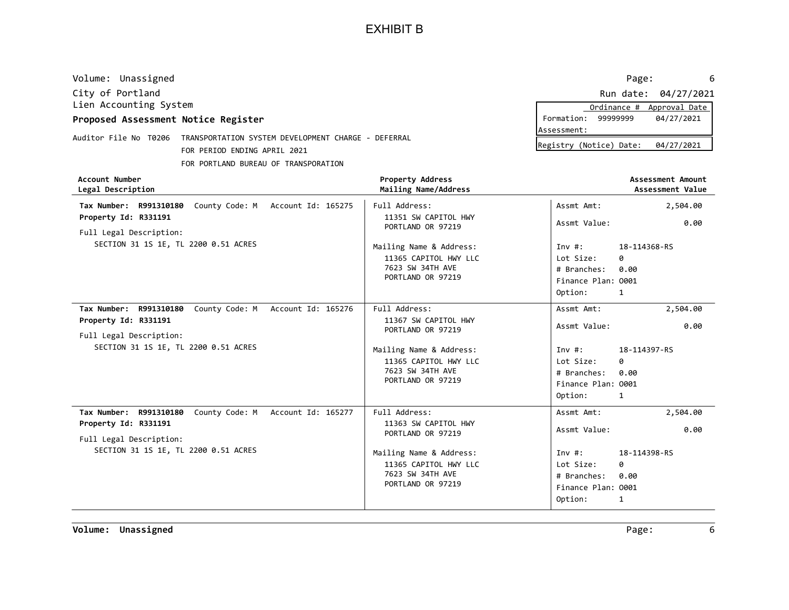| Volume: Unassigned                  |                                                     |                                                 | Page:                   | -6                                    |
|-------------------------------------|-----------------------------------------------------|-------------------------------------------------|-------------------------|---------------------------------------|
| City of Portland                    |                                                     |                                                 |                         | Run date: 04/27/2021                  |
| Lien Accounting System              |                                                     |                                                 | Ordinance #             | Approval Date                         |
| Proposed Assessment Notice Register |                                                     |                                                 | 99999999<br>Formation:  | 04/27/2021                            |
| Auditor File No T0206               | TRANSPORTATION SYSTEM DEVELOPMENT CHARGE - DEFERRAL |                                                 | Assessment:             |                                       |
|                                     |                                                     |                                                 | Registry (Notice) Date: | 04/27/2021                            |
|                                     | FOR PERIOD ENDING APRIL 2021                        |                                                 |                         |                                       |
|                                     | FOR PORTLAND BUREAU OF TRANSPORATION                |                                                 |                         |                                       |
| Account Number<br>Legal Description |                                                     | <b>Property Address</b><br>Mailing Name/Address |                         | Assessment Amount<br>Assessment Value |
| Tax Number: R991310180              | County Code: M<br>Account Id: 165275                | Full Address:                                   | Assmt Amt:              | 2,504.00                              |
| Property Id: R331191                | 11351 SW CAPITOL HWY                                | Assmt Value:                                    | 0.00                    |                                       |
| Full Legal Description:             |                                                     | PORTLAND OR 97219                               |                         |                                       |
|                                     | SECTION 31 1S 1E, TL 2200 0.51 ACRES                | Mailing Name & Address:                         | Inv #:                  | 18-114368-RS                          |
|                                     |                                                     | 11365 CAPITOL HWY LLC                           | Lot Size:<br>ø          |                                       |
|                                     |                                                     | 7623 SW 34TH AVE                                | # Branches:<br>0.00     |                                       |
|                                     |                                                     | PORTLAND OR 97219                               | Finance Plan: 0001      |                                       |
|                                     |                                                     |                                                 | Option:<br>1            |                                       |
| R991310180<br>Tax Number:           | County Code: M<br>Account Id: 165276                | Full Address:                                   | Assmt Amt:              | 2,504.00                              |
| Property Id: R331191                |                                                     | 11367 SW CAPITOL HWY                            | Assmt Value:            | 0.00                                  |
| Full Legal Description:             |                                                     | PORTLAND OR 97219                               |                         |                                       |
|                                     | SECTION 31 1S 1E, TL 2200 0.51 ACRES                | Mailing Name & Address:                         | Inv $\#$ :              | 18-114397-RS                          |
|                                     |                                                     | 11365 CAPITOL HWY LLC                           | Lot Size:<br>0          |                                       |
|                                     |                                                     | 7623 SW 34TH AVE                                | 0.00<br># Branches:     |                                       |

PORTLAND OR 97219

11363 SW CAPITOL HWY PORTLAND OR 97219

11365 CAPITOL HWY LLC 7623 SW 34TH AVE

Mailing Name & Address:

Tax Number: R991310180 County Code: M Account Id: 165277 | Full Address: 2,504.00

PORTLAND OR 97219 | Finance Plan: 0001

Full Address: Assmt Amt:

PORTLAND OR 97219 | Finance Plan: 0001

SECTION 31 1S 1E, TL 2200 0.51 ACRES

Property Id: R331191

Full Legal Description:

1

0

0.00 # Branches:

18-114398-RS

1

Option:

Lot Size:

Assmt Value:

Inv #:

Option:

0.00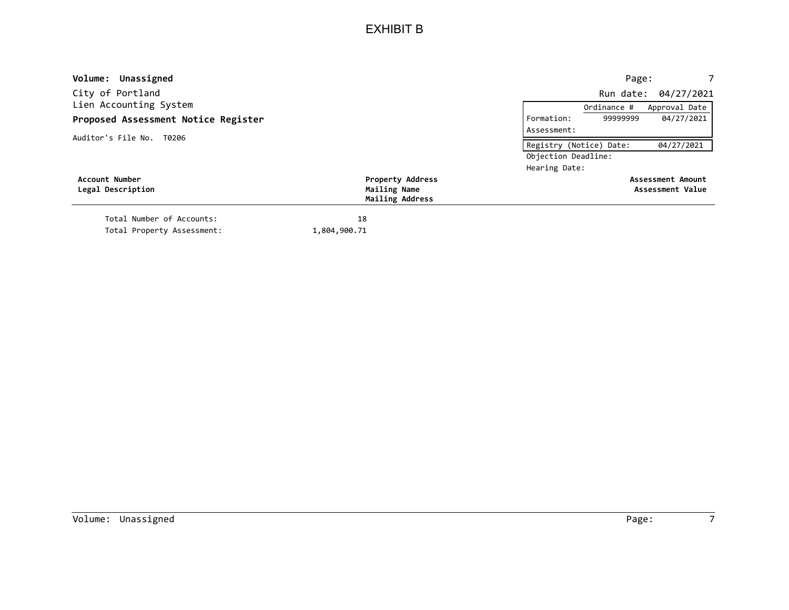| Volume: Unassigned                  |                         | Page:                                 |  |
|-------------------------------------|-------------------------|---------------------------------------|--|
| City of Portland                    |                         | Run date: 04/27/2021                  |  |
| Lien Accounting System              |                         | Approval Date<br>Ordinance #          |  |
| Proposed Assessment Notice Register |                         | 04/27/2021<br>99999999<br>Formation:  |  |
| Auditor's File No. T0206            |                         | Assessment:                           |  |
|                                     |                         | 04/27/2021<br>Registry (Notice) Date: |  |
|                                     |                         | Objection Deadline:                   |  |
|                                     |                         | Hearing Date:                         |  |
| Account Number                      | <b>Property Address</b> | Assessment Amount                     |  |
| Legal Description                   | Mailing Name            | Assessment Value                      |  |
|                                     | Mailing Address         |                                       |  |
| Total Number of Accounts:           | 18                      |                                       |  |
| Total Property Assessment:          | 1,804,900.71            |                                       |  |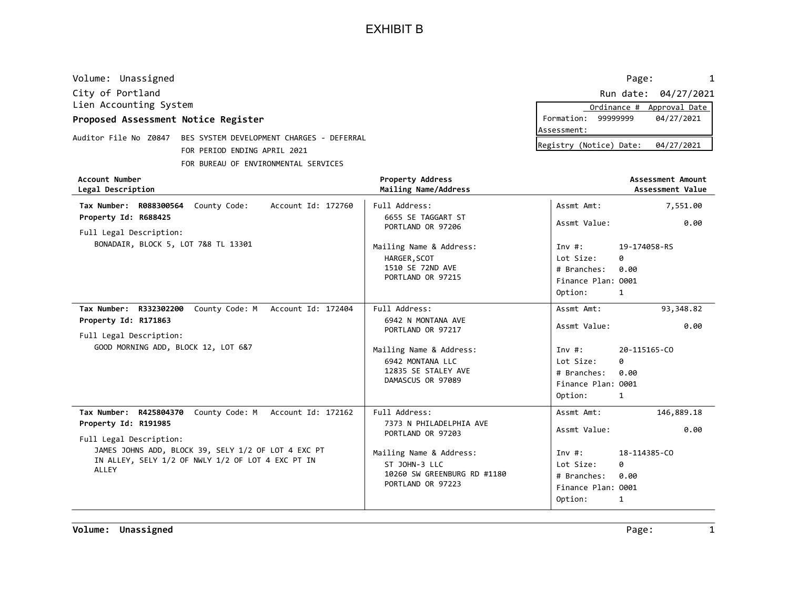| Volume: Unassigned                                              | Page:                   | $\mathbf{1}$         |
|-----------------------------------------------------------------|-------------------------|----------------------|
| City of Portland                                                |                         | Run date: 04/27/2021 |
| Lien Accounting System                                          | Ordinance #             | Approval Date        |
| Proposed Assessment Notice Register                             | Formation:<br>99999999  | 04/27/2021           |
|                                                                 | Assessment:             |                      |
| Auditor File No Z0847 BES SYSTEM DEVELOPMENT CHARGES - DEFERRAL | Registry (Notice) Date: | 04/27/2021           |
| FOR PERIOD ENDING APRIL 2021                                    |                         |                      |
| FOR BUREAU OF ENVIRONMENTAL SERVICES                            |                         |                      |

|             |                         | Ordinance # Approval Date |  |
|-------------|-------------------------|---------------------------|--|
|             | Formation: 99999999     | 04/27/2021                |  |
| Assessment: |                         |                           |  |
|             | Registry (Notice) Date: | 04/27/2021                |  |

| <b>Account Number</b><br>Legal Description                                                                        | <b>Property Address</b><br>Mailing Name/Address                                              |                                                                     | Assessment Amount<br>Assessment Value |
|-------------------------------------------------------------------------------------------------------------------|----------------------------------------------------------------------------------------------|---------------------------------------------------------------------|---------------------------------------|
| Tax Number: R088300564 County Code:<br>Account Id: 172760                                                         | Full Address:                                                                                | Assmt Amt:                                                          | 7,551.00                              |
| Property Id: R688425<br>Full Legal Description:                                                                   | 6655 SE TAGGART ST<br>PORTLAND OR 97206                                                      | Assmt Value:                                                        | 0.00                                  |
| BONADAIR, BLOCK 5, LOT 7&8 TL 13301                                                                               | Mailing Name & Address:<br>HARGER, SCOT<br>1510 SE 72ND AVE<br>PORTLAND OR 97215             | Inv#:<br>Lot Size:<br># Branches:<br>Finance Plan: 0001             | 19-174058-RS<br>ø<br>0.00             |
|                                                                                                                   |                                                                                              | Option:                                                             | 1                                     |
| Tax Number: R332302200<br>County Code: M Account Id: 172404                                                       | Full Address:                                                                                | Assmt Amt:                                                          | 93,348.82                             |
| Property Id: R171863<br>Full Legal Description:                                                                   | 6942 N MONTANA AVE<br>PORTLAND OR 97217                                                      | Assmt Value:                                                        | 0.00                                  |
| GOOD MORNING ADD, BLOCK 12, LOT 6&7                                                                               | Mailing Name & Address:<br>6942 MONTANA LLC<br>12835 SE STALEY AVE<br>DAMASCUS OR 97089      | Inv #:<br>Lot Size:<br># Branches:<br>Finance Plan: 0001<br>Option: | 20-115165-CO<br>Q.<br>0.00<br>1       |
| Tax Number: R425804370 County Code: M Account Id: 172162                                                          | Full Address:                                                                                | Assmt Amt:                                                          | 146,889.18                            |
| Property Id: R191985<br>Full Legal Description:                                                                   | 7373 N PHILADELPHIA AVE<br>PORTLAND OR 97203                                                 | Assmt Value:                                                        | 0.00                                  |
| JAMES JOHNS ADD, BLOCK 39, SELY 1/2 OF LOT 4 EXC PT<br>IN ALLEY, SELY 1/2 OF NWLY 1/2 OF LOT 4 EXC PT IN<br>ALLEY | Mailing Name & Address:<br>ST JOHN-3 LLC<br>10260 SW GREENBURG RD #1180<br>PORTLAND OR 97223 | Inv #:<br>Lot Size:<br># Branches:<br>Finance Plan: 0001<br>Option: | 18-114385-CO<br>ø<br>0.00<br>1        |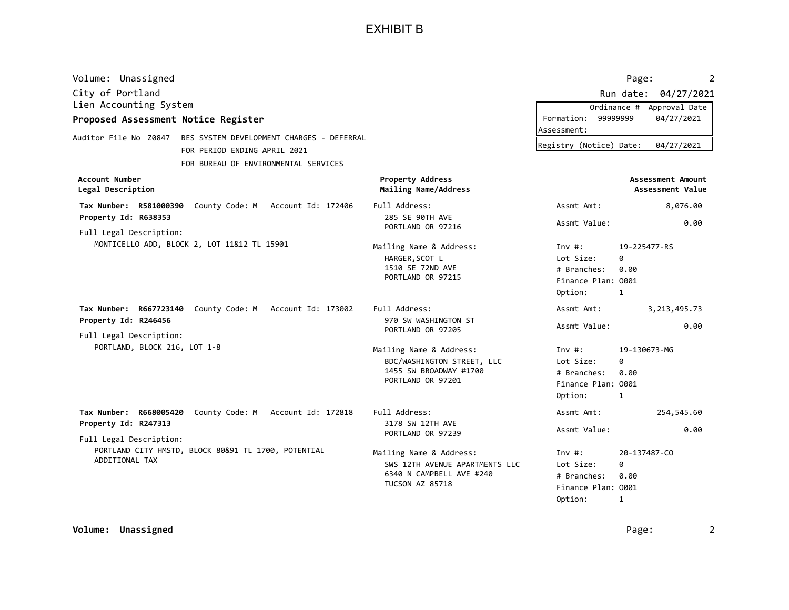| Legal Description                   |                                           | <b>Property Address</b><br>Mailing Name/Address | Assessment Amount<br>Assessment Value |
|-------------------------------------|-------------------------------------------|-------------------------------------------------|---------------------------------------|
| Account Number                      |                                           |                                                 |                                       |
|                                     | FOR BUREAU OF ENVIRONMENTAL SERVICES      |                                                 |                                       |
|                                     | FOR PERIOD ENDING APRIL 2021              |                                                 | Registry (Notice) Date:<br>04/27/2021 |
| Auditor File No Z0847               | BES SYSTEM DEVELOPMENT CHARGES - DEFERRAL |                                                 |                                       |
|                                     |                                           |                                                 | lAssessment:                          |
| Proposed Assessment Notice Register |                                           |                                                 | Formation:<br>99999999<br>04/27/2021  |
| Lien Accounting System              |                                           |                                                 | Approval Date<br>Ordinance #          |
| City of Portland                    |                                           |                                                 | 04/27/2021<br>Run date:               |
| Volume: Unassigned                  |                                           |                                                 | Page:                                 |

| Legal Description                                                                      | Mailing Name/Address                      |                    | Assessment Value |
|----------------------------------------------------------------------------------------|-------------------------------------------|--------------------|------------------|
| County Code: M<br>Tax Number: R581000390<br>Account Id: 172406<br>Property Id: R638353 | Full Address:<br>285 SE 90TH AVE          | Assmt Amt:         | 8,076.00         |
| Full Legal Description:                                                                | PORTLAND OR 97216                         | Assmt Value:       | 0.00             |
| MONTICELLO ADD, BLOCK 2, LOT 11&12 TL 15901                                            | Mailing Name & Address:                   | Inv#:              | 19-225477-RS     |
|                                                                                        | HARGER, SCOT L                            | Lot Size:          | ø                |
|                                                                                        | 1510 SE 72ND AVE                          | # Branches:        | 0.00             |
|                                                                                        | PORTLAND OR 97215                         | Finance Plan: 0001 |                  |
|                                                                                        |                                           | Option:            | 1                |
| Tax Number: R667723140<br>County Code: M<br>Account Id: 173002                         | Full Address:                             | Assmt Amt:         | 3,213,495.73     |
| Property Id: R246456                                                                   | 970 SW WASHINGTON ST<br>PORTLAND OR 97205 | Assmt Value:       | 0.00             |
| Full Legal Description:                                                                |                                           |                    |                  |
| PORTLAND, BLOCK 216, LOT 1-8                                                           | Mailing Name & Address:                   | Inv#:              | 19-130673-MG     |
|                                                                                        | BDC/WASHINGTON STREET, LLC                | Lot Size:          | 0                |
|                                                                                        | 1455 SW BROADWAY #1700                    | # Branches:        | 0.00             |
|                                                                                        | PORTLAND OR 97201                         | Finance Plan: 0001 |                  |
|                                                                                        |                                           | Option:            | 1                |
| Tax Number: R668005420<br>County Code: M Account Id: 172818                            | Full Address:                             | Assmt Amt:         | 254,545.60       |
| Property Id: R247313                                                                   | 3178 SW 12TH AVE<br>PORTLAND OR 97239     | Assmt Value:       | 0.00             |
| Full Legal Description:                                                                |                                           |                    |                  |
| PORTLAND CITY HMSTD, BLOCK 80&91 TL 1700, POTENTIAL                                    | Mailing Name & Address:                   | Inv $#$ :          | 20-137487-CO     |
| ADDITIONAL TAX                                                                         | SWS 12TH AVENUE APARTMENTS LLC            | Lot Size:          | 0                |
|                                                                                        | 6340 N CAMPBELL AVE #240                  | # Branches:        | 0.00             |
|                                                                                        | <b>TUCSON AZ 85718</b>                    | Finance Plan: 0001 |                  |
|                                                                                        |                                           | Option:            | 1                |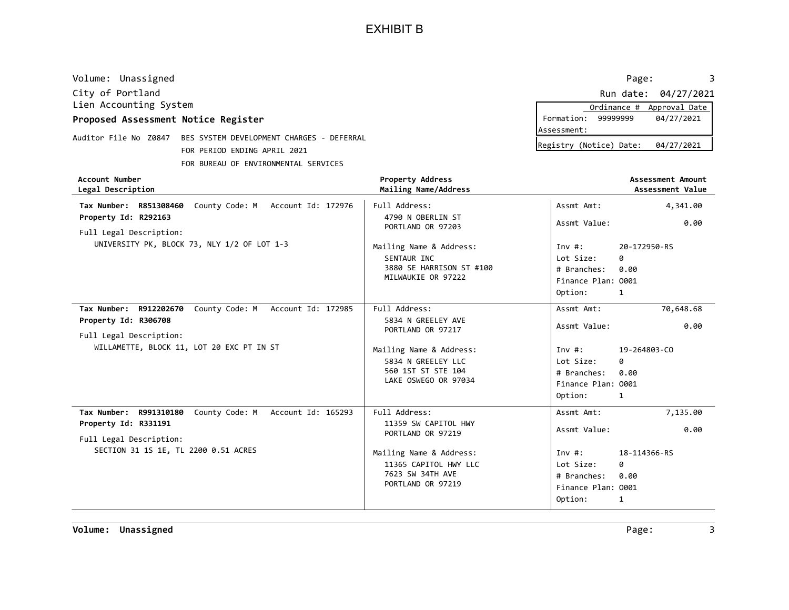| Volume: Unassigned                                                 |                                                 | Page:                                 |
|--------------------------------------------------------------------|-------------------------------------------------|---------------------------------------|
| City of Portland                                                   |                                                 | 04/27/2021<br>Run date:               |
| Lien Accounting System                                             |                                                 | Approval Date<br>Ordinance #          |
| Proposed Assessment Notice Register                                |                                                 | 04/27/2021<br>Formation:<br>99999999  |
|                                                                    |                                                 | Assessment:                           |
| Auditor File No Z0847<br>BES SYSTEM DEVELOPMENT CHARGES - DEFERRAL |                                                 | 04/27/2021<br>Registry (Notice) Date: |
| FOR PERIOD ENDING APRIL 2021                                       |                                                 |                                       |
| FOR BUREAU OF ENVIRONMENTAL SERVICES                               |                                                 |                                       |
| <b>Account Number</b><br>Legal Description                         | <b>Property Address</b><br>Mailing Name/Address | Assessment Amount<br>Assessment Value |
| Account Id: 172976<br>County Code: M<br>R851308460<br>Tax Number:  | Full Address:                                   | Assmt Amt:<br>4,341.00                |

| Mailing Name/Address                                                                                                                                    |                                                                                                                    | Assessment Value                 |
|---------------------------------------------------------------------------------------------------------------------------------------------------------|--------------------------------------------------------------------------------------------------------------------|----------------------------------|
| Full Address:                                                                                                                                           | Assmt Amt:                                                                                                         | 4,341.00                         |
| PORTLAND OR 97203                                                                                                                                       | Assmt Value:                                                                                                       | 0.00                             |
| Mailing Name & Address:<br>SENTAUR INC<br>3880 SE HARRISON ST #100<br>MILWAUKIE OR 97222                                                                | Inv#:<br>Lot Size:<br>ø<br># Branches:<br>0.00<br>Finance Plan: 0001<br>Option:<br>1                               | 20-172950-RS                     |
| Full Address:<br>5834 N GREELEY AVE<br>PORTLAND OR 97217                                                                                                | Assmt Amt:<br>Assmt Value:                                                                                         | 70,648.68<br>0.00                |
| Mailing Name & Address:<br>5834 N GREELEY LLC<br>560 1ST ST STE 104<br>LAKE OSWEGO OR 97034                                                             | Inv#:<br>Lot Size:<br>ø<br>0.00<br># Branches:<br>Finance Plan: 0001<br>Option:<br>1                               | 19-264803-CO                     |
| Full Address:<br>11359 SW CAPITOL HWY<br>PORTLAND OR 97219<br>Mailing Name & Address:<br>11365 CAPITOL HWY LLC<br>7623 SW 34TH AVE<br>PORTLAND OR 97219 | Assmt Amt:<br>Assmt Value:<br>Inv#:<br>Lot Size:<br>ø<br>0.00<br># Branches:<br>Finance Plan: 0001<br>Option:<br>1 | 7,135.00<br>0.00<br>18-114366-RS |
|                                                                                                                                                         | 4790 N OBERLIN ST                                                                                                  |                                  |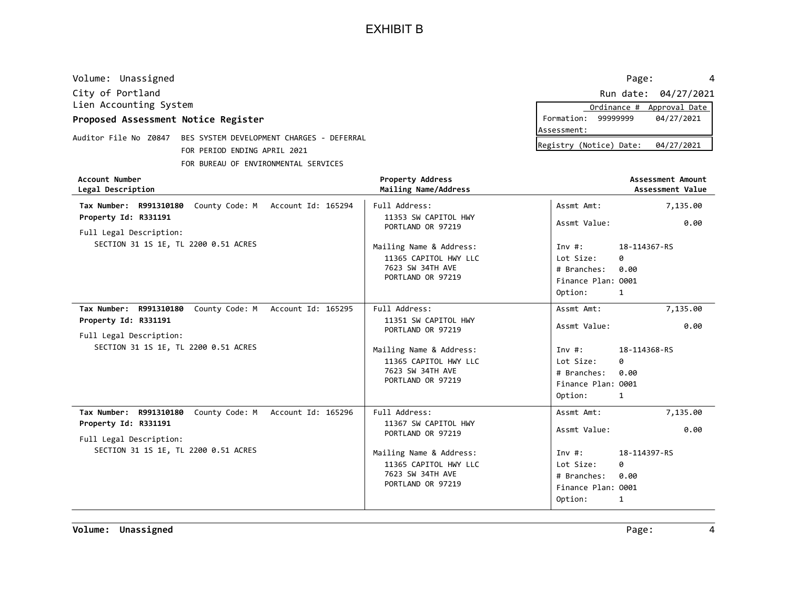| Volume: Unassigned                                                 |                         | Page:                   | 4                 |
|--------------------------------------------------------------------|-------------------------|-------------------------|-------------------|
| City of Portland                                                   |                         | Run date:               | 04/27/2021        |
| Lien Accounting System                                             |                         | Ordinance #             | Approval Date     |
| Proposed Assessment Notice Register                                |                         | 99999999<br>Formation:  | 04/27/2021        |
|                                                                    |                         | lAssessment:            |                   |
| Auditor File No Z0847<br>BES SYSTEM DEVELOPMENT CHARGES - DEFERRAL |                         | Registry (Notice) Date: | 04/27/2021        |
| FOR PERIOD ENDING APRIL 2021                                       |                         |                         |                   |
| FOR BUREAU OF ENVIRONMENTAL SERVICES                               |                         |                         |                   |
|                                                                    |                         |                         |                   |
| Account Number                                                     | <b>Property Address</b> |                         | Assessment Amount |
| Legal Description                                                  | Mailing Name/Address    |                         | Assessment Value  |
| County Code: M<br>Account Id: 165294<br>R991310180<br>Tax Number:  | Full Address:           | Assmt Amt:              | 7,135.00          |
| Property Id: R331191                                               | 11353 SW CAPITOL HWY    |                         |                   |
| Full Legal Description:                                            | PORTLAND OR 97219       | Assmt Value:            | 0.00              |
| SECTION 31 1S 1E, TL 2200 0.51 ACRES                               | Mailing Name & Address: | Inv#:                   | 18-114367-RS      |

|                                                                                                                                                        | 7623 SW 34TH AVE<br>PORTLAND OR 97219                                                                                                                   | # Branches: 0.00<br>Finance Plan: 0001<br>Option:                                                | $\mathbf{1}$                                       |
|--------------------------------------------------------------------------------------------------------------------------------------------------------|---------------------------------------------------------------------------------------------------------------------------------------------------------|--------------------------------------------------------------------------------------------------|----------------------------------------------------|
| Tax Number: R991310180 County Code: M Account Id: 165295<br>Property Id: R331191<br>Full Legal Description:<br>SECTION 31 1S 1E, TL 2200 0.51 ACRES    | Full Address:<br>11351 SW CAPITOL HWY<br>PORTLAND OR 97219<br>Mailing Name & Address:                                                                   | Assmt Amt:<br>Assmt Value:<br>Inv#:                                                              | 7,135.00<br>0.00<br>18-114368-RS                   |
|                                                                                                                                                        | 11365 CAPITOL HWY LLC<br>7623 SW 34TH AVE<br>PORTLAND OR 97219                                                                                          | Lot Size:<br># Branches:<br>Finance Plan: 0001<br>Option:                                        | 0<br>0.00<br>1                                     |
| County Code: M Account Id: 165296<br>Tax Number: R991310180<br>Property Id: R331191<br>Full Legal Description:<br>SECTION 31 1S 1E, TL 2200 0.51 ACRES | Full Address:<br>11367 SW CAPITOL HWY<br>PORTLAND OR 97219<br>Mailing Name & Address:<br>11365 CAPITOL HWY LLC<br>7623 SW 34TH AVE<br>PORTLAND OR 97219 | Assmt Amt:<br>Assmt Value:<br>Inv#:<br>Lot Size:<br># Branches:<br>Finance Plan: 0001<br>Option: | 7,135.00<br>0.00<br>18-114397-RS<br>0<br>0.00<br>1 |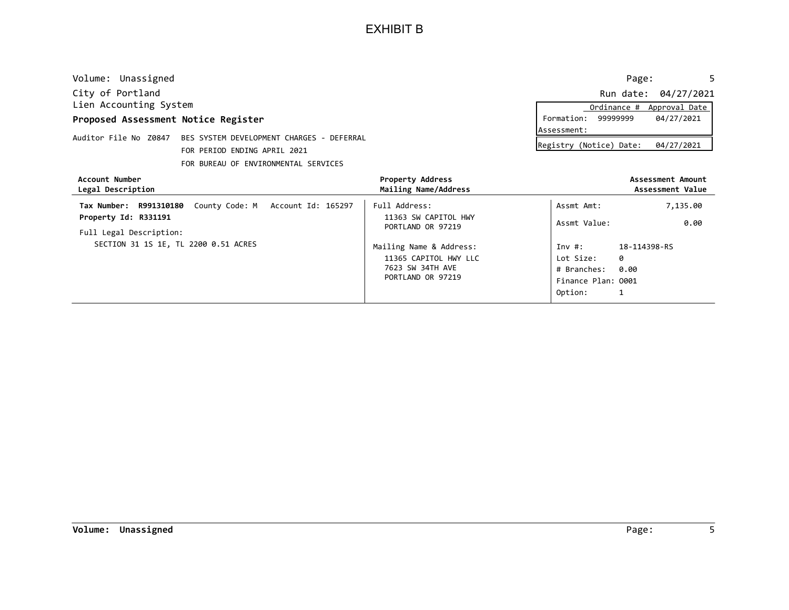| Volume: Unassigned                  |                                           |                                                 | Page:                     | 5                                     |
|-------------------------------------|-------------------------------------------|-------------------------------------------------|---------------------------|---------------------------------------|
| City of Portland                    |                                           |                                                 |                           | Run date: 04/27/2021                  |
| Lien Accounting System              |                                           |                                                 | Ordinance #               | Approval Date                         |
| Proposed Assessment Notice Register |                                           |                                                 | 99999999<br>Formation:    | 04/27/2021                            |
| Auditor File No Z0847               | BES SYSTEM DEVELOPMENT CHARGES - DEFERRAL |                                                 | Assessment:               |                                       |
|                                     | FOR PERIOD ENDING APRIL 2021              |                                                 | Registry (Notice) Date:   | 04/27/2021                            |
|                                     | FOR BUREAU OF ENVIRONMENTAL SERVICES      |                                                 |                           |                                       |
| Account Number<br>Legal Description |                                           | <b>Property Address</b><br>Mailing Name/Address |                           | Assessment Amount<br>Assessment Value |
| Tax Number: R991310180              | County Code: M Account Id: 165297         | Full Address:                                   | Assmt Amt:                | 7,135.00                              |
| Property Id: R331191                |                                           | 11363 SW CAPITOL HWY                            | Assmt Value:              | 0.00                                  |
| Full Legal Description:             |                                           | PORTLAND OR 97219                               |                           |                                       |
|                                     | SECTION 31 1S 1E, TL 2200 0.51 ACRES      | Mailing Name & Address:                         | 18-114398-RS<br>Inv $#$ : |                                       |
|                                     |                                           | 11365 CAPITOL HWY LLC                           | Lot Size:<br>0            |                                       |
|                                     |                                           | 7623 SW 34TH AVE                                | 0.00<br># Branches:       |                                       |
|                                     |                                           | PORTLAND OR 97219                               | Finance Plan: 0001        |                                       |

1

Option: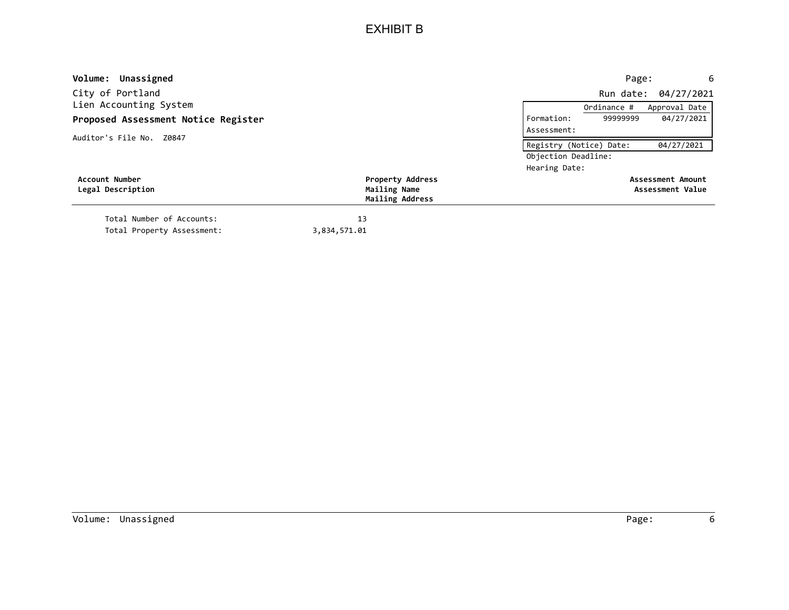| Volume: Unassigned                  |                                 |                         | Page:       | 6                        |
|-------------------------------------|---------------------------------|-------------------------|-------------|--------------------------|
| City of Portland                    |                                 |                         | Run date:   | 04/27/2021               |
| Lien Accounting System              |                                 |                         | Ordinance # | Approval Date            |
| Proposed Assessment Notice Register |                                 | Formation:              | 99999999    | 04/27/2021               |
| Auditor's File No. Z0847            |                                 | Assessment:             |             |                          |
|                                     |                                 | Registry (Notice) Date: |             | 04/27/2021               |
|                                     |                                 | Objection Deadline:     |             |                          |
|                                     |                                 | Hearing Date:           |             |                          |
| Account Number                      | <b>Property Address</b>         |                         |             | <b>Assessment Amount</b> |
| Legal Description                   | Mailing Name<br>Mailing Address |                         |             | Assessment Value         |
| Total Number of Accounts:           | 13                              |                         |             |                          |
| Total Property Assessment:          | 3,834,571.01                    |                         |             |                          |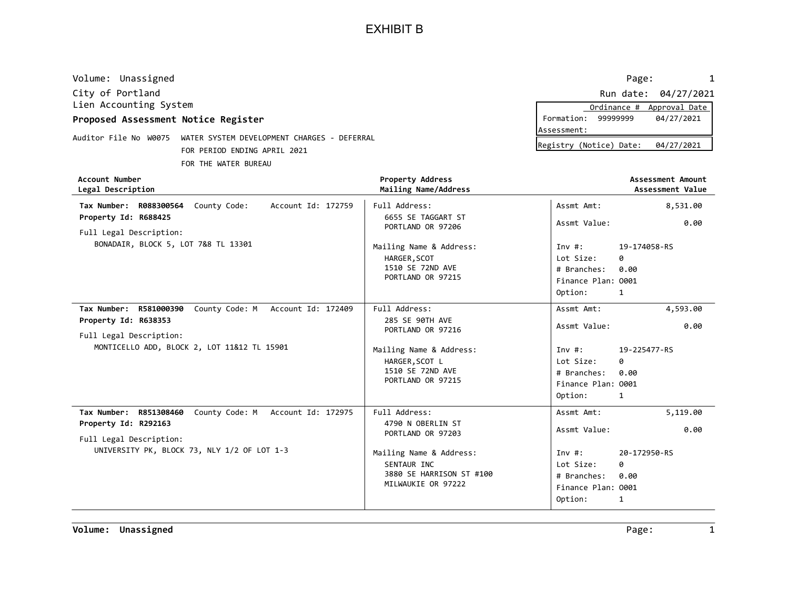City of Portland Run date: 04/27/2021 Lien Accounting System Volume: Unassigned 2008 Page: 2008 Page: 2008 Page: 2008 Page: 2008 Page: 2008 Page: 2008 Page: 2008 Page: 2008 Page: 2008 Page: 2008 Page: 2008 Page: 2008 Page: 2008 Page: 2008 Page: 2008 Page: 2008 Page: 2008 Page: 2008

#### Proposed Assessment Notice Register

Auditor File No W0075 WATER SYSTEM DEVELOPMENT CHARGES - DEFERRAL FOR PERIOD ENDING APRIL 2021 FOR THE WATER BUREAU

|             |                         | Ordinance # Approval Date |
|-------------|-------------------------|---------------------------|
| Formation:  | 99999999                | 04/27/2021                |
| Assessment: |                         |                           |
|             | Registry (Notice) Date: | 04/27/2021                |

| <b>Account Number</b><br>Legal Description                  | <b>Property Address</b><br>Mailing Name/Address |                    | <b>Assessment Amount</b><br>Assessment Value |
|-------------------------------------------------------------|-------------------------------------------------|--------------------|----------------------------------------------|
| Tax Number: R088300564 County Code:<br>Account Id: 172759   | Full Address:<br>6655 SE TAGGART ST             | Assmt Amt:         | 8,531.00                                     |
| Property Id: R688425<br>Full Legal Description:             | PORTLAND OR 97206                               | Assmt Value:       | 0.00                                         |
| BONADAIR, BLOCK 5, LOT 7&8 TL 13301                         | Mailing Name & Address:                         | Inv#:              | 19-174058-RS                                 |
|                                                             | HARGER, SCOT                                    | Lot Size:          | 0                                            |
|                                                             | 1510 SE 72ND AVE                                | # Branches:        | 0.00                                         |
|                                                             | PORTLAND OR 97215                               | Finance Plan: 0001 |                                              |
|                                                             |                                                 | Option:            | 1                                            |
| County Code: M Account Id: 172409<br>Tax Number: R581000390 | Full Address:                                   | Assmt Amt:         | 4,593.00                                     |
| Property Id: R638353                                        | 285 SE 90TH AVE                                 | Assmt Value:       | 0.00                                         |
| Full Legal Description:                                     | PORTLAND OR 97216                               |                    |                                              |
| MONTICELLO ADD, BLOCK 2, LOT 11&12 TL 15901                 | Mailing Name & Address:                         | Inv#:              | 19-225477-RS                                 |
|                                                             | HARGER, SCOT L                                  | Lot Size:          | 0                                            |
|                                                             | 1510 SE 72ND AVE                                | # Branches:        | 0.00                                         |
|                                                             | PORTLAND OR 97215                               | Finance Plan: 0001 |                                              |
|                                                             |                                                 | Option:            | 1                                            |
| Tax Number: R851308460<br>County Code: M Account Id: 172975 | Full Address:                                   | Assmt Amt:         | 5,119.00                                     |
| Property Id: R292163                                        | 4790 N OBERLIN ST                               | Assmt Value:       | 0.00                                         |
| Full Legal Description:                                     | PORTLAND OR 97203                               |                    |                                              |
| UNIVERSITY PK, BLOCK 73, NLY 1/2 OF LOT 1-3                 | Mailing Name & Address:                         | Inv#:              | 20-172950-RS                                 |
|                                                             | SENTAUR INC                                     | Lot Size:          | ø                                            |
|                                                             | 3880 SE HARRISON ST #100                        | # Branches:        | 0.00                                         |
|                                                             | MILWAUKIE OR 97222                              | Finance Plan: 0001 |                                              |
|                                                             |                                                 | Option:            | 1                                            |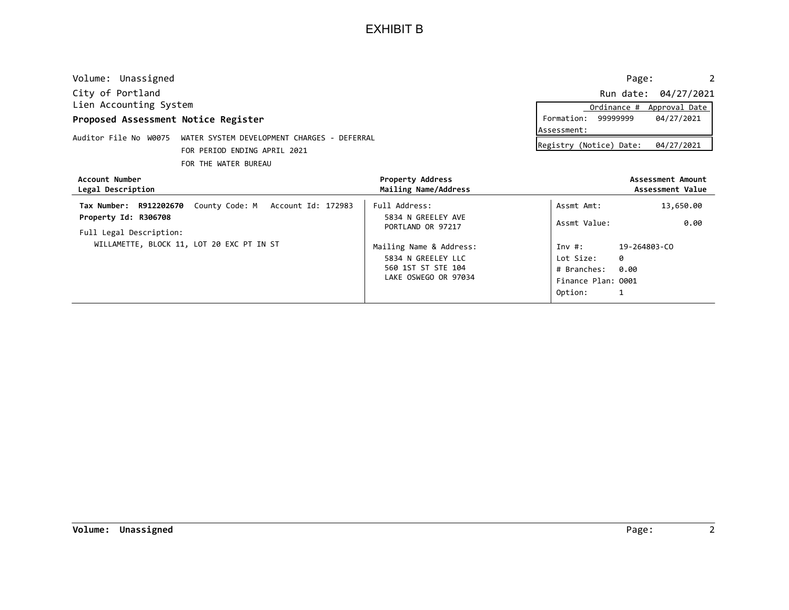| Volume: Unassigned                                                   |                                           |                                          | Page:                   | 2                                     |
|----------------------------------------------------------------------|-------------------------------------------|------------------------------------------|-------------------------|---------------------------------------|
| City of Portland                                                     |                                           |                                          |                         | Run date: 04/27/2021                  |
| Lien Accounting System                                               |                                           |                                          | Ordinance #             | Approval Date                         |
| Proposed Assessment Notice Register                                  |                                           |                                          | 99999999<br>Formation:  | 04/27/2021                            |
| Auditor File No W0075<br>WATER SYSTEM DEVELOPMENT CHARGES - DEFERRAL |                                           |                                          | Assessment:             |                                       |
|                                                                      | FOR PERIOD ENDING APRIL 2021              |                                          | Registry (Notice) Date: | 04/27/2021                            |
|                                                                      | FOR THE WATER BUREAU                      |                                          |                         |                                       |
| Account Number<br>Legal Description                                  |                                           | Property Address<br>Mailing Name/Address |                         | Assessment Amount<br>Assessment Value |
| Tax Number: R912202670                                               | County Code: M Account Id: 172983         | Full Address:                            | Assmt Amt:              | 13,650.00                             |
| Property Id: R306708                                                 |                                           | 5834 N GREELEY AVE                       | Assmt Value:            | 0.00                                  |
| Full Legal Description:                                              |                                           | PORTLAND OR 97217                        |                         |                                       |
|                                                                      | WILLAMETTE, BLOCK 11, LOT 20 EXC PT IN ST | Mailing Name & Address:                  | Inv $#$ :               | 19-264803-CO                          |
|                                                                      |                                           | 5834 N GREELEY LLC                       | 0<br>Lot Size:          |                                       |
|                                                                      |                                           | 560 1ST ST STE 104                       | 0.00<br># Branches:     |                                       |
|                                                                      |                                           | LAKE OSWEGO OR 97034                     | Finance Plan: 0001      |                                       |

1

Option: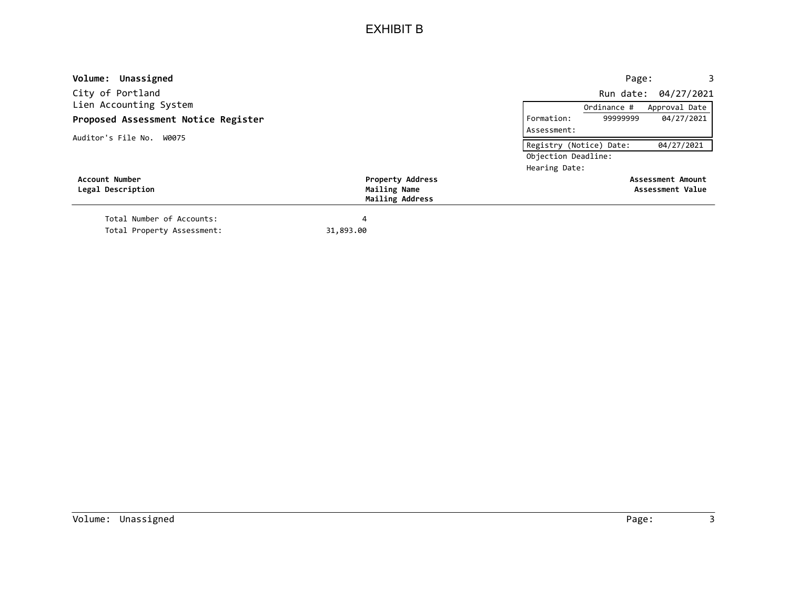| Volume: Unassigned                  |                                 | 3<br>Page:                            |
|-------------------------------------|---------------------------------|---------------------------------------|
| City of Portland                    |                                 | Run date: 04/27/2021                  |
| Lien Accounting System              |                                 | Approval Date<br>Ordinance #          |
| Proposed Assessment Notice Register |                                 | 9999999<br>04/27/2021<br>Formation:   |
| Auditor's File No. W0075            |                                 | Assessment:                           |
|                                     |                                 | 04/27/2021<br>Registry (Notice) Date: |
|                                     |                                 | Objection Deadline:                   |
|                                     |                                 | Hearing Date:                         |
| <b>Account Number</b>               | <b>Property Address</b>         | Assessment Amount                     |
| Legal Description                   | Mailing Name<br>Mailing Address | Assessment Value                      |
| Total Number of Accounts:           | 4                               |                                       |
| Total Property Assessment:          | 31,893.00                       |                                       |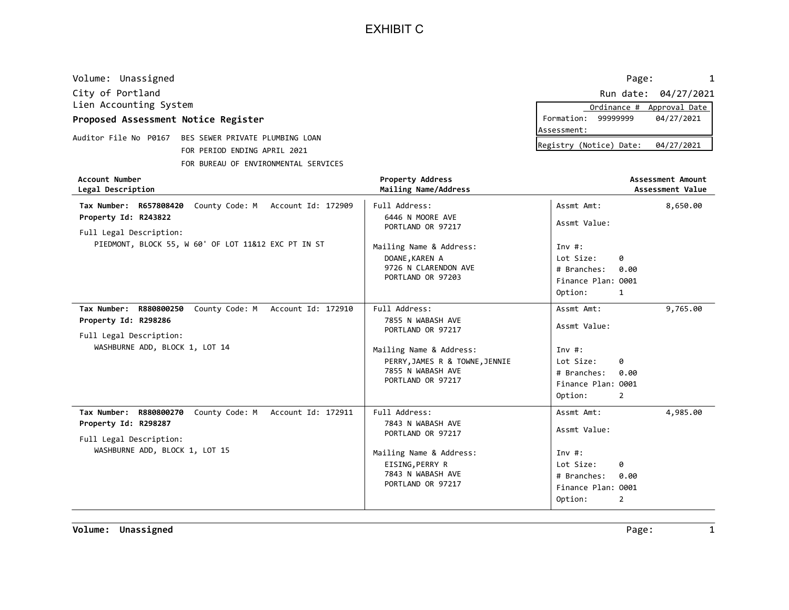EXHIBIT C

| Volume: Unassigned                                                                                                                                                    |                                                                                                                                                                | Page:<br>1                                                                                                                         |
|-----------------------------------------------------------------------------------------------------------------------------------------------------------------------|----------------------------------------------------------------------------------------------------------------------------------------------------------------|------------------------------------------------------------------------------------------------------------------------------------|
| City of Portland<br>Lien Accounting System                                                                                                                            |                                                                                                                                                                | Run date: 04/27/2021<br>Ordinance # Approval Date                                                                                  |
| Proposed Assessment Notice Register                                                                                                                                   |                                                                                                                                                                | Formation: 99999999<br>04/27/2021                                                                                                  |
| Auditor File No P0167 BES SEWER PRIVATE PLUMBING LOAN<br>FOR PERIOD ENDING APRIL 2021<br>FOR BUREAU OF ENVIRONMENTAL SERVICES                                         |                                                                                                                                                                | Assessment:<br>Registry (Notice) Date:<br>04/27/2021                                                                               |
| <b>Account Number</b><br>Legal Description                                                                                                                            | <b>Property Address</b><br>Mailing Name/Address                                                                                                                | Assessment Amount<br>Assessment Value                                                                                              |
| Tax Number: R657808420<br>County Code: M Account Id: 172909<br>Property Id: R243822<br>Full Legal Description:<br>PIEDMONT, BLOCK 55, W 60' OF LOT 11&12 EXC PT IN ST | Full Address:<br>6446 N MOORE AVE<br>PORTLAND OR 97217<br>Mailing Name & Address:<br>DOANE, KAREN A<br>9726 N CLARENDON AVE<br>PORTLAND OR 97203               | Assmt Amt:<br>8,650.00<br>Assmt Value:<br>Inv $#$ :<br>Lot Size:<br>0<br># Branches:<br>0.00<br>Finance Plan: 0001<br>Option:<br>1 |
| Tax Number: R880800250<br>County Code: M Account Id: 172910<br>Property Id: R298286<br>Full Legal Description:<br>WASHBURNE ADD, BLOCK 1, LOT 14                      | Full Address:<br>7855 N WABASH AVE<br>PORTLAND OR 97217<br>Mailing Name & Address:<br>PERRY, JAMES R & TOWNE, JENNIE<br>7855 N WABASH AVE<br>PORTLAND OR 97217 | Assmt Amt:<br>9,765.00<br>Assmt Value:<br>Inv $#$ :<br>Lot Size:<br>0<br># Branches:<br>0.00<br>Finance Plan: 0001<br>Option:<br>2 |
| Tax Number:<br>R880800270<br>County Code: M<br>Account Id: 172911<br>Property Id: R298287<br>Full Legal Description:                                                  | Full Address:<br>7843 N WABASH AVE<br>PORTLAND OR 97217                                                                                                        | Assmt Amt:<br>4,985.00<br>Assmt Value:                                                                                             |

EISING,PERRY R 7843 N WABASH AVE

Mailing Name & Address:

PORTLAND OR 97217 **Finance Plan: 0001** 

0

0.00 # Branches:

Lot Size:

Inv #:

Option:

2

WASHBURNE ADD, BLOCK 1, LOT 15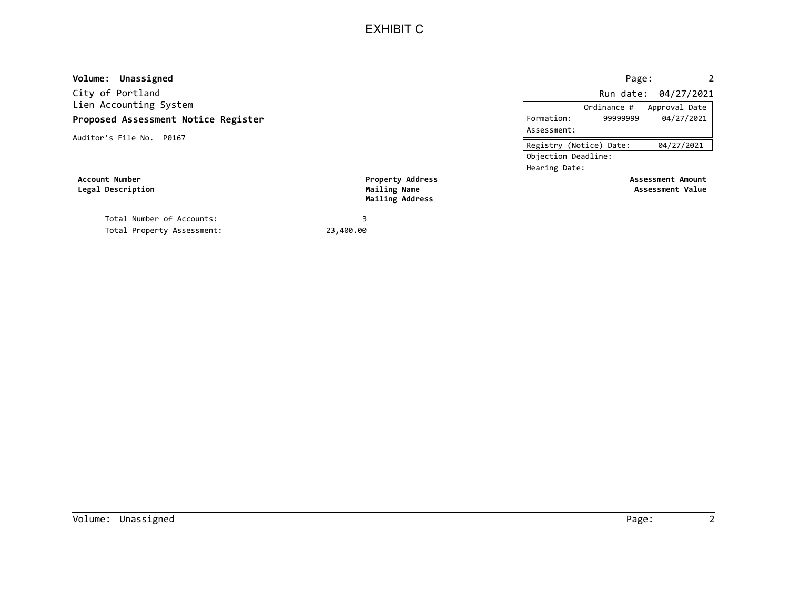## EXHIBIT C

| Volume: Unassigned                  |                         |                         | Page:       | 2                    |
|-------------------------------------|-------------------------|-------------------------|-------------|----------------------|
| City of Portland                    |                         |                         |             | Run date: 04/27/2021 |
| Lien Accounting System              |                         |                         | Ordinance # | Approval Date        |
| Proposed Assessment Notice Register |                         | Formation:              | 99999999    | 04/27/2021           |
| Auditor's File No. P0167            |                         | Assessment:             |             |                      |
|                                     |                         | Registry (Notice) Date: |             | 04/27/2021           |
|                                     |                         | Objection Deadline:     |             |                      |
|                                     |                         | Hearing Date:           |             |                      |
| Account Number                      | <b>Property Address</b> |                         |             | Assessment Amount    |
| Legal Description                   | Mailing Name            |                         |             | Assessment Value     |
|                                     | Mailing Address         |                         |             |                      |
| Total Number of Accounts:           |                         |                         |             |                      |
| Total Property Assessment:          | 23,400.00               |                         |             |                      |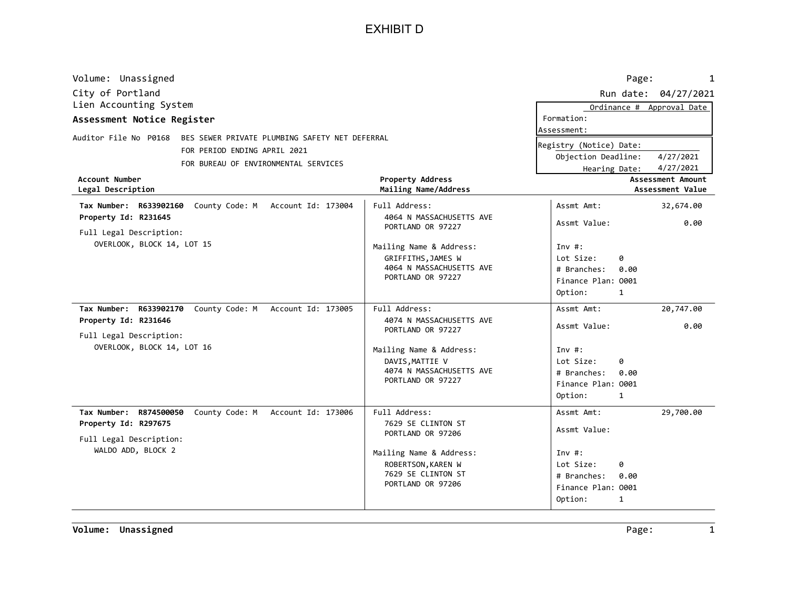EXHIBIT D

| Volume: Unassigned                                                                                                                                                                                                                                                                                                                            |                                                                                                                                                                                                              | Page:<br>1                                                                                                                                                                                                                                                           |
|-----------------------------------------------------------------------------------------------------------------------------------------------------------------------------------------------------------------------------------------------------------------------------------------------------------------------------------------------|--------------------------------------------------------------------------------------------------------------------------------------------------------------------------------------------------------------|----------------------------------------------------------------------------------------------------------------------------------------------------------------------------------------------------------------------------------------------------------------------|
| City of Portland                                                                                                                                                                                                                                                                                                                              |                                                                                                                                                                                                              | Run date: 04/27/2021                                                                                                                                                                                                                                                 |
| Lien Accounting System<br>Assessment Notice Register                                                                                                                                                                                                                                                                                          |                                                                                                                                                                                                              | Ordinance # Approval Date<br>Formation:<br>Assessment:                                                                                                                                                                                                               |
| Auditor File No P0168<br>BES SEWER PRIVATE PLUMBING SAFETY NET DEFERRAL<br>FOR PERIOD ENDING APRIL 2021<br>FOR BUREAU OF ENVIRONMENTAL SERVICES<br><b>Account Number</b><br>Legal Description<br>Tax Number: R633902160<br>County Code: M Account Id: 173004<br>Property Id: R231645<br>Full Legal Description:<br>OVERLOOK, BLOCK 14, LOT 15 | Property Address<br>Mailing Name/Address<br>Full Address:<br>4064 N MASSACHUSETTS AVE<br>PORTLAND OR 97227<br>Mailing Name & Address:<br>GRIFFITHS, JAMES W<br>4064 N MASSACHUSETTS AVE<br>PORTLAND OR 97227 | Registry (Notice) Date:<br>Objection Deadline:<br>4/27/2021<br>4/27/2021<br>Hearing Date:<br><b>Assessment Amount</b><br>Assessment Value<br>Assmt Amt:<br>32,674.00<br>Assmt Value:<br>0.00<br>Inv#:<br>Lot Size:<br>0<br># Branches:<br>0.00<br>Finance Plan: 0001 |
| Tax Number: R633902170<br>County Code: M Account Id: 173005<br>Property Id: R231646<br>Full Legal Description:<br>OVERLOOK, BLOCK 14, LOT 16                                                                                                                                                                                                  | Full Address:<br>4074 N MASSACHUSETTS AVE<br>PORTLAND OR 97227<br>Mailing Name & Address:<br>DAVIS, MATTIE V<br>4074 N MASSACHUSETTS AVE<br>PORTLAND OR 97227                                                | Option:<br>$\mathbf{1}$<br>Assmt Amt:<br>20,747.00<br>0.00<br>Assmt Value:<br>$Inv#$ :<br>Lot Size:<br>g<br># Branches:<br>0.00<br>Finance Plan: 0001<br>Option:<br>$\mathbf{1}$                                                                                     |
| Tax Number: R874500050<br>Account Id: 173006<br>County Code: M<br>Property Id: R297675<br>Full Legal Description:<br>WALDO ADD, BLOCK 2                                                                                                                                                                                                       | Full Address:<br>7629 SE CLINTON ST<br>PORTLAND OR 97206<br>Mailing Name & Address:<br>ROBERTSON, KAREN W<br>7629 SE CLINTON ST<br>PORTLAND OR 97206                                                         | Assmt Amt:<br>29,700.00<br>Assmt Value:<br>Inv $#$ :<br>Lot Size:<br>0<br># Branches:<br>0.00<br>Finance Plan: 0001<br>Option:<br>$\mathbf{1}$                                                                                                                       |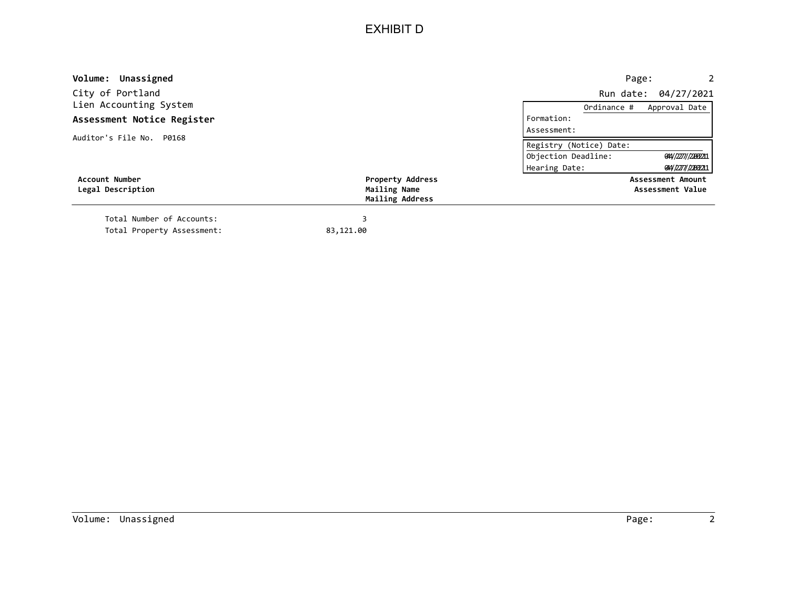## EXHIBIT D

| Volume: Unassigned         |                                 | Page:<br>$\mathbf{2}$                     |
|----------------------------|---------------------------------|-------------------------------------------|
| City of Portland           |                                 | Run date: 04/27/2021                      |
| Lien Accounting System     |                                 | Approval Date<br>Ordinance #              |
| Assessment Notice Register |                                 | Formation:                                |
| Auditor's File No. P0168   |                                 | Assessment:                               |
|                            |                                 | Registry (Notice) Date:                   |
|                            |                                 | Objection Deadline:<br>044/2277//22002211 |
|                            |                                 | Hearing Date:<br>014/2277/22092211        |
| <b>Account Number</b>      | <b>Property Address</b>         | Assessment Amount                         |
| Legal Description          | Mailing Name<br>Mailing Address | Assessment Value                          |
| Total Number of Accounts:  |                                 |                                           |
| Total Property Assessment: | 83,121.00                       |                                           |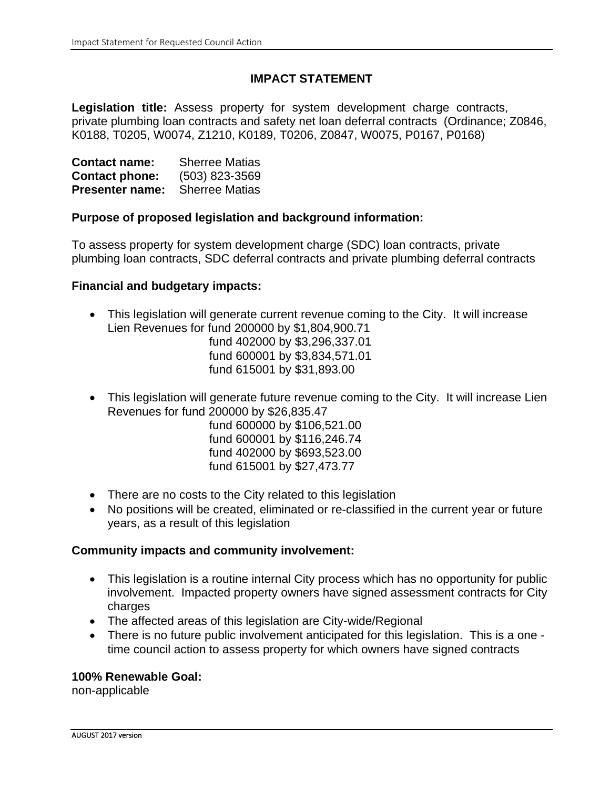#### **IMPACT STATEMENT**

**Legislation title:** Assess property for system development charge contracts, private plumbing loan contracts and safety net loan deferral contracts (Ordinance; Z0846, K0188, T0205, W0074, Z1210, K0189, T0206, Z0847, W0075, P0167, P0168)

| <b>Contact name:</b>   | <b>Sherree Matias</b> |
|------------------------|-----------------------|
| <b>Contact phone:</b>  | (503) 823-3569        |
| <b>Presenter name:</b> | <b>Sherree Matias</b> |

#### **Purpose of proposed legislation and background information:**

To assess property for system development charge (SDC) loan contracts, private plumbing loan contracts, SDC deferral contracts and private plumbing deferral contracts

#### **Financial and budgetary impacts:**

• This legislation will generate current revenue coming to the City. It will increase Lien Revenues for fund 200000 by \$1,804,900.71

fund 402000 by \$3,296,337.01 fund 600001 by \$3,834,571.01 fund 615001 by \$31,893.00

• This legislation will generate future revenue coming to the City. It will increase Lien Revenues for fund 200000 by \$26,835.47

fund 600000 by \$106,521.00 fund 600001 by \$116,246.74 fund 402000 by \$693,523.00 fund 615001 by \$27,473.77

- There are no costs to the City related to this legislation
- No positions will be created, eliminated or re-classified in the current year or future years, as a result of this legislation

#### **Community impacts and community involvement:**

- This legislation is a routine internal City process which has no opportunity for public involvement. Impacted property owners have signed assessment contracts for City charges
- The affected areas of this legislation are City-wide/Regional
- There is no future public involvement anticipated for this legislation. This is a one time council action to assess property for which owners have signed contracts

#### **100% Renewable Goal:**

non-applicable